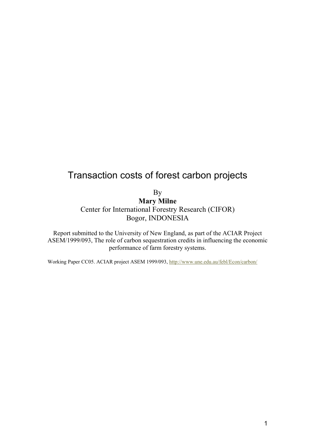# Transaction costs of forest carbon projects

By

**Mary Milne**  Center for International Forestry Research (CIFOR) Bogor, INDONESIA

Report submitted to the University of New England, as part of the ACIAR Project ASEM/1999/093, The role of carbon sequestration credits in influencing the economic performance of farm forestry systems.

Working Paper CC05. ACIAR project ASEM 1999/093, http://www.une.edu.au/febl/Econ/carbon/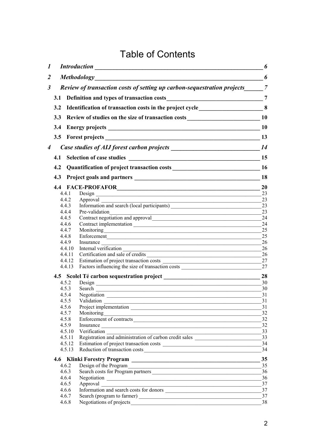# Table of Contents

| 1 |     |                                                                           | <b>Introduction</b>                                                                                                                                                                                                            | 6         |  |  |  |  |  |
|---|-----|---------------------------------------------------------------------------|--------------------------------------------------------------------------------------------------------------------------------------------------------------------------------------------------------------------------------|-----------|--|--|--|--|--|
| 2 |     |                                                                           | <b>Methodology</b>                                                                                                                                                                                                             | 6         |  |  |  |  |  |
| 3 |     | Review of transaction costs of setting up carbon-sequestration projects 7 |                                                                                                                                                                                                                                |           |  |  |  |  |  |
|   |     |                                                                           |                                                                                                                                                                                                                                |           |  |  |  |  |  |
|   | 3.2 |                                                                           | Identification of transaction costs in the project cycle________________________8                                                                                                                                              |           |  |  |  |  |  |
|   | 3.3 | Review of studies on the size of transaction costs<br>10                  |                                                                                                                                                                                                                                |           |  |  |  |  |  |
|   |     |                                                                           |                                                                                                                                                                                                                                |           |  |  |  |  |  |
|   | 3.4 |                                                                           |                                                                                                                                                                                                                                | <b>10</b> |  |  |  |  |  |
|   |     |                                                                           | 3.5 Forest projects 13                                                                                                                                                                                                         |           |  |  |  |  |  |
| 4 |     |                                                                           |                                                                                                                                                                                                                                |           |  |  |  |  |  |
|   | 4.1 |                                                                           |                                                                                                                                                                                                                                |           |  |  |  |  |  |
|   | 4.2 |                                                                           |                                                                                                                                                                                                                                |           |  |  |  |  |  |
|   |     |                                                                           |                                                                                                                                                                                                                                | 18        |  |  |  |  |  |
|   |     |                                                                           |                                                                                                                                                                                                                                | <b>20</b> |  |  |  |  |  |
|   |     | 4.4.1                                                                     |                                                                                                                                                                                                                                | 23        |  |  |  |  |  |
|   |     | 4.4.2                                                                     |                                                                                                                                                                                                                                | 23        |  |  |  |  |  |
|   |     | 4.4.3                                                                     |                                                                                                                                                                                                                                | 23        |  |  |  |  |  |
|   |     | 4.4.4                                                                     | Pre-validation                                                                                                                                                                                                                 | 23        |  |  |  |  |  |
|   |     | 4.4.5                                                                     | Contract negotiation and approval<br><u>Leader and</u> and approval                                                                                                                                                            | 24        |  |  |  |  |  |
|   |     | 4.4.6<br>4.4.7                                                            |                                                                                                                                                                                                                                | 24<br>25  |  |  |  |  |  |
|   |     | 4.4.8                                                                     |                                                                                                                                                                                                                                | 25        |  |  |  |  |  |
|   |     | 4.4.9                                                                     | Enforcement<br>Insurance                                                                                                                                                                                                       | 26        |  |  |  |  |  |
|   |     | 4.4.10                                                                    | Internal verification<br><u> 1989 - Johann Stoff, Amerikaansk politiker (d. 1989)</u>                                                                                                                                          | 26        |  |  |  |  |  |
|   |     | 4.4.11                                                                    | Certification and sale of credits                                                                                                                                                                                              | 26        |  |  |  |  |  |
|   |     | 4.4.12                                                                    |                                                                                                                                                                                                                                | 27        |  |  |  |  |  |
|   |     | 4.4.13                                                                    | Factors influencing the size of transaction costs ______________________________                                                                                                                                               | 27        |  |  |  |  |  |
|   |     |                                                                           |                                                                                                                                                                                                                                | 28        |  |  |  |  |  |
|   |     |                                                                           |                                                                                                                                                                                                                                | 30        |  |  |  |  |  |
|   |     |                                                                           | 4.5.3 Search Constant Constant Constant Constant Constant Constant Constant Constant Constant Constant Constant Constant Constant Constant Constant Constant Constant Constant Constant Constant Constant Constant Constant Co | 30<br>31  |  |  |  |  |  |
|   |     |                                                                           | 4.5.5 Validation                                                                                                                                                                                                               | 31        |  |  |  |  |  |
|   |     | 4.5.6                                                                     | Validation<br>Project implementation                                                                                                                                                                                           | 31        |  |  |  |  |  |
|   |     | 4.5.7                                                                     |                                                                                                                                                                                                                                | 32        |  |  |  |  |  |
|   |     | 4.5.8                                                                     | Enforcement of contracts                                                                                                                                                                                                       | 32        |  |  |  |  |  |
|   |     | 4.5.9                                                                     | Insurance                                                                                                                                                                                                                      | 32        |  |  |  |  |  |
|   |     | 4.5.10                                                                    | Verification 33                                                                                                                                                                                                                |           |  |  |  |  |  |
|   |     | 4.5.11                                                                    | Registration and administration of carbon credit sales                                                                                                                                                                         | 33        |  |  |  |  |  |
|   |     | 4.5.12<br>4.5.13                                                          |                                                                                                                                                                                                                                | 34<br>34  |  |  |  |  |  |
|   |     |                                                                           | Reduction of transaction costs                                                                                                                                                                                                 |           |  |  |  |  |  |
|   |     |                                                                           |                                                                                                                                                                                                                                | 35        |  |  |  |  |  |
|   |     | 4.6.2<br>4.6.3                                                            | Design of the Program<br>Search costs for Program partners                                                                                                                                                                     | 35<br>36  |  |  |  |  |  |
|   |     | 4.6.4                                                                     |                                                                                                                                                                                                                                | 36        |  |  |  |  |  |
|   |     | 4.6.5                                                                     |                                                                                                                                                                                                                                | 37        |  |  |  |  |  |
|   |     | 4.6.6                                                                     | Information and search costs for donors                                                                                                                                                                                        | 37        |  |  |  |  |  |
|   |     | 4.6.7                                                                     |                                                                                                                                                                                                                                | 37        |  |  |  |  |  |
|   |     | 4.6.8                                                                     |                                                                                                                                                                                                                                | 38        |  |  |  |  |  |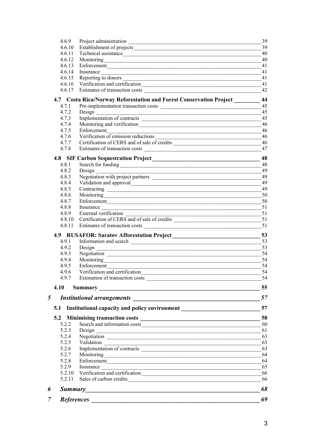| 7 |                |                                                                                                                                                         | 69       |
|---|----------------|---------------------------------------------------------------------------------------------------------------------------------------------------------|----------|
|   |                |                                                                                                                                                         |          |
| 6 |                |                                                                                                                                                         | 68       |
|   | 5.2.11         |                                                                                                                                                         | 66       |
|   | 5.2.10         | <u> 1989 - Johann Stein, marwolaethau a bhann an t-Amhain ann an t-Amhain an t-Amhain an t-Amhain an t-Amhain an </u><br>Verification and certification | 66       |
|   | 5.2.9          | Enforcement<br>Insurance                                                                                                                                | 64<br>65 |
|   | 5.2.7<br>5.2.8 |                                                                                                                                                         | 64       |
|   | 5.2.6          |                                                                                                                                                         | 63       |
|   | 5.2.5          |                                                                                                                                                         | 63       |
|   | 5.2.4          |                                                                                                                                                         | 63       |
|   | 5.2.3          | Design<br><u> 1989 - Johann Barn, fransk politik (d. 1989)</u>                                                                                          | 61       |
|   | 5.2.2          |                                                                                                                                                         |          |
|   |                |                                                                                                                                                         | 58       |
|   | 5.1            | Institutional capacity and policy environment __________________________________                                                                        | 57       |
| 5 |                |                                                                                                                                                         | 57       |
|   |                |                                                                                                                                                         |          |
|   | 4.10           |                                                                                                                                                         | 55       |
|   |                |                                                                                                                                                         | 54       |
|   | 4.9.6          |                                                                                                                                                         | 54       |
|   | 4.9.5          | Enforcement<br><u> 1989 - Johann John Stone, markin film yn y brenin y brenin y brenin y brenin y brenin y brenin y brenin y br</u>                     | 54       |
|   | 4.9.4          |                                                                                                                                                         | 54       |
|   | 4.9.3          |                                                                                                                                                         | 54       |
|   | 4.9.2          |                                                                                                                                                         |          |
|   | 4.9.1          |                                                                                                                                                         | 53       |
|   |                |                                                                                                                                                         | 53       |
|   |                |                                                                                                                                                         | 51       |
|   |                | 4.8.10 Certification of CERS and of sale of credits ____________________________                                                                        | 51       |
|   | 4.8.9          | External verification<br><u> 1989 - Johann John Stone, mars eta bat eta bat eta bat eta bat eta bat eta bat eta bat eta bat eta bat eta b</u>           | 51       |
|   | 4.8.8          | Insurance                                                                                                                                               | 51       |
|   | 4.8.7          | Enforcement                                                                                                                                             | 50       |
|   | 4.8.6          |                                                                                                                                                         | 50       |
|   | 4.8.5          |                                                                                                                                                         | 49       |
|   | 4.8.4          |                                                                                                                                                         | 49       |
|   | 4.8.3          |                                                                                                                                                         | 49       |
|   | 4.8.1<br>4.8.2 |                                                                                                                                                         | 48<br>49 |
|   |                | 4.8 SIF Carbon Sequestration Project<br><u>1888</u>                                                                                                     | 48       |
|   |                |                                                                                                                                                         |          |
|   | 4.7.8          |                                                                                                                                                         | 47       |
|   | 4.7.7          | Certification of CERS and of sale of credits ___________________________________                                                                        | 46       |
|   | 4.7.6          | <u> 1989 - Johann John Stoff, fransk politik (f. 1989)</u><br>Verification of emission reductions                                                       | 46       |
|   | 4.7.5          | Enforcement                                                                                                                                             | 46       |
|   | 4.7.4          | Implementation of contracts                                                                                                                             | 46       |
|   | 4.7.3          | Design<br><u> 1989 - Johann Barn, fransk politik (d. 1989)</u>                                                                                          | 45       |
|   | 4.7.1<br>4.7.2 |                                                                                                                                                         | 45<br>45 |
|   |                | 4.7 Costa Rica/Norway Reforestation and Forest Conservation Project                                                                                     | 44       |
|   |                |                                                                                                                                                         |          |
|   |                | 4.6.17 Estimates of transaction costs <b>contained</b> and the set of transaction costs                                                                 | 42       |
|   | 4.6.16         | 4.6.15 Reporting to donors<br>Verification and certification                                                                                            | 41       |
|   | 4.6.14         | Insurance                                                                                                                                               | 41<br>41 |
|   | 4.6.13         | Enforcement                                                                                                                                             | 41       |
|   | 4.6.12         |                                                                                                                                                         | 40       |
|   | 4.6.11         | Technical assistance                                                                                                                                    | 40       |
|   | 4.6.10         |                                                                                                                                                         | 39       |
|   | 4.6.9          |                                                                                                                                                         | 39       |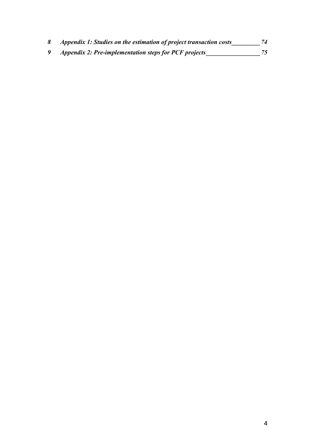| Appendix 1: Studies on the estimation of project transaction costs | 74 |
|--------------------------------------------------------------------|----|
| <i>Appendix 2: Pre-implementation steps for PCF projects</i>       |    |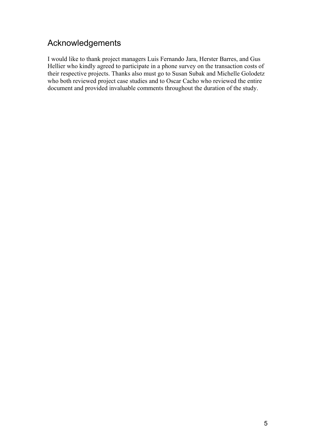## Acknowledgements

I would like to thank project managers Luis Fernando Jara, Herster Barres, and Gus Hellier who kindly agreed to participate in a phone survey on the transaction costs of their respective projects. Thanks also must go to Susan Subak and Michelle Golodetz who both reviewed project case studies and to Oscar Cacho who reviewed the entire document and provided invaluable comments throughout the duration of the study.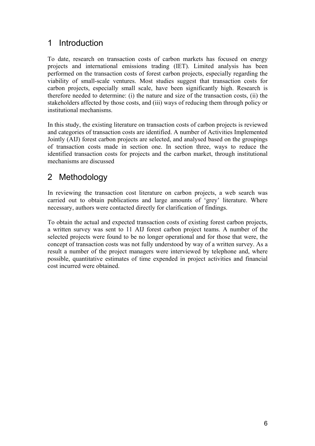## 1 Introduction

To date, research on transaction costs of carbon markets has focused on energy projects and international emissions trading (IET). Limited analysis has been performed on the transaction costs of forest carbon projects, especially regarding the viability of small-scale ventures. Most studies suggest that transaction costs for carbon projects, especially small scale, have been significantly high. Research is therefore needed to determine: (i) the nature and size of the transaction costs, (ii) the stakeholders affected by those costs, and (iii) ways of reducing them through policy or institutional mechanisms.

In this study, the existing literature on transaction costs of carbon projects is reviewed and categories of transaction costs are identified. A number of Activities Implemented Jointly (AIJ) forest carbon projects are selected, and analysed based on the groupings of transaction costs made in section one. In section three, ways to reduce the identified transaction costs for projects and the carbon market, through institutional mechanisms are discussed

## 2 Methodology

In reviewing the transaction cost literature on carbon projects, a web search was carried out to obtain publications and large amounts of 'grey' literature. Where necessary, authors were contacted directly for clarification of findings.

To obtain the actual and expected transaction costs of existing forest carbon projects, a written survey was sent to 11 AIJ forest carbon project teams. A number of the selected projects were found to be no longer operational and for those that were, the concept of transaction costs was not fully understood by way of a written survey. As a result a number of the project managers were interviewed by telephone and, where possible, quantitative estimates of time expended in project activities and financial cost incurred were obtained.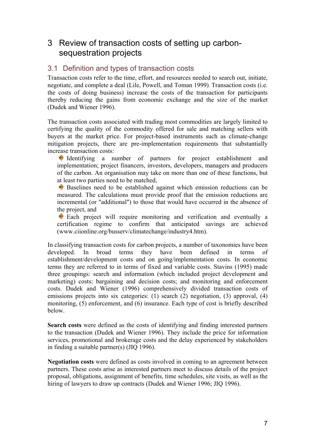## 3 Review of transaction costs of setting up carbonsequestration projects

### 3.1 Definition and types of transaction costs

Transaction costs refer to the time, effort, and resources needed to search out, initiate, negotiate, and complete a deal (Lile, Powell, and Toman 1999). Transaction costs (i.e. the costs of doing business) increase the costs of the transaction for participants thereby reducing the gains from economic exchange and the size of the market (Dudek and Wiener 1996).

The transaction costs associated with trading most commodities are largely limited to certifying the quality of the commodity offered for sale and matching sellers with buyers at the market price. For project-based instruments such as climate-change mitigation projects, there are pre-implementation requirements that substantially increase transaction costs:

Identifying a number of partners for project establishment and implementation; project financers, investors, developers, managers and producers of the carbon. An organisation may take on more than one of these functions, but at least two parties need to be matched,

Baselines need to be established against which emission reductions can be measured. The calculations must provide proof that the emission reductions are incremental (or "additional") to those that would have occurred in the absence of the project, and

Each project will require monitoring and verification and eventually a certification regime to confirm that anticipated savings are achieved (www.ciionline.org/busserv/climatechange/industry4.htm).

In classifying transaction costs for carbon projects, a number of taxonomies have been developed. In broad terms they have been defined in terms of establishment/development costs and on going/implementation costs. In economic terms they are referred to in terms of fixed and variable costs. Stavins (1995) made three groupings: search and information (which included project development and marketing) costs; bargaining and decision costs; and monitoring and enforcement costs. Dudek and Wiener (1996) comprehensively divided transaction costs of emissions projects into six categories: (1) search (2) negotiation, (3) approval, (4) monitoring, (5) enforcement, and (6) insurance. Each type of cost is briefly described below.

**Search costs** were defined as the costs of identifying and finding interested partners to the transaction (Dudek and Wiener 1996). They include the price for information services, promotional and brokerage costs and the delay experienced by stakeholders in finding a suitable partner(s) (JIQ 1996).

**Negotiation costs** were defined as costs involved in coming to an agreement between partners. These costs arise as interested partners meet to discuss details of the project proposal, obligations, assignment of benefits, time schedules, site visits, as well as the hiring of lawyers to draw up contracts (Dudek and Wiener 1996; JIQ 1996).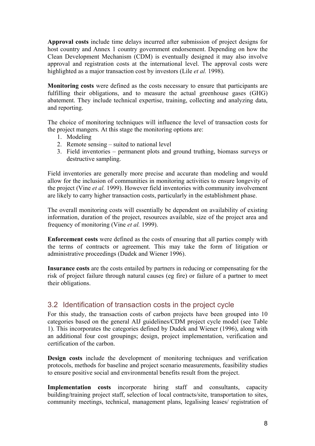**Approval costs** include time delays incurred after submission of project designs for host country and Annex 1 country government endorsement. Depending on how the Clean Development Mechanism (CDM) is eventually designed it may also involve approval and registration costs at the international level. The approval costs were highlighted as a major transaction cost by investors (Lile *et al.* 1998).

**Monitoring costs** were defined as the costs necessary to ensure that participants are fulfilling their obligations, and to measure the actual greenhouse gases (GHG) abatement. They include technical expertise, training, collecting and analyzing data, and reporting.

The choice of monitoring techniques will influence the level of transaction costs for the project mangers. At this stage the monitoring options are:

- 1. Modeling
- 2. Remote sensing suited to national level
- 3. Field inventories permanent plots and ground truthing, biomass surveys or destructive sampling.

Field inventories are generally more precise and accurate than modeling and would allow for the inclusion of communities in monitoring activities to ensure longevity of the project (Vine *et al.* 1999). However field inventories with community involvement are likely to carry higher transaction costs, particularly in the establishment phase.

The overall monitoring costs will essentially be dependent on availability of existing information, duration of the project, resources available, size of the project area and frequency of monitoring (Vine *et al.* 1999).

**Enforcement costs** were defined as the costs of ensuring that all parties comply with the terms of contracts or agreement. This may take the form of litigation or administrative proceedings (Dudek and Wiener 1996).

**Insurance costs** are the costs entailed by partners in reducing or compensating for the risk of project failure through natural causes (eg fire) or failure of a partner to meet their obligations.

#### 3.2 Identification of transaction costs in the project cycle

For this study, the transaction costs of carbon projects have been grouped into 10 categories based on the general AIJ guidelines/CDM project cycle model (see Table 1). This incorporates the categories defined by Dudek and Wiener (1996), along with an additional four cost groupings; design, project implementation, verification and certification of the carbon.

**Design costs** include the development of monitoring techniques and verification protocols, methods for baseline and project scenario measurements, feasibility studies to ensure positive social and environmental benefits result from the project.

**Implementation costs** incorporate hiring staff and consultants, capacity building/training project staff, selection of local contracts/site, transportation to sites, community meetings, technical, management plans, legalising leases/ registration of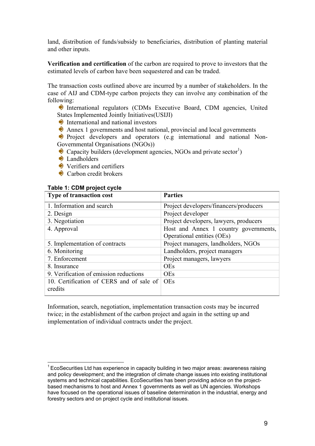land, distribution of funds/subsidy to beneficiaries, distribution of planting material and other inputs.

**Verification and certification** of the carbon are required to prove to investors that the estimated levels of carbon have been sequestered and can be traded.

The transaction costs outlined above are incurred by a number of stakeholders. In the case of AIJ and CDM-type carbon projects they can involve any combination of the following:

 International regulators (CDMs Executive Board, CDM agencies, United States Implemented Jointly Initiatives(USIJI)

International and national investors

Annex 1 governments and host national, provincial and local governments

**Project developers and operators (e.g international and national Non-**Governmental Organisations (NGOs))

Capacity builders (development agencies, NGOs and private  ${\rm sector}^1$ )

**D** Landholders

Verifiers and certifiers

Carbon credit brokers

#### **Table 1: CDM project cycle**

 $\overline{a}$ 

| <b>Parties</b>                         |
|----------------------------------------|
| Project developers/financers/producers |
| Project developer                      |
| Project developers, lawyers, producers |
| Host and Annex 1 country governments,  |
| Operational entities (OEs)             |
| Project managers, landholders, NGOs    |
| Landholders, project managers          |
| Project managers, lawyers              |
| <b>OEs</b>                             |
| <b>OEs</b>                             |
| <b>OEs</b>                             |
|                                        |
|                                        |

Information, search, negotiation, implementation transaction costs may be incurred twice; in the establishment of the carbon project and again in the setting up and implementation of individual contracts under the project.

 $1$  EcoSecurities Ltd has experience in capacity building in two major areas: awareness raising and policy development; and the integration of climate change issues into existing institutional systems and technical capabilities. EcoSecurities has been providing advice on the projectbased mechanisms to host and Annex 1 governments as well as UN agencies. Workshops have focused on the operational issues of baseline determination in the industrial, energy and forestry sectors and on project cycle and institutional issues.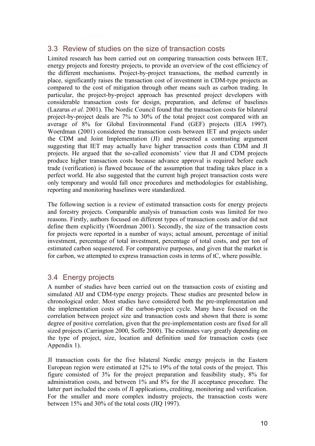### 3.3 Review of studies on the size of transaction costs

Limited research has been carried out on comparing transaction costs between IET, energy projects and forestry projects, to provide an overview of the cost efficiency of the different mechanisms. Project-by-project transactions, the method currently in place, significantly raises the transaction cost of investment in CDM-type projects as compared to the cost of mitigation through other means such as carbon trading. In particular, the project-by-project approach has presented project developers with considerable transaction costs for design, preparation, and defense of baselines (Lazarus *et al.* 2001). The Nordic Council found that the transaction costs for bilateral project-by-project deals are 7% to 30% of the total project cost compared with an average of 8% for Global Environmental Fund (GEF) projects (IEA 1997). Woerdman (2001) considered the transaction costs between IET and projects under the CDM and Joint Implementation (JI) and presented a contrasting argument suggesting that IET may actually have higher transaction costs than CDM and JI projects. He argued that the so-called economists' view that JI and CDM projects produce higher transaction costs because advance approval is required before each trade (verification) is flawed because of the assumption that trading takes place in a perfect world. He also suggested that the current high project transaction costs were only temporary and would fall once procedures and methodologies for establishing, reporting and monitoring baselines were standardized.

The following section is a review of estimated transaction costs for energy projects and forestry projects. Comparable analysis of transaction costs was limited for two reasons. Firstly, authors focused on different types of transaction costs and/or did not define them explicitly (Woerdman 2001). Secondly, the size of the transaction costs for projects were reported in a number of ways; actual amount, percentage of initial investment, percentage of total investment, percentage of total costs, and per ton of estimated carbon sequestered. For comparative purposes, and given that the market is for carbon, we attempted to express transaction costs in terms of tC, where possible.

#### 3.4 Energy projects

A number of studies have been carried out on the transaction costs of existing and simulated AIJ and CDM-type energy projects. These studies are presented below in chronological order. Most studies have considered both the pre-implementation and the implementation costs of the carbon-project cycle. Many have focused on the correlation between project size and transaction costs and shown that there is some degree of positive correlation, given that the pre-implementation costs are fixed for all sized projects (Carrington 2000, Soffe 2000). The estimates vary greatly depending on the type of project, size, location and definition used for transaction costs (see Appendix 1).

JI transaction costs for the five bilateral Nordic energy projects in the Eastern European region were estimated at 12% to 19% of the total costs of the project. This figure consisted of 3% for the project preparation and feasibility study, 8% for administration costs, and between 1% and 8% for the JI acceptance procedure. The latter part included the costs of JI applications, crediting, monitoring and verification. For the smaller and more complex industry projects, the transaction costs were between 15% and 30% of the total costs (JIQ 1997).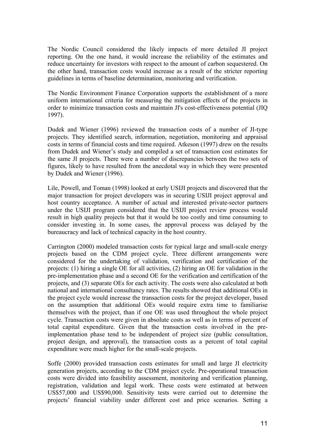The Nordic Council considered the likely impacts of more detailed JI project reporting. On the one hand, it would increase the reliability of the estimates and reduce uncertainty for investors with respect to the amount of carbon sequestered. On the other hand, transaction costs would increase as a result of the stricter reporting guidelines in terms of baseline determination, monitoring and verification.

The Nordic Environment Finance Corporation supports the establishment of a more uniform international criteria for measuring the mitigation effects of the projects in order to minimize transaction costs and maintain JI's cost-effectiveness potential (JIQ 1997).

Dudek and Wiener (1996) reviewed the transaction costs of a number of JI-type projects. They identified search, information, negotiation, monitoring and appraisal costs in terms of financial costs and time required. Atkeson (1997) drew on the results from Dudek and Wiener's study and compiled a set of transaction cost estimates for the same JI projects. There were a number of discrepancies between the two sets of figures, likely to have resulted from the anecdotal way in which they were presented by Dudek and Wiener (1996).

Lile, Powell, and Toman (1998) looked at early USIJI projects and discovered that the major transaction for project developers was in securing USIJI project approval and host country acceptance. A number of actual and interested private-sector partners under the USIJI program considered that the USIJI project review process would result in high quality projects but that it would be too costly and time consuming to consider investing in. In some cases, the approval process was delayed by the bureaucracy and lack of technical capacity in the host country.

Carrington (2000) modeled transaction costs for typical large and small-scale energy projects based on the CDM project cycle. Three different arrangements were considered for the undertaking of validation, verification and certification of the projects: (1) hiring a single OE for all activities, (2) hiring an OE for validation in the pre-implementation phase and a second OE for the verification and certification of the projects, and (3) separate OEs for each activity. The costs were also calculated at both national and international consultancy rates. The results showed that additional OEs in the project cycle would increase the transaction costs for the project developer, based on the assumption that additional OEs would require extra time to familiarise themselves with the project, than if one OE was used throughout the whole project cycle. Transaction costs were given in absolute costs as well as in terms of percent of total capital expenditure. Given that the transaction costs involved in the preimplementation phase tend to be independent of project size (public consultation, project design, and approval), the transaction costs as a percent of total capital expenditure were much higher for the small-scale projects.

Soffe (2000) provided transaction costs estimates for small and large JI electricity generation projects, according to the CDM project cycle. Pre-operational transaction costs were divided into feasibility assessment, monitoring and verification planning, registration, validation and legal work. These costs were estimated at between US\$57,000 and US\$90,000. Sensitivity tests were carried out to determine the projects' financial viability under different cost and price scenarios. Setting a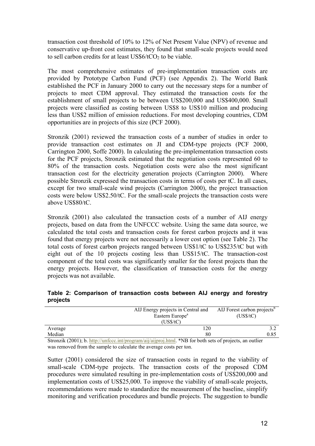transaction cost threshold of 10% to 12% of Net Present Value (NPV) of revenue and conservative up-front cost estimates, they found that small-scale projects would need to sell carbon credits for at least  $\text{US}\$6/\text{tCO}_2$  to be viable.

The most comprehensive estimates of pre-implementation transaction costs are provided by Prototype Carbon Fund (PCF) (see Appendix 2). The World Bank established the PCF in January 2000 to carry out the necessary steps for a number of projects to meet CDM approval. They estimated the transaction costs for the establishment of small projects to be between US\$200,000 and US\$400,000. Small projects were classified as costing between US\$8 to US\$10 million and producing less than US\$2 million of emission reductions. For most developing countries, CDM opportunities are in projects of this size (PCF 2000).

Stronzik (2001) reviewed the transaction costs of a number of studies in order to provide transaction cost estimates on JI and CDM-type projects (PCF 2000, Carrington 2000, Soffe 2000). In calculating the pre-implementation transaction costs for the PCF projects, Stronzik estimated that the negotiation costs represented 60 to 80% of the transaction costs. Negotiation costs were also the most significant transaction cost for the electricity generation projects (Carrington 2000). Where possible Stronzik expressed the transaction costs in terms of costs per tC. In all cases, except for two small-scale wind projects (Carrington 2000), the project transaction costs were below US\$2.50/tC. For the small-scale projects the transaction costs were above US\$80/tC.

Stronzik (2001) also calculated the transaction costs of a number of AIJ energy projects, based on data from the UNFCCC website. Using the same data source, we calculated the total costs and transaction costs for forest carbon projects and it was found that energy projects were not necessarily a lower cost option (see Table 2). The total costs of forest carbon projects ranged between US\$1/tC to US\$235/tC but with eight out of the 10 projects costing less than US\$15/tC. The transaction-cost component of the total costs was significantly smaller for the forest projects than the energy projects. However, the classification of transaction costs for the energy projects was not available.

#### **Table 2: Comparison of transaction costs between AIJ energy and forestry projects**

|         | AIJ Energy projects in Central and<br>Eastern Europe <sup>a</sup><br>(US\$/tC) | AIJ Forest carbon projects <sup>b</sup><br>(US\$/tC) |
|---------|--------------------------------------------------------------------------------|------------------------------------------------------|
| Average | 120                                                                            |                                                      |
| Median  | 80                                                                             | 0.85                                                 |

Stronzik (2001); b. http://unfccc.int/program/aij/aijproj.html. \*NB for both sets of projects, an outlier was removed from the sample to calculate the average costs per ton.

Sutter (2001) considered the size of transaction costs in regard to the viability of small-scale CDM-type projects. The transaction costs of the proposed CDM procedures were simulated resulting in pre-implementation costs of US\$200,000 and implementation costs of US\$25,000. To improve the viability of small-scale projects, recommendations were made to standardize the measurement of the baseline, simplify monitoring and verification procedures and bundle projects. The suggestion to bundle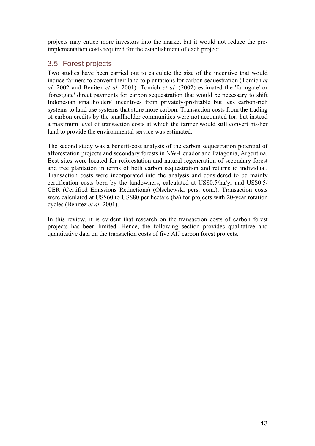projects may entice more investors into the market but it would not reduce the preimplementation costs required for the establishment of each project.

## 3.5 Forest projects

Two studies have been carried out to calculate the size of the incentive that would induce farmers to convert their land to plantations for carbon sequestration (Tomich *et al.* 2002 and Benitez *et al.* 2001). Tomich *et al.* (2002) estimated the 'farmgate' or 'forestgate' direct payments for carbon sequestration that would be necessary to shift Indonesian smallholders' incentives from privately-profitable but less carbon-rich systems to land use systems that store more carbon. Transaction costs from the trading of carbon credits by the smallholder communities were not accounted for; but instead a maximum level of transaction costs at which the farmer would still convert his/her land to provide the environmental service was estimated.

The second study was a benefit-cost analysis of the carbon sequestration potential of afforestation projects and secondary forests in NW-Ecuador and Patagonia, Argentina. Best sites were located for reforestation and natural regeneration of secondary forest and tree plantation in terms of both carbon sequestration and returns to individual. Transaction costs were incorporated into the analysis and considered to be mainly certification costs born by the landowners, calculated at US\$0.5/ha/yr and US\$0.5/ CER (Certified Emissions Reductions) (Olschewski pers. com.). Transaction costs were calculated at US\$60 to US\$80 per hectare (ha) for projects with 20-year rotation cycles (Benitez *et al.* 2001).

In this review, it is evident that research on the transaction costs of carbon forest projects has been limited. Hence, the following section provides qualitative and quantitative data on the transaction costs of five AIJ carbon forest projects.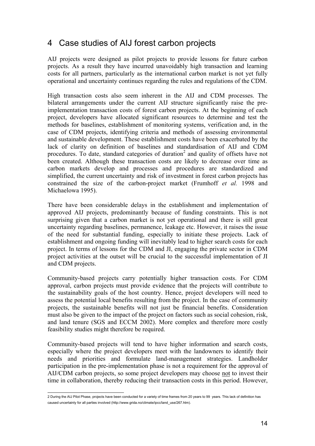## 4 Case studies of AIJ forest carbon projects

AIJ projects were designed as pilot projects to provide lessons for future carbon projects. As a result they have incurred unavoidably high transaction and learning costs for all partners, particularly as the international carbon market is not yet fully operational and uncertainty continues regarding the rules and regulations of the CDM.

High transaction costs also seem inherent in the AIJ and CDM processes. The bilateral arrangements under the current AIJ structure significantly raise the preimplementation transaction costs of forest carbon projects. At the beginning of each project, developers have allocated significant resources to determine and test the methods for baselines, establishment of monitoring systems, verification and, in the case of CDM projects, identifying criteria and methods of assessing environmental and sustainable development. These establishment costs have been exacerbated by the lack of clarity on definition of baselines and standardisation of AIJ and CDM procedures. To date, standard categories of duration<sup>2</sup> and quality of offsets have not been created. Although these transaction costs are likely to decrease over time as carbon markets develop and processes and procedures are standardized and simplified, the current uncertainty and risk of investment in forest carbon projects has constrained the size of the carbon-project market (Frumhoff *et al.* 1998 and Michaelowa 1995).

There have been considerable delays in the establishment and implementation of approved AIJ projects, predominantly because of funding constraints. This is not surprising given that a carbon market is not yet operational and there is still great uncertainty regarding baselines, permanence, leakage etc. However, it raises the issue of the need for substantial funding, especially to initiate these projects. Lack of establishment and ongoing funding will inevitably lead to higher search costs for each project. In terms of lessons for the CDM and JI, engaging the private sector in CDM project activities at the outset will be crucial to the successful implementation of JI and CDM projects.

Community-based projects carry potentially higher transaction costs. For CDM approval, carbon projects must provide evidence that the projects will contribute to the sustainability goals of the host country. Hence, project developers will need to assess the potential local benefits resulting from the project. In the case of community projects, the sustainable benefits will not just be financial benefits. Consideration must also be given to the impact of the project on factors such as social cohesion, risk, and land tenure (SGS and ECCM 2002). More complex and therefore more costly feasibility studies might therefore be required.

Community-based projects will tend to have higher information and search costs, especially where the project developers meet with the landowners to identify their needs and priorities and formulate land-management strategies. Landholder participation in the pre-implementation phase is not a requirement for the approval of AIJ/CDM carbon projects, so some project developers may choose not to invest their time in collaboration, thereby reducing their transaction costs in this period. However,

 2 During the AIJ Pilot Phase, projects have been conducted for a variety of time frames from 20 years to 99 years. This lack of definition has caused uncertainty for all parties involved (http://www.grida.no/climate/ipcc/land\_use/267.htm).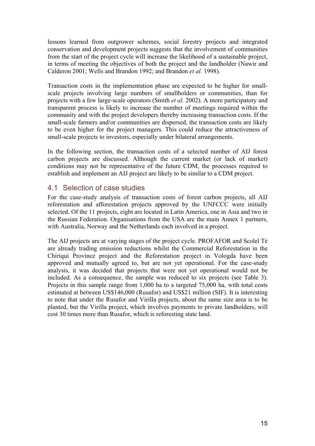lessons learned from outgrower schemes, social forestry projects and integrated conservation and development projects suggests that the involvement of communities from the start of the project cycle will increase the likelihood of a sustainable project, in terms of meeting the objectives of both the project and the landholder (Nawir and Calderon 2001; Wells and Brandon 1992; and Brandon *et al.* 1998).

Transaction costs in the implementation phase are expected to be higher for smallscale projects involving large numbers of smallholders or communities, than for projects with a few large-scale operators (Smith *et al.* 2002). A more participatory and transparent process is likely to increase the number of meetings required within the community and with the project developers thereby increasing transaction costs. If the small-scale farmers and/or communities are dispersed, the transaction costs are likely to be even higher for the project managers. This could reduce the attractiveness of small-scale projects to investors, especially under bilateral arrangements.

In the following section, the transaction costs of a selected number of AIJ forest carbon projects are discussed. Although the current market (or lack of market) conditions may not be representative of the future CDM, the processes required to establish and implement an AIJ project are likely to be similar to a CDM project.

#### 4.1 Selection of case studies

For the case-study analysis of transaction costs of forest carbon projects, all AIJ reforestation and afforestation projects approved by the UNFCCC were initially selected. Of the 11 projects, eight are located in Latin America, one in Asia and two in the Russian Federation. Organisations from the USA are the main Annex 1 partners, with Australia, Norway and the Netherlands each involved in a project.

The AIJ projects are at varying stages of the project cycle. PROFAFOR and Scolel Té are already trading emission reductions whilst the Commercial Reforestation in the Chiriqui Province project and the Reforestation project in Vologda have been approved and mutually agreed to, but are not yet operational. For the case-study analysis, it was decided that projects that were not yet operational would not be included. As a consequence, the sample was reduced to six projects (see Table 3). Projects in this sample range from 1,000 ha to a targeted 75,000 ha, with total costs estimated at between US\$146,000 (Rusafor) and US\$21 million (SIF). It is interesting to note that under the Rusafor and Virilla projects, about the same size area is to be planted, but the Virilla project, which involves payments to private landholders, will cost 30 times more than Rusafor, which is reforesting state land.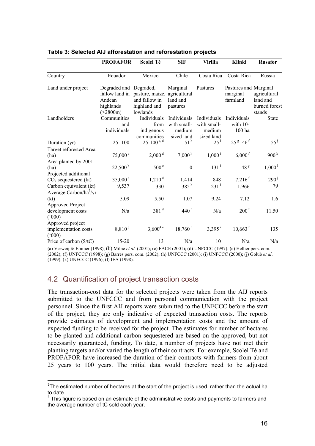|                                                                     | <b>PROFAFOR</b>                                           | <b>Scolel Té</b>                                                            | <b>SIF</b>                                         | Virilla                                            | Klinki                                        | <b>Rusafor</b>                                      |
|---------------------------------------------------------------------|-----------------------------------------------------------|-----------------------------------------------------------------------------|----------------------------------------------------|----------------------------------------------------|-----------------------------------------------|-----------------------------------------------------|
| Country                                                             | Ecuador                                                   | Mexico                                                                      | Chile                                              | Costa Rica                                         | Costa Rica                                    | Russia                                              |
| Land under project                                                  | Degraded and Degraded,<br>Andean<br>highlands<br>(>2800m) | fallow land in pasture, maize,<br>and fallow in<br>highland and<br>lowlands | Marginal<br>agricultural<br>land and<br>pastures   | Pastures                                           | Pastures and Marginal<br>marginal<br>farmland | agricultural<br>land and<br>burned forest<br>stands |
| Landholders                                                         | Communities<br>and<br>individuals                         | Individuals<br>from<br>indigenous<br>communities                            | Individuals<br>with small-<br>medium<br>sized land | Individuals<br>with small-<br>medium<br>sized land | Individuals<br>with $10-$<br>100 ha           | <b>State</b>                                        |
| Duration (yr)                                                       | $25 - 100$                                                | $25 - 100$ <sup>e, d</sup>                                                  | 51 <sup>h</sup>                                    | $25^{\mathrm{i}}$                                  | $25g - 46f$                                   | $55^{\mathrm{j}}$                                   |
| Target reforested Area<br>(ha)<br>Area planted by 2001              | $75,000^{\text{ a}}$                                      | 2,000 <sup>d</sup>                                                          | 7,000 <sup>h</sup>                                 | $1,000^{\mathrm{i}}$                               | $6,000$ <sup>f</sup>                          | 900 <sup>k</sup>                                    |
| (ha)<br>Projected additional                                        | $22,500^{\mathrm{b}}$                                     | 500 <sup>e</sup>                                                            | $\boldsymbol{0}$                                   | 131 <sup>i</sup>                                   | 48 <sup>g</sup>                               | 1,000 <sup>1</sup>                                  |
| $CO2$ sequestered (kt)                                              | $35,000^{\text{ a}}$                                      | 1,210 <sup>d</sup>                                                          | 1,414                                              | 848                                                | $7,216$ <sup>f</sup>                          | $290^{\rm j}$                                       |
| Carbon equivalent (kt)                                              | 9,537                                                     | 330                                                                         | 385 <sup>h</sup>                                   | $231^{\rm i}$                                      | 1,966                                         | 79                                                  |
| Average Carbon/ha $\frac{3}{yr}$<br>(kt)<br><b>Approved Project</b> | 5.09                                                      | 5.50                                                                        | 1.07                                               | 9.24                                               | 7.12                                          | 1.6                                                 |
| development costs<br>(000)                                          | N/a                                                       | 381 <sup>d</sup>                                                            | 440 <sup>h</sup>                                   | N/a                                                | 200 <sup>f</sup>                              | 11.50                                               |
| Approved project<br>implementation costs<br>(000)                   | $8,810^{\circ}$                                           | $3,600^{4}$ <sup>e</sup>                                                    | 18,760h                                            | $3,395$ <sup>i</sup>                               | $10,663$ <sup>f</sup>                         | 135                                                 |
| Price of carbon (\$/tC)                                             | $15 - 20$                                                 | 13                                                                          | N/a                                                | 10                                                 | N/a                                           | N/a                                                 |

#### **Table 3: Selected AIJ afforestation and reforestation projects**

(a) Verweij & Emmer (1998); (b) Milne *et al.* (2001); (c) FACE (2001); (d) UNFCCC (1997); (e) Hellier pers. com. (2002); (f) UNFCCC (1998); (g) Barres pers. com. (2002); (h) UNFCCC (2001); (i) UNFCCC (2000); (j) Golub *et al*. (1999); (k) UNFCCC (1996); (l) IEA (1998).

## 4.2 Quantification of project transaction costs

The transaction-cost data for the selected projects were taken from the AIJ reports submitted to the UNFCCC and from personal communication with the project personnel. Since the first AIJ reports were submitted to the UNFCCC before the start of the project, they are only indicative of expected transaction costs. The reports provide estimates of development and implementation costs and the amount of expected funding to be received for the project. The estimates for number of hectares to be planted and additional carbon sequestered are based on the approved, but not necessarily guaranteed, funding. To date, a number of projects have not met their planting targets and/or varied the length of their contracts. For example, Scolel Té and PROFAFOR have increased the duration of their contracts with farmers from about 25 years to 100 years. The initial data would therefore need to be adjusted

 $\overline{a}$  $3$ The estimated number of hectares at the start of the project is used, rather than the actual ha to date.

 $4$  This figure is based on an estimate of the administrative costs and payments to farmers and the average number of tC sold each year.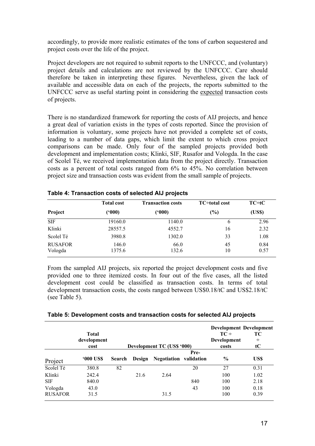accordingly, to provide more realistic estimates of the tons of carbon sequestered and project costs over the life of the project.

Project developers are not required to submit reports to the UNFCCC, and (voluntary) project details and calculations are not reviewed by the UNFCCC. Care should therefore be taken in interpreting these figures. Nevertheless, given the lack of available and accessible data on each of the projects, the reports submitted to the UNFCCC serve as useful starting point in considering the expected transaction costs of projects.

There is no standardized framework for reporting the costs of AIJ projects, and hence a great deal of variation exists in the types of costs reported. Since the provision of information is voluntary, some projects have not provided a complete set of costs, leading to a number of data gaps, which limit the extent to which cross project comparisons can be made. Only four of the sampled projects provided both development and implementation costs; Klinki, SIF, Rusafor and Vologda. In the case of Scolel Té, we received implementation data from the project directly. Transaction costs as a percent of total costs ranged from 6% to 45%. No correlation between project size and transaction costs was evident from the small sample of projects.

|                           | <b>Total cost</b> | <b>Transaction costs</b> | <b>TC</b> ÷total cost | $TC \div tC$ |
|---------------------------|-------------------|--------------------------|-----------------------|--------------|
| Project                   | (500)             | (000)                    | $(\%)$                | (USS)        |
| <b>SIF</b>                | 19160.0           | 1140.0                   | 6                     | 2.96         |
| Klinki                    | 28557.5           | 4552.7                   | 16                    | 2.32         |
| Scolel Té                 | 3980.8            | 1302.0                   | 33                    | 1.08         |
| <b>RUSAFOR</b><br>Vologda | 146.0<br>1375.6   | 66.0<br>132.6            | 45<br>10              | 0.84<br>0.57 |

|  | Table 4: Transaction costs of selected AIJ projects |  |  |  |  |
|--|-----------------------------------------------------|--|--|--|--|
|--|-----------------------------------------------------|--|--|--|--|

From the sampled AIJ projects, six reported the project development costs and five provided one to three itemized costs. In four out of the five cases, all the listed development cost could be classified as transaction costs. In terms of total development transaction costs, the costs ranged between US\$0.18/tC and US\$2.18/tC (see Table 5).

| Table 5: Development costs and transaction costs for selected AIJ projects |  |
|----------------------------------------------------------------------------|--|
|----------------------------------------------------------------------------|--|

|                           | <b>Total</b><br>development<br>cost |               |        | Development TC (US\$ '000)    |      | $TC \div$<br>Development<br>costs | <b>Development Development</b><br>TС<br>÷<br>$\mathbf{t} \mathbf{C}$ |
|---------------------------|-------------------------------------|---------------|--------|-------------------------------|------|-----------------------------------|----------------------------------------------------------------------|
| Project                   | <b>'000 US\$</b>                    | <b>Search</b> | Design | <b>Negotiation</b> validation | Pre- | $\frac{6}{6}$                     | US\$                                                                 |
| Scolel Té                 | 380.8                               | 82            |        |                               | 20   | 27                                | 0.31                                                                 |
| Klinki<br><b>SIF</b>      | 242.4<br>840.0                      |               | 21.6   | 2.64                          | 840  | 100<br>100                        | 1.02<br>2.18                                                         |
| Vologda<br><b>RUSAFOR</b> | 43.0<br>31.5                        |               |        | 31.5                          | 43   | 100<br>100                        | 0.18<br>0.39                                                         |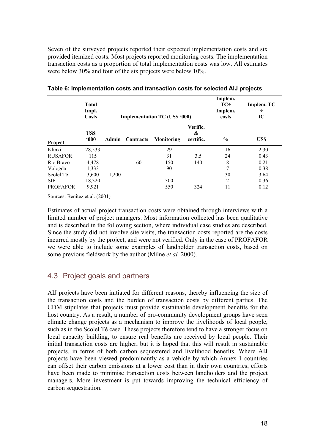Seven of the surveyed projects reported their expected implementation costs and six provided itemized costs. Most projects reported monitoring costs. The implementation transaction costs as a proportion of total implementation costs was low. All estimates were below 30% and four of the six projects were below 10%.

|                 | <b>Total</b><br>Impl.<br><b>Costs</b> |       |                        | <b>Implementation TC (US\$ '000)</b> |                            | Implem.<br>$TC^+$<br>Implem.<br>costs | Implem. TC<br>÷<br>tC |
|-----------------|---------------------------------------|-------|------------------------|--------------------------------------|----------------------------|---------------------------------------|-----------------------|
| Project         | US\$<br>600                           |       | <b>Admin</b> Contracts | <b>Monitoring</b>                    | Verific.<br>&<br>certific. | $\frac{0}{0}$                         | US\$                  |
| Klinki          | 28,533                                |       |                        | 29                                   |                            | 16                                    | 2.30                  |
| <b>RUSAFOR</b>  | 115                                   |       |                        | 31                                   | 3.5                        | 24                                    | 0.43                  |
| Rio Bravo       | 4,478                                 |       | 60                     | 150                                  | 140                        | 8                                     | 0.21                  |
| Vologda         | 1,333                                 |       |                        | 90                                   |                            | 7                                     | 0.38                  |
| Scolel Té       | 3,600                                 | 1,200 |                        |                                      |                            | 30                                    | 3.64                  |
| <b>SIF</b>      | 18,320                                |       |                        | 300                                  |                            | 2                                     | 0.36                  |
| <b>PROFAFOR</b> | 9,921                                 |       |                        | 550                                  | 324                        | 11                                    | 0.12                  |

#### **Table 6: Implementation costs and transaction costs for selected AIJ projects**

Sources: Benitez et al. (2001)

Estimates of actual project transaction costs were obtained through interviews with a limited number of project managers. Most information collected has been qualitative and is described in the following section, where individual case studies are described. Since the study did not involve site visits, the transaction costs reported are the costs incurred mostly by the project, and were not verified. Only in the case of PROFAFOR we were able to include some examples of landholder transaction costs, based on some previous fieldwork by the author (Milne *et al.* 2000).

#### 4.3 Project goals and partners

AIJ projects have been initiated for different reasons, thereby influencing the size of the transaction costs and the burden of transaction costs by different parties. The CDM stipulates that projects must provide sustainable development benefits for the host country. As a result, a number of pro-community development groups have seen climate change projects as a mechanism to improve the livelihoods of local people, such as in the Scolel Té case. These projects therefore tend to have a stronger focus on local capacity building, to ensure real benefits are received by local people. Their initial transaction costs are higher, but it is hoped that this will result in sustainable projects, in terms of both carbon sequestered and livelihood benefits. Where AIJ projects have been viewed predominantly as a vehicle by which Annex 1 countries can offset their carbon emissions at a lower cost than in their own countries, efforts have been made to minimise transaction costs between landholders and the project managers. More investment is put towards improving the technical efficiency of carbon sequestration.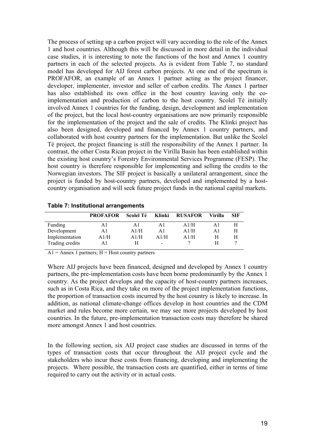The process of setting up a carbon project will vary according to the role of the Annex 1 and host countries. Although this will be discussed in more detail in the individual case studies, it is interesting to note the functions of the host and Annex 1 country partners in each of the selected projects. As is evident from Table 7, no standard model has developed for AIJ forest carbon projects. At one end of the spectrum is PROFAFOR, an example of an Annex 1 partner acting as the project financer, developer, implementer, investor and seller of carbon credits. The Annex 1 partner has also established its own office in the host country leaving only the coimplementation and production of carbon to the host country. Scolel Té initially involved Annex 1 countries for the funding, design, development and implementation of the project, but the local host-country organisations are now primarily responsible for the implementation of the project and the sale of credits. The Klinki project has also been designed, developed and financed by Annex 1 country partners, and collaborated with host country partners for the implementation. But unlike the Scolel Té project, the project financing is still the responsibility of the Annex 1 partner. In contrast, the other Costa Rican project in the Virilla Basin has been established within the existing host country's Forestry Environmental Services Programme (FESP). The host country is therefore responsible for implementing and selling the credits to the Norwegian investors. The SIF project is basically a unilateral arrangement, since the project is funded by host-country partners, developed and implemented by a hostcountry organisation and will seek future project funds in the national capital markets.

|                 | <b>PROFAFOR</b> | Scolel Té | Klinki | <b>RUSAFOR</b> | Virilla | <b>SIF</b> |
|-----------------|-----------------|-----------|--------|----------------|---------|------------|
| Funding         | A1              | ΑI        | Αl     | A1/H           | A l     |            |
| Development     | A1              | A1/H      | Αl     | A1/H           | A1      | Н          |
| Implementation  | A1/H            | A1/H      | A1/H   | A1/H           |         | Н          |
| Trading credits | A1              | н         |        |                |         |            |

**Table 7: Institutional arrangements** 

 $A1$  = Annex 1 partners; H = Host country partners

Where AIJ projects have been financed, designed and developed by Annex 1 country partners, the pre-implementation costs have been borne predominantly by the Annex 1 country. As the project develops and the capacity of host-country partners increases, such as in Costa Rica, and they take on more of the project implementation functions, the proportion of transaction costs incurred by the host country is likely to increase. In addition, as national climate-change offices develop in host countries and the CDM market and rules become more certain, we may see more projects developed by host countries. In the future, pre-implementation transaction costs may therefore be shared more amongst Annex 1 and host countries.

In the following section, six AIJ project case studies are discussed in terms of the types of transaction costs that occur throughout the AIJ project cycle and the stakeholders who incur these costs from financing, developing and implementing the projects. Where possible, the transaction costs are quantified, either in terms of time required to carry out the activity or in actual costs.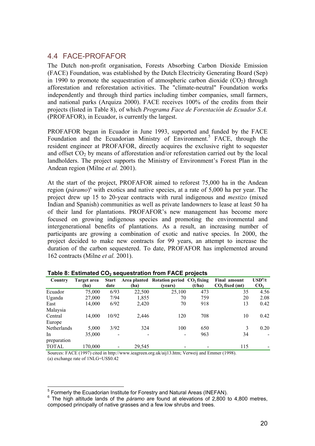#### 4.4 FACE-PROFAFOR

The Dutch non-profit organisation, Forests Absorbing Carbon Dioxide Emission (FACE) Foundation, was established by the Dutch Electricity Generating Board (Sep) in 1990 to promote the sequestration of atmospheric carbon dioxide  $(CO<sub>2</sub>)$  through afforestation and reforestation activities. The "climate-neutral" Foundation works independently and through third parties including timber companies, small farmers, and national parks (Arquiza 2000). FACE receives 100% of the credits from their projects (listed in Table 8), of which *Programa Face de Forestación de Ecuador S.A.* (PROFAFOR), in Ecuador, is currently the largest.

PROFAFOR began in Ecuador in June 1993, supported and funded by the FACE Foundation and the Ecuadorian Ministry of Environment.<sup>5</sup> FACE, through the resident engineer at PROFAFOR, directly acquires the exclusive right to sequester and offset  $CO<sub>2</sub>$  by means of afforestation and/or reforestation carried out by the local landholders. The project supports the Ministry of Environment's Forest Plan in the Andean region (Milne *et al.* 2001).

At the start of the project, PROFAFOR aimed to reforest 75,000 ha in the Andean region (*páramo*)<sup>6</sup> with exotics and native species, at a rate of 5,000 ha per year. The project drew up 15 to 20-year contracts with rural indigenous and *mestizo* (mixed Indian and Spanish) communities as well as private landowners to lease at least 50 ha of their land for plantations. PROFAFOR's new management has become more focused on growing indigenous species and promoting the environmental and intergenerational benefits of plantations. As a result, an increasing number of participants are growing a combination of exotic and native species. In 2000, the project decided to make new contracts for 99 years, an attempt to increase the duration of the carbon sequestered. To date, PROFAFOR has implemented around 162 contracts (Milne *et al.* 2001).

| Country      | Target area | <b>Start</b>             |        | Area planted Rotation period CO, fixing |        | Final amount     | $\bf{USD}^a/t$  |
|--------------|-------------|--------------------------|--------|-----------------------------------------|--------|------------------|-----------------|
|              | (ha)        | date                     | (ha)   | (vears)                                 | (t/ha) | $CO2$ fixed (mt) | CO <sub>2</sub> |
| Ecuador      | 75,000      | 6/93                     | 22,500 | 25,100                                  | 473    | 35               | 4.56            |
| Uganda       | 27,000      | 7/94                     | 1,855  | 70                                      | 759    | 20               | 2.08            |
| East         | 14,000      | 6/92                     | 2,420  | 70                                      | 918    | 13               | 0.42            |
| Malaysia     |             |                          |        |                                         |        |                  |                 |
| Central      | 14.000      | 10/92                    | 2,446  | 120                                     | 708    | 10               | 0.42            |
| Europe       |             |                          |        |                                         |        |                  |                 |
| Netherlands  | 5,000       | 3/92                     | 324    | 100                                     | 650    |                  | 0.20            |
| In           | 35,000      | $\overline{\phantom{a}}$ |        | $\blacksquare$                          | 963    | 34               |                 |
| preparation  |             |                          |        |                                         |        |                  |                 |
| <b>TOTAL</b> | 170,000     |                          | 29,545 |                                         |        | 115              |                 |

Table 8: Estimated CO<sub>2</sub> sequestration from FACE projects

Sources: FACE (1997) cited in http://www.ieagreen.org.uk/aij13.htm; Verweij and Emmer (1998). (a) exchange rate of 1NLG=US\$0.42

 $\overline{a}$ 

 $^5$  Formerly the Ecuadorian Institute for Forestry and Natural Areas (INEFAN).<br> $^6$  The high elittude lands of the nárome are found at elevations of 2,800 t

<sup>&</sup>lt;sup>6</sup> The high altitude lands of the *páramo* are found at elevations of 2,800 to 4,800 metres, composed principally of native grasses and a few low shrubs and trees.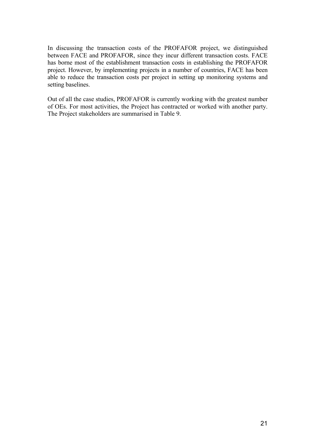In discussing the transaction costs of the PROFAFOR project, we distinguished between FACE and PROFAFOR, since they incur different transaction costs. FACE has borne most of the establishment transaction costs in establishing the PROFAFOR project. However, by implementing projects in a number of countries, FACE has been able to reduce the transaction costs per project in setting up monitoring systems and setting baselines.

Out of all the case studies, PROFAFOR is currently working with the greatest number of OEs. For most activities, the Project has contracted or worked with another party. The Project stakeholders are summarised in Table 9.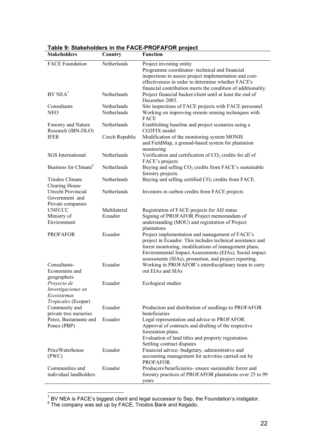| <b>Stakeholders</b>                             | Country        | <b>Function</b>                                                                                                    |
|-------------------------------------------------|----------------|--------------------------------------------------------------------------------------------------------------------|
| <b>FACE Foundation</b>                          | Netherlands    | Project investing entity                                                                                           |
|                                                 |                | Programme coordinator-technical and financial                                                                      |
|                                                 |                | inspections to assess project implementation and cost-                                                             |
|                                                 |                | effectiveness in order to determine whether FACE's                                                                 |
| $BV NEA^7$                                      |                | financial contribution meets the condition of additionality.                                                       |
|                                                 | Netherlands    | Project financial backer/client until at least the end of<br>December 2003.                                        |
| Consultants                                     | Netherlands    | Site inspections of FACE projects with FACE personnel                                                              |
| <b>NEO</b>                                      | Netherlands    | Working on improving remote sensing techniques with<br>FACE                                                        |
| Forestry and Nature<br>Research (IBN-DLO)       | Netherlands    | Establishing baseline and project scenarios using a<br>CO2FIX model                                                |
| <b>IFER</b>                                     | Czech Republic | Modification of the monitoring system MONIS                                                                        |
|                                                 |                | and FieldMap, a ground-based system for plantation                                                                 |
| <b>SGS</b> International                        | Netherlands    | monitoring<br>Verification and certification of $CO2$ credits for all of                                           |
|                                                 |                | FACE's projects                                                                                                    |
| Business for Climate <sup>8</sup>               | Netherlands    | Buying and selling $CO2$ credits from FACE's sustainable                                                           |
|                                                 |                | forestry projects.                                                                                                 |
| <b>Triodos Climate</b>                          | Netherlands    | Buying and selling certified $CO2$ credits from FACE.                                                              |
| Clearing House                                  |                |                                                                                                                    |
| <b>Utrecht Provincial</b>                       | Netherlands    | Investors in carbon credits from FACE projects                                                                     |
| Government and                                  |                |                                                                                                                    |
| Private companies                               | Multilateral   |                                                                                                                    |
| <b>UNFCCC</b><br>Ministry of                    | Ecuador        | Registration of FACE projects for AIJ status<br>Signing of PROFAFOR Project memorandum of                          |
| Environment                                     |                | understanding (MOU) and registration of Project                                                                    |
|                                                 |                | plantations                                                                                                        |
| <b>PROFAFOR</b>                                 | Ecuador        | Project implementation and management of FACE's                                                                    |
|                                                 |                | project in Ecuador. This includes technical assistance and                                                         |
|                                                 |                | forest monitoring, modifications of management plans,                                                              |
|                                                 |                | Environmental Impact Assessments (EIAs), Social impact                                                             |
| Consultants-                                    | Ecuador        | assessments (SIAs), promotion, and project reporting.<br>Working in PROFAFOR's interdisciplinary team to carry     |
| Economists and                                  |                | out EIAs and SIAs                                                                                                  |
| geographers                                     |                |                                                                                                                    |
| Proyecto de                                     | Ecuador        | Ecological studies                                                                                                 |
| Investigaciones en                              |                |                                                                                                                    |
| Ecosistemas                                     |                |                                                                                                                    |
| Tropicales (Ecopar)                             |                |                                                                                                                    |
| Community and                                   | Ecuador        | Production and distribution of seedlings to PROFAFOR<br>beneficiaries                                              |
| private tree nurseries<br>Perez, Bustamante and | Ecuador        | Legal representation and advice to PROFAFOR.                                                                       |
| Ponce (PBP)                                     |                | Approval of contracts and drafting of the respective                                                               |
|                                                 |                | forestation plans.                                                                                                 |
|                                                 |                | Evaluation of land titles and property registration.                                                               |
|                                                 |                | Settling contract disputes                                                                                         |
| PriceWaterhouse                                 | Ecuador        | Financial advice- budgetary, administrative and                                                                    |
| (PWC)                                           |                | accounting management for activities carried out by                                                                |
|                                                 |                | PROFAFOR.                                                                                                          |
| Communities and<br>individual landholders       | Ecuador        | Producers/beneficiaries- ensure sustainable forest and<br>forestry practices of PROFAFOR plantations over 25 to 99 |
|                                                 |                | years                                                                                                              |
|                                                 |                |                                                                                                                    |

## **Table 9: Stakeholders in the FACE-PROFAFOR project**

<sup>7&</sup>lt;br><sup>7</sup> BV NEA is FACE's biggest client and legal successor to Sep, the Foundation's instigator.<br><sup>8</sup> The company was set up by FACE, Triodos Bank and Kegado.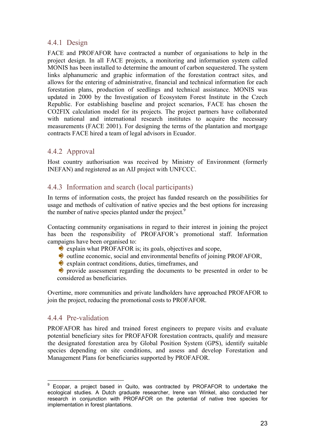#### 4.4.1 Design

FACE and PROFAFOR have contracted a number of organisations to help in the project design. In all FACE projects, a monitoring and information system called MONIS has been installed to determine the amount of carbon sequestered. The system links alphanumeric and graphic information of the forestation contract sites, and allows for the entering of administrative, financial and technical information for each forestation plans, production of seedlings and technical assistance. MONIS was updated in 2000 by the Investigation of Ecosystem Forest Institute in the Czech Republic. For establishing baseline and project scenarios, FACE has chosen the CO2FIX calculation model for its projects. The project partners have collaborated with national and international research institutes to acquire the necessary measurements (FACE 2001). For designing the terms of the plantation and mortgage contracts FACE hired a team of legal advisors in Ecuador.

#### 4.4.2 Approval

Host country authorisation was received by Ministry of Environment (formerly INEFAN) and registered as an AIJ project with UNFCCC.

#### 4.4.3 Information and search (local participants)

In terms of information costs, the project has funded research on the possibilities for usage and methods of cultivation of native species and the best options for increasing the number of native species planted under the project.<sup>9</sup>

Contacting community organisations in regard to their interest in joining the project has been the responsibility of PROFAFOR's promotional staff. Information campaigns have been organised to:

- $\bullet$  explain what PROFAFOR is; its goals, objectives and scope,
- $\bullet$  outline economic, social and environmental benefits of joining PROFAFOR,
- $\bullet$  explain contract conditions, duties, timeframes, and

 provide assessment regarding the documents to be presented in order to be considered as beneficiaries.

Overtime, more communities and private landholders have approached PROFAFOR to join the project, reducing the promotional costs to PROFAFOR.

#### 4.4.4 Pre-validation

 $\overline{a}$ 

PROFAFOR has hired and trained forest engineers to prepare visits and evaluate potential beneficiary sites for PROFAFOR forestation contracts, qualify and measure the designated forestation area by Global Position System (GPS), identify suitable species depending on site conditions, and assess and develop Forestation and Management Plans for beneficiaries supported by PROFAFOR.

<sup>9</sup> Ecopar, a project based in Quito, was contracted by PROFAFOR to undertake the ecological studies. A Dutch graduate researcher, Irene van Winkel, also conducted her research in conjunction with PROFAFOR on the potential of native tree species for implementation in forest plantations.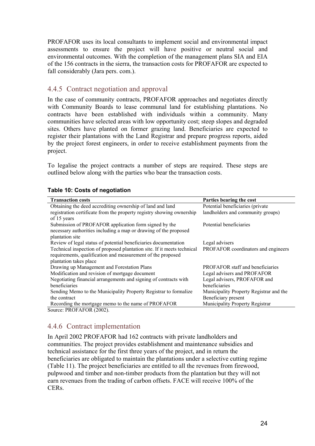PROFAFOR uses its local consultants to implement social and environmental impact assessments to ensure the project will have positive or neutral social and environmental outcomes. With the completion of the management plans SIA and EIA of the 156 contracts in the sierra, the transaction costs for PROFAFOR are expected to fall considerably (Jara pers. com.).

#### 4.4.5 Contract negotiation and approval

In the case of community contracts, PROFAFOR approaches and negotiates directly with Community Boards to lease communal land for establishing plantations. No contracts have been established with individuals within a community. Many communities have selected areas with low opportunity cost; steep slopes and degraded sites. Others have planted on former grazing land. Beneficiaries are expected to register their plantations with the Land Registrar and prepare progress reports, aided by the project forest engineers, in order to receive establishment payments from the project.

To legalise the project contracts a number of steps are required. These steps are outlined below along with the parties who bear the transaction costs.

| <b>Transaction costs</b>                                                | Parties bearing the cost                |
|-------------------------------------------------------------------------|-----------------------------------------|
| Obtaining the deed accrediting ownership of land and land               | Potential beneficiaries (private        |
| registration certificate from the property registry showing ownership   | landholders and community groups)       |
| of 15 years                                                             |                                         |
| Submission of PROFAFOR application form signed by the                   | Potential beneficiaries                 |
| necessary authorities including a map or drawing of the proposed        |                                         |
| plantation site                                                         |                                         |
| Review of legal status of potential beneficiaries documentation         | Legal advisers                          |
| Technical inspection of proposed plantation site. If it meets technical | PROFAFOR coordinators and engineers     |
| requirements, qualification and measurement of the proposed             |                                         |
| plantation takes place                                                  |                                         |
| Drawing up Management and Forestation Plans                             | <b>PROFAFOR</b> staff and beneficiaries |
| Modification and revision of mortgage document                          | Legal advisers and PROFAFOR             |
| Negotiating financial arrangements and signing of contracts with        | Legal advisers, PROFAFOR and            |
| beneficiaries                                                           | beneficiaries                           |
| Sending Memo to the Municipality Property Registrar to formalize        | Municipality Property Registrar and the |
| the contract                                                            | Beneficiary present                     |
| Recording the mortgage memo to the name of PROFAFOR                     | Municipality Property Registrar         |
| Source: PROFAFOR (2002).                                                |                                         |

#### **Table 10: Costs of negotiation**

#### 4.4.6 Contract implementation

In April 2002 PROFAFOR had 162 contracts with private landholders and communities. The project provides establishment and maintenance subsidies and technical assistance for the first three years of the project, and in return the beneficiaries are obligated to maintain the plantations under a selective cutting regime (Table 11). The project beneficiaries are entitled to all the revenues from firewood, pulpwood and timber and non-timber products from the plantation but they will not earn revenues from the trading of carbon offsets. FACE will receive 100% of the CERs.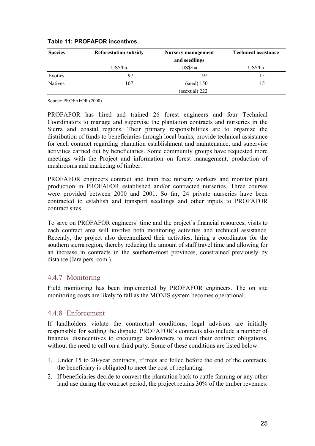| <b>Species</b> | <b>Reforestation subsidy</b> | <b>Nursery management</b> | <b>Technical assistance</b> |
|----------------|------------------------------|---------------------------|-----------------------------|
|                |                              | and seedlings             |                             |
|                | US\$/ha                      | US\$/ha                   | US\$/ha                     |
| Exotics        | 97                           | 92                        | 15                          |
| <b>Natives</b> | 107                          | $(seed)$ 150              | 15                          |
|                |                              | (asexual) $222$           |                             |

#### **Table 11: PROFAFOR incentives**

Source: PROFAFOR (2000)

PROFAFOR has hired and trained 26 forest engineers and four Technical Coordinators to manage and supervise the plantation contracts and nurseries in the Sierra and coastal regions. Their primary responsibilities are to organize the distribution of funds to beneficiaries through local banks, provide technical assistance for each contract regarding plantation establishment and maintenance, and supervise activities carried out by beneficiaries. Some community groups have requested more meetings with the Project and information on forest management, production of mushrooms and marketing of timber.

PROFAFOR engineers contract and train tree nursery workers and monitor plant production in PROFAFOR established and/or contracted nurseries. Three courses were provided between 2000 and 2001. So far, 24 private nurseries have been contracted to establish and transport seedlings and other inputs to PROFAFOR contract sites.

To save on PROFAFOR engineers' time and the project's financial resources, visits to each contract area will involve both monitoring activities and technical assistance. Recently, the project also decentralized their activities, hiring a coordinator for the southern sierra region, thereby reducing the amount of staff travel time and allowing for an increase in contracts in the southern-most provinces, constrained previously by distance (Jara pers. com.).

#### 4.4.7 Monitoring

Field monitoring has been implemented by PROFAFOR engineers. The on site monitoring costs are likely to fall as the MONIS system becomes operational.

#### 4.4.8 Enforcement

If landholders violate the contractual conditions, legal advisors are initially responsible for settling the dispute. PROFAFOR's contracts also include a number of financial disincentives to encourage landowners to meet their contract obligations, without the need to call on a third party. Some of these conditions are listed below:

- 1. Under 15 to 20-year contracts, if trees are felled before the end of the contracts, the beneficiary is obligated to meet the cost of replanting.
- 2. If beneficiaries decide to convert the plantation back to cattle farming or any other land use during the contract period, the project retains 30% of the timber revenues.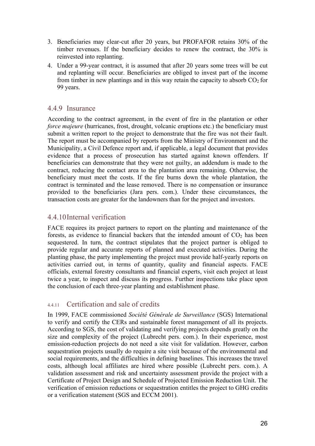- 3. Beneficiaries may clear-cut after 20 years, but PROFAFOR retains 30% of the timber revenues. If the beneficiary decides to renew the contract, the 30% is reinvested into replanting.
- 4. Under a 99-year contract, it is assumed that after 20 years some trees will be cut and replanting will occur. Beneficiaries are obliged to invest part of the income from timber in new plantings and in this way retain the capacity to absorb  $CO<sub>2</sub>$  for 99 years.

#### 4.4.9 Insurance

According to the contract agreement, in the event of fire in the plantation or other *force majeure* (hurricanes, frost, drought, volcanic eruptions etc.) the beneficiary must submit a written report to the project to demonstrate that the fire was not their fault. The report must be accompanied by reports from the Ministry of Environment and the Municipality, a Civil Defence report and, if applicable, a legal document that provides evidence that a process of prosecution has started against known offenders. If beneficiaries can demonstrate that they were not guilty, an addendum is made to the contract, reducing the contact area to the plantation area remaining. Otherwise, the beneficiary must meet the costs. If the fire burns down the whole plantation, the contract is terminated and the lease removed. There is no compensation or insurance provided to the beneficiaries (Jara pers. com.). Under these circumstances, the transaction costs are greater for the landowners than for the project and investors.

#### 4.4.10 Internal verification

FACE requires its project partners to report on the planting and maintenance of the forests, as evidence to financial backers that the intended amount of  $CO<sub>2</sub>$  has been sequestered. In turn, the contract stipulates that the project partner is obliged to provide regular and accurate reports of planned and executed activities. During the planting phase, the party implementing the project must provide half-yearly reports on activities carried out, in terms of quantity, quality and financial aspects. FACE officials, external forestry consultants and financial experts, visit each project at least twice a year, to inspect and discuss its progress. Further inspections take place upon the conclusion of each three-year planting and establishment phase.

#### 4.4.11 Certification and sale of credits

In 1999, FACE commissioned *Société Générale de Surveillance* (SGS) International to verify and certify the CERs and sustainable forest management of all its projects. According to SGS, the cost of validating and verifying projects depends greatly on the size and complexity of the project (Lubrecht pers. com.). In their experience, most emission-reduction projects do not need a site visit for validation. However, carbon sequestration projects usually do require a site visit because of the environmental and social requirements, and the difficulties in defining baselines. This increases the travel costs, although local affiliates are hired where possible (Lubrecht pers. com.). A validation assessment and risk and uncertainty assessment provide the project with a Certificate of Project Design and Schedule of Projected Emission Reduction Unit. The verification of emission reductions or sequestration entitles the project to GHG credits or a verification statement (SGS and ECCM 2001).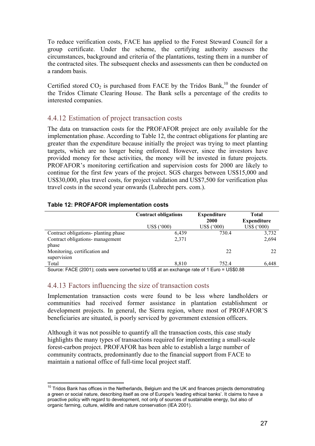To reduce verification costs, FACE has applied to the Forest Steward Council for a group certificate. Under the scheme, the certifying authority assesses the circumstances, background and criteria of the plantations, testing them in a number of the contracted sites. The subsequent checks and assessments can then be conducted on a random basis.

Certified stored  $CO<sub>2</sub>$  is purchased from FACE by the Tridos Bank,<sup>10</sup> the founder of the Tridos Climate Clearing House. The Bank sells a percentage of the credits to interested companies.

#### 4.4.12 Estimation of project transaction costs

The data on transaction costs for the PROFAFOR project are only available for the implementation phase. According to Table 12, the contract obligations for planting are greater than the expenditure because initially the project was trying to meet planting targets, which are no longer being enforced. However, since the investors have provided money for these activities, the money will be invested in future projects. PROFAFOR's monitoring certification and supervision costs for 2000 are likely to continue for the first few years of the project. SGS charges between US\$15,000 and US\$30,000, plus travel costs, for project validation and US\$7,500 for verification plus travel costs in the second year onwards (Lubrecht pers. com.).

| Table IZ. I INDI AT UN IMPIGNIGHAMUM COSIS |                             |                    |                    |  |
|--------------------------------------------|-----------------------------|--------------------|--------------------|--|
|                                            | <b>Contract obligations</b> | <b>Expenditure</b> | Total              |  |
|                                            |                             | 2000               | <b>Expenditure</b> |  |
|                                            | US\$ ('000)                 | US\$ ('000)        | US\$ ('000)        |  |
| Contract obligations- planting phase       | 6.439                       | 730.4              | 3,732              |  |
| Contract obligations- management           | 2,371                       |                    | 2,694              |  |
| phase                                      |                             |                    |                    |  |
| Monitoring, certification and              |                             | 22                 | 22                 |  |

#### **Table 12: PROFAFOR implementation costs**

supervision

 $\overline{a}$ 

Total 6,448 **8,810** 752.4 6,448 Source: FACE (2001); costs were converted to US\$ at an exchange rate of 1 Euro = US\$0.88

#### 4.4.13 Factors influencing the size of transaction costs

Implementation transaction costs were found to be less where landholders or communities had received former assistance in plantation establishment or development projects. In general, the Sierra region, where most of PROFAFOR'S beneficiaries are situated, is poorly serviced by government extension officers.

Although it was not possible to quantify all the transaction costs, this case study highlights the many types of transactions required for implementing a small-scale forest-carbon project. PROFAFOR has been able to establish a large number of community contracts, predominantly due to the financial support from FACE to maintain a national office of full-time local project staff.

 $10$  Tridos Bank has offices in the Netherlands, Belgium and the UK and finances projects demonstrating a green or social nature, describing itself as one of Europe's 'leading ethical banks'. It claims to have a proactive policy with regard to development, not only of sources of sustainable energy, but also of organic farming, culture, wildlife and nature conservation (IEA 2001).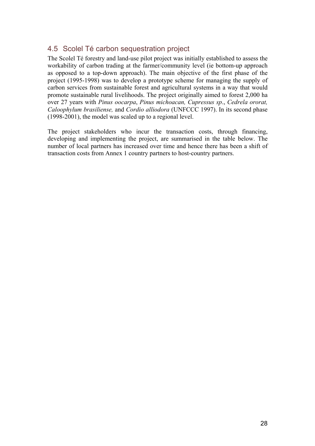## 4.5 Scolel Té carbon sequestration project

The Scolel Té forestry and land-use pilot project was initially established to assess the workability of carbon trading at the farmer/community level (ie bottom-up approach as opposed to a top-down approach). The main objective of the first phase of the project (1995-1998) was to develop a prototype scheme for managing the supply of carbon services from sustainable forest and agricultural systems in a way that would promote sustainable rural livelihoods. The project originally aimed to forest 2,000 ha over 27 years with *Pinus oocarpa*, *Pinus michoacan, Cupressus sp*., *Cedrela ororat, Caloophylum brasiliense,* and *Cordio alliodora* (UNFCCC 1997). In its second phase (1998-2001), the model was scaled up to a regional level.

The project stakeholders who incur the transaction costs, through financing, developing and implementing the project, are summarised in the table below. The number of local partners has increased over time and hence there has been a shift of transaction costs from Annex 1 country partners to host-country partners.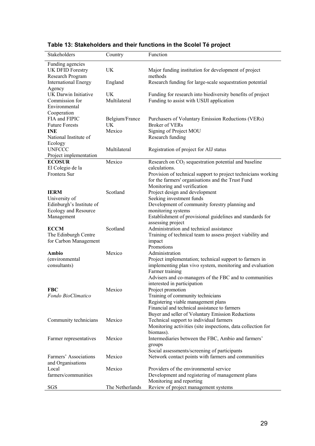| Stakeholders                     | Country         | Function                                                                                                           |
|----------------------------------|-----------------|--------------------------------------------------------------------------------------------------------------------|
| Funding agencies                 |                 |                                                                                                                    |
| UK DFID Forestry                 | <b>UK</b>       | Major funding institution for development of project                                                               |
| Research Program                 |                 | methods                                                                                                            |
| <b>International Energy</b>      | England         | Research funding for large-scale sequestration potential                                                           |
| Agency                           |                 |                                                                                                                    |
| UK Darwin Initiative             | UK              | Funding for research into biodiversity benefits of project                                                         |
| Commission for                   | Multilateral    | Funding to assist with USIJI application                                                                           |
| Environmental                    |                 |                                                                                                                    |
| Cooperation                      |                 |                                                                                                                    |
| FIA and FIPIC                    | Belgium/France  | Purchasers of Voluntary Emission Reductions (VERs)                                                                 |
| <b>Future Forests</b>            | <b>UK</b>       | Broker of VERs                                                                                                     |
| <b>INE</b>                       | Mexico          | Signing of Project MOU                                                                                             |
| National Institute of            |                 | Research funding                                                                                                   |
| Ecology                          |                 |                                                                                                                    |
| <b>UNFCCC</b>                    | Multilateral    | Registration of project for AIJ status                                                                             |
| Project implementation           |                 |                                                                                                                    |
| <b>ECOSUR</b>                    | Mexico          | Research on $CO2$ sequestration potential and baseline<br>calculations.                                            |
| El Colegio de la<br>Frontera Sur |                 |                                                                                                                    |
|                                  |                 | Provision of technical support to project technicians working<br>for the farmers' organisations and the Trust Fund |
|                                  |                 | Monitoring and verification                                                                                        |
| <b>IERM</b>                      | Scotland        | Project design and development                                                                                     |
| University of                    |                 | Seeking investment funds                                                                                           |
| Edinburgh's Institute of         |                 | Development of community forestry planning and                                                                     |
| Ecology and Resource             |                 | monitoring systems                                                                                                 |
| Management                       |                 | Establishment of provisional guidelines and standards for                                                          |
|                                  |                 | assessing project                                                                                                  |
| <b>ECCM</b>                      | Scotland        | Administration and technical assistance                                                                            |
| The Edinburgh Centre             |                 | Training of technical team to assess project viability and                                                         |
| for Carbon Management            |                 | impact                                                                                                             |
|                                  |                 | Promotions                                                                                                         |
| Ambio                            | Mexico          | Administration                                                                                                     |
| (environmental                   |                 | Project implementation; technical support to farmers in                                                            |
| consultants)                     |                 | implementing plan vivo system, monitoring and evaluation                                                           |
|                                  |                 | Farmer training                                                                                                    |
|                                  |                 | Advisers and co-managers of the FBC and to communities                                                             |
|                                  |                 | interested in participation                                                                                        |
| <b>FBC</b>                       | Mexico          | Project promotion                                                                                                  |
| Fondo BioClimatico               |                 | Training of community technicians                                                                                  |
|                                  |                 | Registering viable management plans                                                                                |
|                                  |                 | Financial and technical assistance to farmers                                                                      |
|                                  |                 | Buyer and seller of Voluntary Emission Reductions                                                                  |
| Community technicians            | Mexico          | Technical support to individual farmers                                                                            |
|                                  |                 | Monitoring activities (site inspections, data collection for<br>biomass).                                          |
| Farmer representatives           | Mexico          | Intermediaries between the FBC, Ambio and farmers'                                                                 |
|                                  |                 | groups                                                                                                             |
|                                  |                 | Social assessments/screening of participants                                                                       |
| Farmers' Associations            | Mexico          | Network contact points with farmers and communities                                                                |
| and Organisations                |                 |                                                                                                                    |
| Local                            | Mexico          | Providers of the environmental service                                                                             |
| farmers/communities              |                 | Development and registering of management plans                                                                    |
|                                  |                 | Monitoring and reporting                                                                                           |
| SGS                              | The Netherlands | Review of project management systems                                                                               |

## **Table 13: Stakeholders and their functions in the Scolel Té project**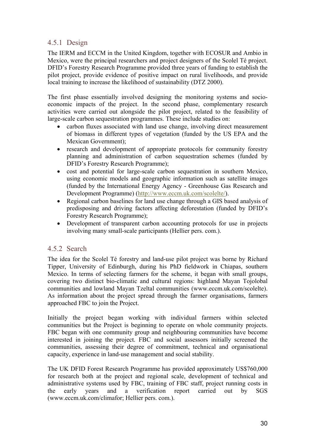### 4.5.1 Design

The IERM and ECCM in the United Kingdom, together with ECOSUR and Ambio in Mexico, were the principal researchers and project designers of the Scolel Té project. DFID's Forestry Research Programme provided three years of funding to establish the pilot project, provide evidence of positive impact on rural livelihoods, and provide local training to increase the likelihood of sustainability (DTZ 2000).

The first phase essentially involved designing the monitoring systems and socioeconomic impacts of the project. In the second phase, complementary research activities were carried out alongside the pilot project, related to the feasibility of large-scale carbon sequestration programmes. These include studies on:

- carbon fluxes associated with land use change, involving direct measurement of biomass in different types of vegetation (funded by the US EPA and the Mexican Government);
- research and development of appropriate protocols for community forestry planning and administration of carbon sequestration schemes (funded by DFID's Forestry Research Programme);
- cost and potential for large-scale carbon sequestration in southern Mexico, using economic models and geographic information such as satellite images (funded by the International Energy Agency - Greenhouse Gas Research and Development Programme) (http://www.eccm.uk.com/scolelte/).
- Regional carbon baselines for land use change through a GIS based analysis of predisposing and driving factors affecting deforestation (funded by DFID's Forestry Research Programme);
- Development of transparent carbon accounting protocols for use in projects involving many small-scale participants (Hellier pers. com.).

#### 4.5.2 Search

The idea for the Scolel Té forestry and land-use pilot project was borne by Richard Tipper, University of Edinburgh, during his PhD fieldwork in Chiapas, southern Mexico. In terms of selecting farmers for the scheme, it began with small groups, covering two distinct bio-climatic and cultural regions: highland Mayan Tojolobal communities and lowland Mayan Tzeltal communities (www.eccm.uk.com/scolelte). As information about the project spread through the farmer organisations, farmers approached FBC to join the Project.

Initially the project began working with individual farmers within selected communities but the Project is beginning to operate on whole community projects. FBC began with one community group and neighbouring communities have become interested in joining the project. FBC and social assessors initially screened the communities, assessing their degree of commitment, technical and organisational capacity, experience in land-use management and social stability.

The UK DFID Forest Research Programme has provided approximately US\$760,000 for research both at the project and regional scale, development of technical and administrative systems used by FBC, training of FBC staff, project running costs in the early years and a verification report carried out by SGS (www.eccm.uk.com/climafor; Hellier pers. com.).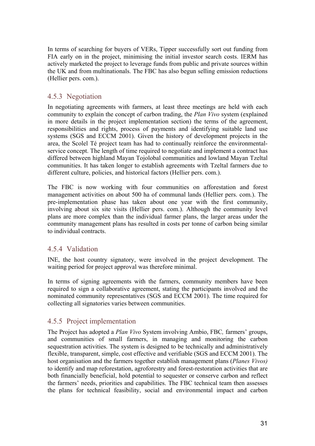In terms of searching for buyers of VERs, Tipper successfully sort out funding from FIA early on in the project, minimising the initial investor search costs. IERM has actively marketed the project to leverage funds from public and private sources within the UK and from multinationals. The FBC has also begun selling emission reductions (Hellier pers. com.).

#### 4.5.3 Negotiation

In negotiating agreements with farmers, at least three meetings are held with each community to explain the concept of carbon trading, the *Plan Vivo* system (explained in more details in the project implementation section) the terms of the agreement, responsibilities and rights, process of payments and identifying suitable land use systems (SGS and ECCM 2001). Given the history of development projects in the area, the Scolel Té project team has had to continually reinforce the environmentalservice concept. The length of time required to negotiate and implement a contract has differed between highland Mayan Tojolobal communities and lowland Mayan Tzeltal communities. It has taken longer to establish agreements with Tzeltal farmers due to different culture, policies, and historical factors (Hellier pers. com.).

The FBC is now working with four communities on afforestation and forest management activities on about 500 ha of communal lands (Hellier pers. com.). The pre-implementation phase has taken about one year with the first community, involving about six site visits (Hellier pers. com.). Although the community level plans are more complex than the individual farmer plans, the larger areas under the community management plans has resulted in costs per tonne of carbon being similar to individual contracts.

#### 4.5.4 Validation

INE, the host country signatory, were involved in the project development. The waiting period for project approval was therefore minimal.

In terms of signing agreements with the farmers, community members have been required to sign a collaborative agreement, stating the participants involved and the nominated community representatives (SGS and ECCM 2001). The time required for collecting all signatories varies between communities.

#### 4.5.5 Project implementation

The Project has adopted a *Plan Vivo* System involving Ambio, FBC*,* farmers' groups, and communities of small farmers, in managing and monitoring the carbon sequestration activities. The system is designed to be technically and administratively flexible, transparent, simple, cost effective and verifiable (SGS and ECCM 2001). The host organisation and the farmers together establish management plans (*Planes Vivos)* to identify and map reforestation, agroforestry and forest-restoration activities that are both financially beneficial, hold potential to sequester or conserve carbon and reflect the farmers' needs, priorities and capabilities. The FBC technical team then assesses the plans for technical feasibility, social and environmental impact and carbon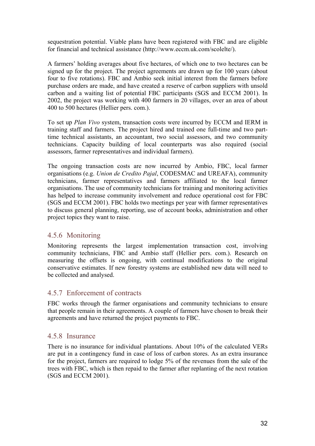sequestration potential. Viable plans have been registered with FBC and are eligible for financial and technical assistance (http://www.eccm.uk.com/scolelte/).

A farmers' holding averages about five hectares, of which one to two hectares can be signed up for the project. The project agreements are drawn up for 100 years (about four to five rotations). FBC and Ambio seek initial interest from the farmers before purchase orders are made, and have created a reserve of carbon suppliers with unsold carbon and a waiting list of potential FBC participants (SGS and ECCM 2001). In 2002, the project was working with 400 farmers in 20 villages, over an area of about 400 to 500 hectares (Hellier pers. com.).

To set up *Plan Vivo* system, transaction costs were incurred by ECCM and IERM in training staff and farmers. The project hired and trained one full-time and two parttime technical assistants, an accountant, two social assessors, and two community technicians. Capacity building of local counterparts was also required (social assessors, farmer representatives and individual farmers).

The ongoing transaction costs are now incurred by Ambio, FBC, local farmer organisations (e.g. *Union de Credito Pajal*, CODESMAC and UREAFA), community technicians, farmer representatives and farmers affiliated to the local farmer organisations. The use of community technicians for training and monitoring activities has helped to increase community involvement and reduce operational cost for FBC (SGS and ECCM 2001). FBC holds two meetings per year with farmer representatives to discuss general planning, reporting, use of account books, administration and other project topics they want to raise.

#### 4.5.6 Monitoring

Monitoring represents the largest implementation transaction cost, involving community technicians, FBC and Ambio staff (Hellier pers. com.). Research on measuring the offsets is ongoing, with continual modifications to the original conservative estimates. If new forestry systems are established new data will need to be collected and analysed.

#### 4.5.7 Enforcement of contracts

FBC works through the farmer organisations and community technicians to ensure that people remain in their agreements. A couple of farmers have chosen to break their agreements and have returned the project payments to FBC.

#### 4.5.8 Insurance

There is no insurance for individual plantations. About 10% of the calculated VERs are put in a contingency fund in case of loss of carbon stores. As an extra insurance for the project, farmers are required to lodge 5% of the revenues from the sale of the trees with FBC, which is then repaid to the farmer after replanting of the next rotation (SGS and ECCM 2001).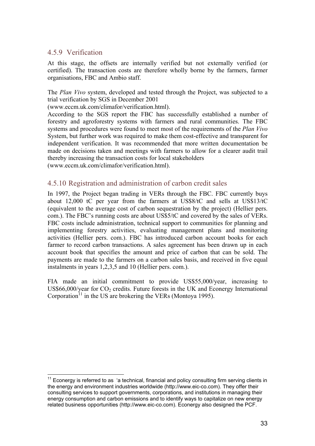#### 4.5.9 Verification

 $\overline{a}$ 

At this stage, the offsets are internally verified but not externally verified (or certified). The transaction costs are therefore wholly borne by the farmers, farmer organisations, FBC and Ambio staff.

The *Plan Vivo* system, developed and tested through the Project, was subjected to a trial verification by SGS in December 2001

(www.eccm.uk.com/climafor/verification.html).

According to the SGS report the FBC has successfully established a number of forestry and agroforestry systems with farmers and rural communities. The FBC systems and procedures were found to meet most of the requirements of the *Plan Vivo* System, but further work was required to make them cost-effective and transparent for independent verification. It was recommended that more written documentation be made on decisions taken and meetings with farmers to allow for a clearer audit trail thereby increasing the transaction costs for local stakeholders

(www.eccm.uk.com/climafor/verification.html).

#### 4.5.10 Registration and administration of carbon credit sales

In 1997, the Project began trading in VERs through the FBC. FBC currently buys about 12,000 tC per year from the farmers at US\$8/tC and sells at US\$13/tC (equivalent to the average cost of carbon sequestration by the project) (Hellier pers. com.). The FBC's running costs are about US\$5/tC and covered by the sales of VERs. FBC costs include administration, technical support to communities for planning and implementing forestry activities, evaluating management plans and monitoring activities (Hellier pers. com.). FBC has introduced carbon account books for each farmer to record carbon transactions. A sales agreement has been drawn up in each account book that specifies the amount and price of carbon that can be sold. The payments are made to the farmers on a carbon sales basis, and received in five equal instalments in years 1,2,3,5 and 10 (Hellier pers. com.).

FIA made an initial commitment to provide US\$55,000/year, increasing to US\$66,000/year for  $CO<sub>2</sub>$  credits. Future forests in the UK and Econergy International Corporation<sup>11</sup> in the US are brokering the VERs (Montoya 1995).

Econergy is referred to as 'a technical, financial and policy consulting firm serving clients in the energy and environment industries worldwide (http://www.eic-co.com). They offer their consulting services to support governments, corporations, and institutions in managing their energy consumption and carbon emissions and to identify ways to capitalize on new energy related business opportunities (http://www.eic-co.com). Econergy also designed the PCF.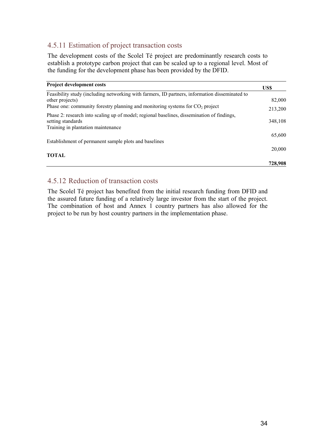### 4.5.11 Estimation of project transaction costs

The development costs of the Scolel Té project are predominantly research costs to establish a prototype carbon project that can be scaled up to a regional level. Most of the funding for the development phase has been provided by the DFID.

| <b>Project development costs</b>                                                                                                                      | US\$    |
|-------------------------------------------------------------------------------------------------------------------------------------------------------|---------|
| Feasibility study (including networking with farmers, ID partners, information disseminated to<br>other projects)                                     | 82,000  |
| Phase one: community forestry planning and monitoring systems for $CO2$ project                                                                       | 213,200 |
| Phase 2: research into scaling up of model; regional baselines, dissemination of findings,<br>setting standards<br>Training in plantation maintenance | 348,108 |
| Establishment of permanent sample plots and baselines                                                                                                 | 65,600  |
| <b>TOTAL</b>                                                                                                                                          | 20,000  |
|                                                                                                                                                       | 728,908 |

#### 4.5.12 Reduction of transaction costs

The Scolel Té project has benefited from the initial research funding from DFID and the assured future funding of a relatively large investor from the start of the project. The combination of host and Annex 1 country partners has also allowed for the project to be run by host country partners in the implementation phase.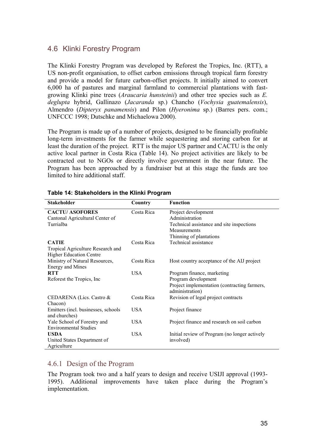### 4.6 Klinki Forestry Program

The Klinki Forestry Program was developed by Reforest the Tropics, Inc. (RTT), a US non-profit organisation, to offset carbon emissions through tropical farm forestry and provide a model for future carbon-offset projects. It initially aimed to convert 6,000 ha of pastures and marginal farmland to commercial plantations with fastgrowing Klinki pine trees (*Araucaria hunsteinii*) and other tree species such as *E. deglupta* hybrid, Gallinazo (*Jacaranda* sp.) Chancho (*Vochysia guatemalensis*), Almendro (*Dipteryx panamensis*) and Pilon (*Hyeronima* sp.) (Barres pers. com.; UNFCCC 1998; Dutschke and Michaelowa 2000).

The Program is made up of a number of projects, designed to be financially profitable long-term investments for the farmer while sequestering and storing carbon for at least the duration of the project. RTT is the major US partner and CACTU is the only active local partner in Costa Rica (Table 14). No project activities are likely to be contracted out to NGOs or directly involve government in the near future. The Program has been approached by a fundraiser but at this stage the funds are too limited to hire additional staff.

| <b>Stakeholder</b>                  | Country    | <b>Function</b>                               |
|-------------------------------------|------------|-----------------------------------------------|
| <b>CACTU/ASOFORES</b>               | Costa Rica | Project development                           |
| Cantonal Agricultural Center of     |            | Administration                                |
| Turrialba                           |            | Technical assistance and site inspections     |
|                                     |            | Measurements                                  |
|                                     |            | Thinning of plantations                       |
| <b>CATIE</b>                        | Costa Rica | Technical assistance                          |
| Tropical Agriculture Research and   |            |                                               |
| <b>Higher Education Centre</b>      |            |                                               |
| Ministry of Natural Resources,      | Costa Rica | Host country acceptance of the AIJ project    |
| <b>Energy and Mines</b>             |            |                                               |
| <b>RTT</b>                          | USA.       | Program finance, marketing                    |
| Reforest the Tropics, Inc.          |            | Program development                           |
|                                     |            | Project implementation (contracting farmers,  |
|                                     |            | administration)                               |
| CEDARENA (Lics. Castro &            | Costa Rica | Revision of legal project contracts           |
| Chacon)                             |            |                                               |
| Emitters (incl. businesses, schools | <b>USA</b> | Project finance                               |
| and churches)                       |            |                                               |
| Yale School of Forestry and         | <b>USA</b> | Project finance and research on soil carbon   |
| <b>Environmental Studies</b>        |            |                                               |
| <b>USDA</b>                         | <b>USA</b> | Initial review of Program (no longer actively |
| United States Department of         |            | involved)                                     |
| Agriculture                         |            |                                               |

#### **Table 14: Stakeholders in the Klinki Program**

#### 4.6.1 Design of the Program

The Program took two and a half years to design and receive USIJI approval (1993- 1995). Additional improvements have taken place during the Program's implementation.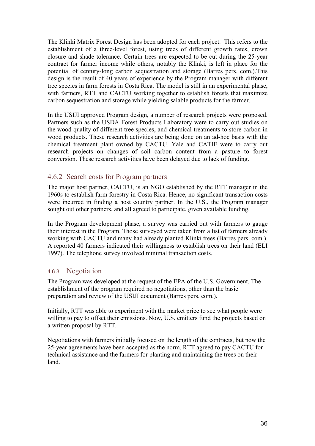The Klinki Matrix Forest Design has been adopted for each project. This refers to the establishment of a three-level forest, using trees of different growth rates, crown closure and shade tolerance. Certain trees are expected to be cut during the 25-year contract for farmer income while others, notably the Klinki, is left in place for the potential of century-long carbon sequestration and storage (Barres pers. com.).This design is the result of 40 years of experience by the Program manager with different tree species in farm forests in Costa Rica. The model is still in an experimental phase, with farmers, RTT and CACTU working together to establish forests that maximize carbon sequestration and storage while yielding salable products for the farmer.

In the USIJI approved Program design, a number of research projects were proposed. Partners such as the USDA Forest Products Laboratory were to carry out studies on the wood quality of different tree species, and chemical treatments to store carbon in wood products. These research activities are being done on an ad-hoc basis with the chemical treatment plant owned by CACTU. Yale and CATIE were to carry out research projects on changes of soil carbon content from a pasture to forest conversion. These research activities have been delayed due to lack of funding.

#### 4.6.2 Search costs for Program partners

The major host partner, CACTU, is an NGO established by the RTT manager in the 1960s to establish farm forestry in Costa Rica. Hence, no significant transaction costs were incurred in finding a host country partner. In the U.S., the Program manager sought out other partners, and all agreed to participate, given available funding.

In the Program development phase, a survey was carried out with farmers to gauge their interest in the Program. Those surveyed were taken from a list of farmers already working with CACTU and many had already planted Klinki trees (Barres pers. com.). A reported 40 farmers indicated their willingness to establish trees on their land (ELI 1997). The telephone survey involved minimal transaction costs.

#### 4.6.3 Negotiation

The Program was developed at the request of the EPA of the U.S. Government. The establishment of the program required no negotiations, other than the basic preparation and review of the USIJI document (Barres pers. com.).

Initially, RTT was able to experiment with the market price to see what people were willing to pay to offset their emissions. Now, U.S. emitters fund the projects based on a written proposal by RTT.

Negotiations with farmers initially focused on the length of the contracts, but now the 25-year agreements have been accepted as the norm. RTT agreed to pay CACTU for technical assistance and the farmers for planting and maintaining the trees on their land.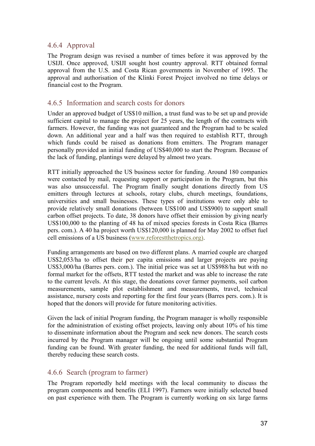## 4.6.4 Approval

The Program design was revised a number of times before it was approved by the USIJI. Once approved, USIJI sought host country approval. RTT obtained formal approval from the U.S. and Costa Rican governments in November of 1995. The approval and authorisation of the Klinki Forest Project involved no time delays or financial cost to the Program.

## 4.6.5 Information and search costs for donors

Under an approved budget of US\$10 million, a trust fund was to be set up and provide sufficient capital to manage the project for 25 years, the length of the contracts with farmers. However, the funding was not guaranteed and the Program had to be scaled down. An additional year and a half was then required to establish RTT, through which funds could be raised as donations from emitters. The Program manager personally provided an initial funding of US\$40,000 to start the Program. Because of the lack of funding, plantings were delayed by almost two years.

RTT initially approached the US business sector for funding. Around 180 companies were contacted by mail, requesting support or participation in the Program, but this was also unsuccessful. The Program finally sought donations directly from US emitters through lectures at schools, rotary clubs, church meetings, foundations, universities and small businesses. These types of institutions were only able to provide relatively small donations (between US\$100 and US\$900) to support small carbon offset projects. To date, 38 donors have offset their emission by giving nearly US\$100,000 to the planting of 48 ha of mixed species forests in Costa Rica (Barres pers. com.). A 40 ha project worth US\$120,000 is planned for May 2002 to offset fuel cell emissions of a US business (www.reforestthetropics.org).

Funding arrangements are based on two different plans. A married couple are charged US\$2,053/ha to offset their per capita emissions and larger projects are paying US\$3,000/ha (Barres pers. com.). The initial price was set at US\$988/ha but with no formal market for the offsets, RTT tested the market and was able to increase the rate to the current levels. At this stage, the donations cover farmer payments, soil carbon measurements, sample plot establishment and measurements, travel, technical assistance, nursery costs and reporting for the first four years (Barres pers. com.). It is hoped that the donors will provide for future monitoring activities.

Given the lack of initial Program funding, the Program manager is wholly responsible for the administration of existing offset projects, leaving only about 10% of his time to disseminate information about the Program and seek new donors. The search costs incurred by the Program manager will be ongoing until some substantial Program funding can be found. With greater funding, the need for additional funds will fall, thereby reducing these search costs.

### 4.6.6 Search (program to farmer)

The Program reportedly held meetings with the local community to discuss the program components and benefits (ELI 1997). Farmers were initially selected based on past experience with them. The Program is currently working on six large farms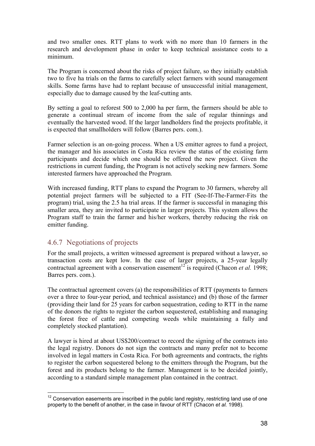and two smaller ones. RTT plans to work with no more than 10 farmers in the research and development phase in order to keep technical assistance costs to a minimum.

The Program is concerned about the risks of project failure, so they initially establish two to five ha trials on the farms to carefully select farmers with sound management skills. Some farms have had to replant because of unsuccessful initial management, especially due to damage caused by the leaf-cutting ants.

By setting a goal to reforest 500 to 2,000 ha per farm, the farmers should be able to generate a continual stream of income from the sale of regular thinnings and eventually the harvested wood. If the larger landholders find the projects profitable, it is expected that smallholders will follow (Barres pers. com.).

Farmer selection is an on-going process. When a US emitter agrees to fund a project, the manager and his associates in Costa Rica review the status of the existing farm participants and decide which one should be offered the new project. Given the restrictions in current funding, the Program is not actively seeking new farmers. Some interested farmers have approached the Program.

With increased funding, RTT plans to expand the Program to 30 farmers, whereby all potential project farmers will be subjected to a FIT (See-If-The-Farmer-Fits the program) trial, using the 2.5 ha trial areas. If the farmer is successful in managing this smaller area, they are invited to participate in larger projects. This system allows the Program staff to train the farmer and his/her workers, thereby reducing the risk on emitter funding.

## 4.6.7 Negotiations of projects

 $\overline{a}$ 

For the small projects, a written witnessed agreement is prepared without a lawyer, so transaction costs are kept low. In the case of larger projects, a 25-year legally contractual agreement with a conservation easement<sup>12</sup> is required (Chacon *et al.* 1998; Barres pers. com.).

The contractual agreement covers (a) the responsibilities of RTT (payments to farmers over a three to four-year period, and technical assistance) and (b) those of the farmer (providing their land for 25 years for carbon sequestration, ceding to RTT in the name of the donors the rights to register the carbon sequestered, establishing and managing the forest free of cattle and competing weeds while maintaining a fully and completely stocked plantation).

A lawyer is hired at about US\$200/contract to record the signing of the contracts into the legal registry. Donors do not sign the contracts and many prefer not to become involved in legal matters in Costa Rica. For both agreements and contracts, the rights to register the carbon sequestered belong to the emitters through the Program, but the forest and its products belong to the farmer. Management is to be decided jointly, according to a standard simple management plan contained in the contract.

 $12$  Conservation easements are inscribed in the public land registry, restricting land use of one property to the benefit of another, in the case in favour of RTT (Chacon *et al.* 1998).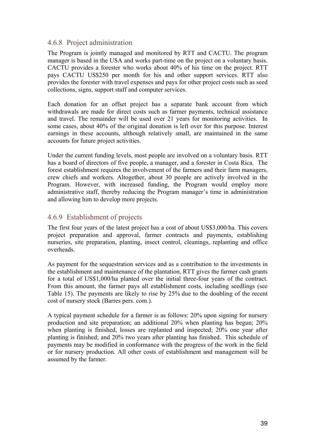## 4.6.8 Project administration

The Program is jointly managed and monitored by RTT and CACTU. The program manager is based in the USA and works part-time on the project on a voluntary basis. CACTU provides a forester who works about 40% of his time on the project. RTT pays CACTU US\$250 per month for his and other support services. RTT also provides the forester with travel expenses and pays for other project costs such as seed collections, signs, support staff and computer services.

Each donation for an offset project has a separate bank account from which withdrawals are made for direct costs such as farmer payments, technical assistance and travel. The remainder will be used over 21 years for monitoring activities. In some cases, about 40% of the original donation is left over for this purpose. Interest earnings in these accounts, although relatively small, are maintained in the same accounts for future project activities.

Under the current funding levels, most people are involved on a voluntary basis. RTT has a board of directors of five people, a manager, and a forester in Costa Rica. The forest establishment requires the involvement of the farmers and their farm managers, crew chiefs and workers. Altogether, about 30 people are actively involved in the Program. However, with increased funding, the Program would employ more administrative staff, thereby reducing the Program manager's time in administration and allowing him to develop more projects.

## 4.6.9 Establishment of projects

The first four years of the latest project has a cost of about US\$3,000/ha. This covers project preparation and approval, farmer contracts and payments, establishing nurseries, site preparation, planting, insect control, cleanings, replanting and office overheads.

As payment for the sequestration services and as a contribution to the investments in the establishment and maintenance of the plantation, RTT gives the farmer cash grants for a total of US\$1,000/ha planted over the initial three-four years of the contract. From this amount, the farmer pays all establishment costs, including seedlings (see Table 15). The payments are likely to rise by 25% due to the doubling of the recent cost of nursery stock (Barres pers. com.).

A typical payment schedule for a farmer is as follows: 20% upon signing for nursery production and site preparation; an additional 20% when planting has begun; 20% when planting is finished, losses are replanted and inspected; 20% one year after planting is finished; and 20% two years after planting has finished. This schedule of payments may be modified in conformance with the progress of the work in the field or for nursery production. All other costs of establishment and management will be assumed by the farmer.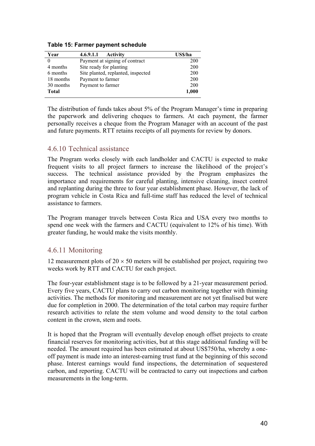| Year         | 4.6.9.1.1<br><b>Activity</b>       | US\$/ha |
|--------------|------------------------------------|---------|
| 0            | Payment at signing of contract     | 200     |
| 4 months     | Site ready for planting            | 200     |
| 6 months     | Site planted, replanted, inspected | 200     |
| 18 months    | Payment to farmer                  | 200     |
| 30 months    | Payment to farmer                  | 200     |
| <b>Total</b> |                                    | 1,000   |

**Table 15: Farmer payment schedule** 

The distribution of funds takes about 5% of the Program Manager's time in preparing the paperwork and delivering cheques to farmers. At each payment, the farmer personally receives a cheque from the Program Manager with an account of the past and future payments. RTT retains receipts of all payments for review by donors.

### 4.6.10 Technical assistance

The Program works closely with each landholder and CACTU is expected to make frequent visits to all project farmers to increase the likelihood of the project's success. The technical assistance provided by the Program emphasizes the importance and requirements for careful planting, intensive cleaning, insect control and replanting during the three to four year establishment phase. However, the lack of program vehicle in Costa Rica and full-time staff has reduced the level of technical assistance to farmers.

The Program manager travels between Costa Rica and USA every two months to spend one week with the farmers and CACTU (equivalent to 12% of his time). With greater funding, he would make the visits monthly.

### 4.6.11 Monitoring

12 measurement plots of  $20 \times 50$  meters will be established per project, requiring two weeks work by RTT and CACTU for each project.

The four-year establishment stage is to be followed by a 21-year measurement period. Every five years, CACTU plans to carry out carbon monitoring together with thinning activities. The methods for monitoring and measurement are not yet finalised but were due for completion in 2000. The determination of the total carbon may require further research activities to relate the stem volume and wood density to the total carbon content in the crown, stem and roots.

It is hoped that the Program will eventually develop enough offset projects to create financial reserves for monitoring activities, but at this stage additional funding will be needed. The amount required has been estimated at about US\$750/ha, whereby a oneoff payment is made into an interest-earning trust fund at the beginning of this second phase. Interest earnings would fund inspections, the determination of sequestered carbon, and reporting. CACTU will be contracted to carry out inspections and carbon measurements in the long-term.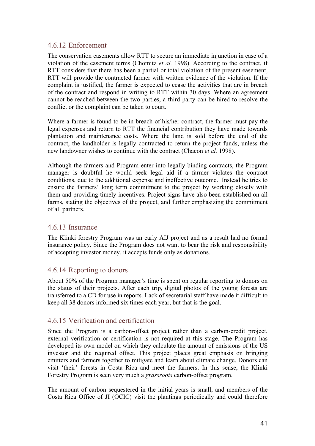## 4.6.12 Enforcement

The conservation easements allow RTT to secure an immediate injunction in case of a violation of the easement terms (Chomitz *et al.* 1998). According to the contract, if RTT considers that there has been a partial or total violation of the present easement, RTT will provide the contracted farmer with written evidence of the violation. If the complaint is justified, the farmer is expected to cease the activities that are in breach of the contract and respond in writing to RTT within 30 days. Where an agreement cannot be reached between the two parties, a third party can be hired to resolve the conflict or the complaint can be taken to court.

Where a farmer is found to be in breach of his/her contract, the farmer must pay the legal expenses and return to RTT the financial contribution they have made towards plantation and maintenance costs. Where the land is sold before the end of the contract, the landholder is legally contracted to return the project funds, unless the new landowner wishes to continue with the contract (Chacon *et al.* 1998).

Although the farmers and Program enter into legally binding contracts, the Program manager is doubtful he would seek legal aid if a farmer violates the contract conditions, due to the additional expense and ineffective outcome. Instead he tries to ensure the farmers' long term commitment to the project by working closely with them and providing timely incentives. Project signs have also been established on all farms, stating the objectives of the project, and further emphasizing the commitment of all partners.

## 4.6.13 Insurance

The Klinki forestry Program was an early AIJ project and as a result had no formal insurance policy. Since the Program does not want to bear the risk and responsibility of accepting investor money, it accepts funds only as donations.

### 4.6.14 Reporting to donors

About 50% of the Program manager's time is spent on regular reporting to donors on the status of their projects. After each trip, digital photos of the young forests are transferred to a CD for use in reports. Lack of secretarial staff have made it difficult to keep all 38 donors informed six times each year, but that is the goal.

## 4.6.15 Verification and certification

Since the Program is a carbon-offset project rather than a carbon-credit project, external verification or certification is not required at this stage. The Program has developed its own model on which they calculate the amount of emissions of the US investor and the required offset. This project places great emphasis on bringing emitters and farmers together to mitigate and learn about climate change. Donors can visit 'their' forests in Costa Rica and meet the farmers. In this sense, the Klinki Forestry Program is seen very much a *grassroots* carbon-offset program.

The amount of carbon sequestered in the initial years is small, and members of the Costa Rica Office of JI (OCIC) visit the plantings periodically and could therefore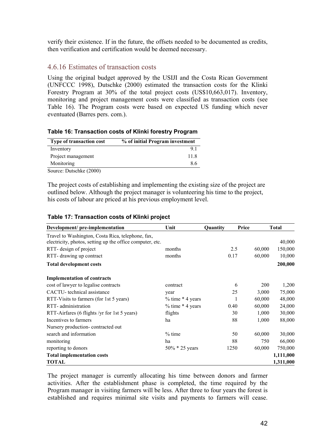verify their existence. If in the future, the offsets needed to be documented as credits, then verification and certification would be deemed necessary.

## 4.6.16 Estimates of transaction costs

Using the original budget approved by the USIJI and the Costa Rican Government (UNFCCC 1998), Dutschke (2000) estimated the transaction costs for the Klinki Forestry Program at 30% of the total project costs (US\$10,663,017). Inventory, monitoring and project management costs were classified as transaction costs (see Table 16). The Program costs were based on expected US funding which never eventuated (Barres pers. com.).

| <b>Type of transaction cost</b> | % of initial Program investment |
|---------------------------------|---------------------------------|
| Inventory                       | 91                              |
| Project management              | 11.8                            |
| Monitoring                      | 86                              |

#### **Table 16: Transaction costs of Klinki forestry Program**

The project costs of establishing and implementing the existing size of the project are outlined below. Although the project manager is volunteering his time to the project, his costs of labour are priced at his previous employment level.

| Development/ pre-implementation                                                                                | Unit                 | Quantity | Price |        | <b>Total</b> |
|----------------------------------------------------------------------------------------------------------------|----------------------|----------|-------|--------|--------------|
| Travel to Washington, Costa Rica, telephone, fax,<br>electricity, photos, setting up the office computer, etc. |                      |          |       |        | 40,000       |
| RTT-design of project                                                                                          | months               |          | 2.5   | 60,000 | 150,000      |
| RTT- drawing up contract                                                                                       | months               |          | 0.17  | 60,000 | 10,000       |
| <b>Total development costs</b>                                                                                 |                      |          |       |        | 200,000      |
| <b>Implementation of contracts</b>                                                                             |                      |          |       |        |              |
| cost of lawyer to legalise contracts                                                                           | contract             |          | 6     | 200    | 1,200        |
| CACTU-technical assistance                                                                                     | year                 |          | 25    | 3,000  | 75,000       |
| RTT-Visits to farmers (for 1st 5 years)                                                                        | $%$ time $*$ 4 years |          |       | 60,000 | 48,000       |
| RTT- administration                                                                                            | $%$ time $*$ 4 years |          | 0.40  | 60,000 | 24,000       |
| RTT-Airfares (6 flights /yr for 1st 5 years)                                                                   | flights              |          | 30    | 1,000  | 30,000       |
| Incentives to farmers                                                                                          | ha                   |          | 88    | 1,000  | 88,000       |
| Nursery production-contracted out                                                                              |                      |          |       |        |              |
| search and information                                                                                         | $%$ time             |          | 50    | 60,000 | 30,000       |
| monitoring                                                                                                     | ha                   |          | 88    | 750    | 66,000       |
| reporting to donors                                                                                            | $50\% * 25$ years    |          | 1250  | 60,000 | 750,000      |
| <b>Total implementation costs</b>                                                                              |                      |          |       |        | 1,111,000    |
| <b>TOTAL</b>                                                                                                   |                      |          |       |        | 1,311,000    |

#### **Table 17: Transaction costs of Klinki project**

Source: Dutschke (2000)

The project manager is currently allocating his time between donors and farmer activities. After the establishment phase is completed, the time required by the Program manager in visiting farmers will be less. After three to four years the forest is established and requires minimal site visits and payments to farmers will cease.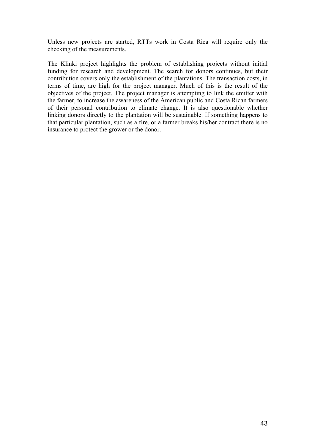Unless new projects are started, RTTs work in Costa Rica will require only the checking of the measurements.

The Klinki project highlights the problem of establishing projects without initial funding for research and development. The search for donors continues, but their contribution covers only the establishment of the plantations. The transaction costs, in terms of time, are high for the project manager. Much of this is the result of the objectives of the project. The project manager is attempting to link the emitter with the farmer, to increase the awareness of the American public and Costa Rican farmers of their personal contribution to climate change. It is also questionable whether linking donors directly to the plantation will be sustainable. If something happens to that particular plantation, such as a fire, or a farmer breaks his/her contract there is no insurance to protect the grower or the donor.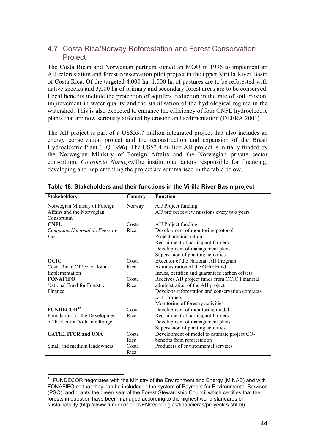## 4.7 Costa Rica/Norway Reforestation and Forest Conservation Project

The Costa Rican and Norwegian partners signed an MOU in 1996 to implement an AIJ reforestation and forest conservation pilot project in the upper Virilla River Basin of Costa Rica. Of the targeted 4,000 ha, 1,000 ha of pastures are to be reforested with native species and 3,000 ha of primary and secondary forest areas are to be conserved. Local benefits include the protection of aquifers, reduction in the rate of soil erosion, improvement in water quality and the stabilisation of the hydrological regime in the watershed. This is also expected to enhance the efficiency of four CNFL hydroelectric plants that are now seriously affected by erosion and sedimentation (DEFRA 2001).

The AIJ project is part of a US\$53.7 million integrated project that also includes an energy conservation project and the reconstruction and expansion of the Brasil Hydroelectric Plant (JIQ 1996). The US\$3.4 million AIJ project is initially funded by the Norwegian Ministry of Foreign Affairs and the Norwegian private sector consortium, *Consorcio Noruego*.The institutional actors responsible for financing, developing and implementing the project are summarised in the table below.

| <b>Stakeholders</b>            | Country | <b>Function</b>                                                   |
|--------------------------------|---------|-------------------------------------------------------------------|
| Norwegian Ministry of Foreign  | Norway  | AIJ Project funding                                               |
| Affairs and the Norwegian      |         | AIJ project review missions every two years                       |
| Consortium                     |         |                                                                   |
| <b>CNFL</b>                    | Costa   | AIJ Project funding                                               |
| Compania Nacional de Fuerza y  | Rica    | Development of monitoring protocol                                |
| Luz                            |         | Project administration                                            |
|                                |         | Recruitment of participant farmers                                |
|                                |         | Development of management plans                                   |
|                                |         | Supervision of planting activities                                |
| <b>OCIC</b>                    | Costa   | Executor of the National AIJ Program                              |
| Costa Rican Office on Joint    | Rica    | Administration of the GHG Fund                                    |
| Implementation                 |         | Issues, certifies and guarantees carbon offsets                   |
| <b>FONAFIFO</b>                | Costa   | Receives AIJ project funds from OCIC Financial                    |
| National Fund for Forestry     | Rica    | administration of the AIJ project                                 |
| Finance                        |         | Develops reforestation and conservation contracts<br>with farmers |
|                                |         | Monitoring of forestry activities                                 |
| <b>FUNDECOR<sup>13</sup></b>   | Costa   | Development of monitoring model                                   |
| Foundation for the Development | Rica    | Recruitment of participant farmers                                |
| of the Central Volcanic Range  |         | Development of management plans                                   |
|                                |         | Supervision of planting activities                                |
| <b>CATIE, ITCR and UNA</b>     | Costa   | Development of model to estimate project $CO2$                    |
|                                | Rica    | benefits from reforestation                                       |
| Small and medium landowners    | Costa   | Producers of environmental services                               |
|                                | Rica    |                                                                   |

| Table 18: Stakeholders and their functions in the Virilla River Basin project |  |  |  |  |
|-------------------------------------------------------------------------------|--|--|--|--|
|                                                                               |  |  |  |  |

 $\overline{a}$ 

 $13$  FUNDECOR negotiates with the Ministry of the Environment and Energy (MINAE) and with FONAFIFO so that they can be included in the system of Payment for Environmental Services (PSO), and grants the green seal of the Forest Stewardship Council which certifies that the forests in question have been managed according to the highest world standards of sustainability (http://www.fundecor.or.cr/EN/tecnologias/financieras/proyectos.shtml).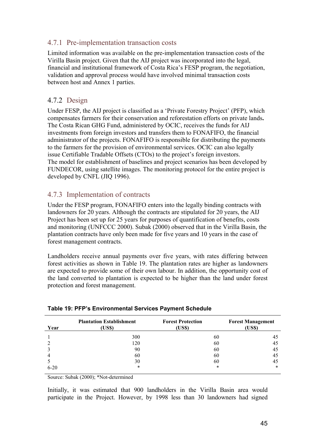## 4.7.1 Pre-implementation transaction costs

Limited information was available on the pre-implementation transaction costs of the Virilla Basin project. Given that the AIJ project was incorporated into the legal, financial and institutional framework of Costa Rica's FESP program, the negotiation, validation and approval process would have involved minimal transaction costs between host and Annex 1 parties.

## 4.7.2 Design

Under FESP, the AIJ project is classified as a 'Private Forestry Project' (PFP), which compensates farmers for their conservation and reforestation efforts on private lands**.**  The Costa Rican GHG Fund, administered by OCIC, receives the funds for AIJ investments from foreign investors and transfers them to FONAFIFO, the financial administrator of the projects. FONAFIFO is responsible for distributing the payments to the farmers for the provision of environmental services. OCIC can also legally issue Certifiable Tradable Offsets (CTOs) to the project's foreign investors. The model for establishment of baselines and project scenarios has been developed by FUNDECOR, using satellite images. The monitoring protocol for the entire project is developed by CNFL (JIQ 1996).

## 4.7.3 Implementation of contracts

Under the FESP program, FONAFIFO enters into the legally binding contracts with landowners for 20 years. Although the contracts are stipulated for 20 years, the AIJ Project has been set up for 25 years for purposes of quantification of benefits, costs and monitoring (UNFCCC 2000). Subak (2000) observed that in the Virilla Basin, the plantation contracts have only been made for five years and 10 years in the case of forest management contracts.

Landholders receive annual payments over five years, with rates differing between forest activities as shown in Table 19. The plantation rates are higher as landowners are expected to provide some of their own labour. In addition, the opportunity cost of the land converted to plantation is expected to be higher than the land under forest protection and forest management.

| Year     | <b>Plantation Establishment</b><br>(US\$) | <b>Forest Protection</b><br>(US\$) | <b>Forest Management</b><br>(US\$) |
|----------|-------------------------------------------|------------------------------------|------------------------------------|
|          | 300                                       | 60                                 | 45                                 |
|          | 120                                       | 60                                 | 45                                 |
|          | 90                                        | 60                                 | 45                                 |
|          | 60                                        | 60                                 | 45                                 |
|          | 30                                        | 60                                 | 45                                 |
| $6 - 20$ | *                                         | $\ast$                             | $\ast$                             |

#### **Table 19: PFP's Environmental Services Payment Schedule**

Source: Subak (2000); \*Not-determined

Initially, it was estimated that 900 landholders in the Virilla Basin area would participate in the Project. However, by 1998 less than 30 landowners had signed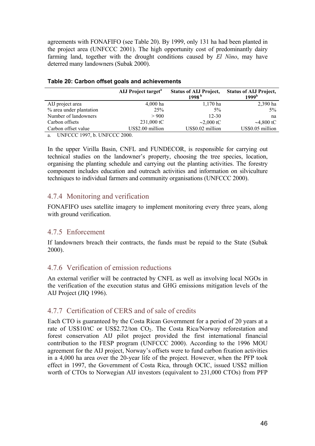agreements with FONAFIFO (see Table 20). By 1999, only 131 ha had been planted in the project area (UNFCCC 2001). The high opportunity cost of predominantly dairy farming land, together with the drought conditions caused by *El Nino*, may have deterred many landowners (Subak 2000).

|                         | AIJ Project target <sup>a</sup> | <b>Status of ALJ Project,</b><br>1998 <sup>b</sup> | <b>Status of ALJ Project,</b><br>1999 <sup>b</sup> |
|-------------------------|---------------------------------|----------------------------------------------------|----------------------------------------------------|
| AIJ project area        | $4,000$ ha                      | $1,170$ ha                                         | 2,390 ha                                           |
| % area under plantation | 25%                             | $5\%$                                              | $5\%$                                              |
| Number of landowners    | > 900                           | $12 - 30$                                          | na                                                 |
| Carbon offsets          | $231,000 \text{ tC}$            | $\sim$ 2,000 tC                                    | $\sim$ 4,800 tC                                    |
| Carbon offset value     | US\$2.00 million                | US\$0.02 million                                   | US\$0.05 million                                   |

#### **Table 20: Carbon offset goals and achievements**

a. UNFCCC 1997, b. UNFCCC 2000.

In the upper Virilla Basin, CNFL and FUNDECOR, is responsible for carrying out technical studies on the landowner's property, choosing the tree species, location, organising the planting schedule and carrying out the planting activities. The forestry component includes education and outreach activities and information on silviculture techniques to individual farmers and community organisations (UNFCCC 2000).

## 4.7.4 Monitoring and verification

FONAFIFO uses satellite imagery to implement monitoring every three years, along with ground verification.

### 4.7.5 Enforcement

If landowners breach their contracts, the funds must be repaid to the State (Subak 2000).

### 4.7.6 Verification of emission reductions

An external verifier will be contracted by CNFL as well as involving local NGOs in the verification of the execution status and GHG emissions mitigation levels of the AIJ Project (JIQ 1996).

### 4.7.7 Certification of CERS and of sale of credits

Each CTO is guaranteed by the Costa Rican Government for a period of 20 years at a rate of US\$10/tC or US\$2.72/ton CO<sub>2</sub>. The Costa Rica/Norway reforestation and forest conservation AIJ pilot project provided the first international financial contribution to the FESP program (UNFCCC 2000). According to the 1996 MOU agreement for the AIJ project, Norway's offsets were to fund carbon fixation activities in a 4,000 ha area over the 20-year life of the project. However, when the PFP took effect in 1997, the Government of Costa Rica, through OCIC, issued US\$2 million worth of CTOs to Norwegian AIJ investors (equivalent to 231,000 CTOs) from PFP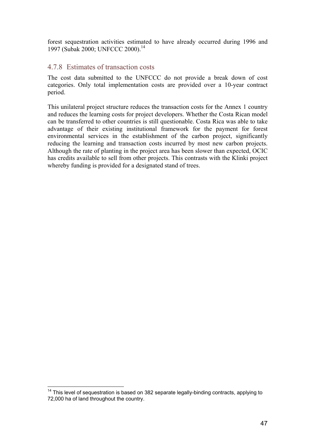forest sequestration activities estimated to have already occurred during 1996 and 1997 (Subak 2000; UNFCCC 2000).<sup>14</sup>

### 4.7.8 Estimates of transaction costs

The cost data submitted to the UNFCCC do not provide a break down of cost categories. Only total implementation costs are provided over a 10-year contract period.

This unilateral project structure reduces the transaction costs for the Annex 1 country and reduces the learning costs for project developers. Whether the Costa Rican model can be transferred to other countries is still questionable. Costa Rica was able to take advantage of their existing institutional framework for the payment for forest environmental services in the establishment of the carbon project, significantly reducing the learning and transaction costs incurred by most new carbon projects. Although the rate of planting in the project area has been slower than expected, OCIC has credits available to sell from other projects. This contrasts with the Klinki project whereby funding is provided for a designated stand of trees.

 $\overline{a}$ 

 $14$  This level of sequestration is based on 382 separate legally-binding contracts, applying to 72,000 ha of land throughout the country.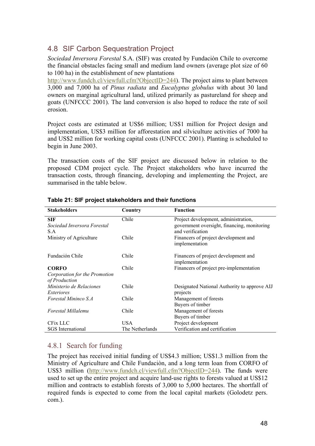## 4.8 SIF Carbon Sequestration Project

*Sociedad Inversora Forestal* S.A. (SIF) was created by Fundaciòn Chile to overcome the financial obstacles facing small and medium land owners (average plot size of 60 to 100 ha) in the establishment of new plantations

http://www.fundch.cl/viewfull.cfm?ObjectID=244). The project aims to plant between 3,000 and 7,000 ha of *Pinus radiata* and *Eucalyptus globulus* with about 30 land owners on marginal agricultural land, utilized primarily as pastureland for sheep and goats (UNFCCC 2001). The land conversion is also hoped to reduce the rate of soil erosion.

Project costs are estimated at US\$6 million; US\$1 million for Project design and implementation, US\$3 million for afforestation and silviculture activities of 7000 ha and US\$2 million for working capital costs (UNFCCC 2001). Planting is scheduled to begin in June 2003.

The transaction costs of the SIF project are discussed below in relation to the proposed CDM project cycle. The Project stakeholders who have incurred the transaction costs, through financing, developing and implementing the Project, are summarised in the table below.

| <b>Stakeholders</b>                            | Country         | <b>Function</b>                                                 |
|------------------------------------------------|-----------------|-----------------------------------------------------------------|
| <b>SIF</b>                                     | Chile           | Project development, administration,                            |
| Sociedad Inversora Forestal<br>S.A             |                 | government oversight, financing, monitoring<br>and verification |
| Ministry of Agriculture                        | Chile           | Financers of project development and                            |
|                                                |                 | implementation                                                  |
| Fundación Chile                                | Chile           | Financers of project development and<br>implementation          |
| <b>CORFO</b>                                   | Chile           | Financers of project pre-implementation                         |
| Corporation for the Promotion<br>of Production |                 |                                                                 |
| Ministerio de Relaciones                       | Chile           | Designated National Authority to approve AIJ                    |
| Exteriores                                     |                 | projects                                                        |
| Forestal Mininco S.A.                          | Chile           | Management of forests                                           |
|                                                |                 | Buyers of timber                                                |
| Forestal Millalemu                             | Chile           | Management of forests                                           |
|                                                |                 | Buyers of timber                                                |
| CFix LLC                                       | USA             | Project development                                             |
| <b>SGS</b> International                       | The Netherlands | Verification and certification                                  |

#### **Table 21: SIF project stakeholders and their functions**

## 4.8.1 Search for funding

The project has received initial funding of US\$4.3 million; US\$1.3 million from the Ministry of Agriculture and Chile Fundaciòn, and a long term loan from CORFO of US\$3 million (http://www.fundch.cl/viewfull.cfm?ObjectID=244). The funds were used to set up the entire project and acquire land-use rights to forests valued at US\$12 million and contracts to establish forests of 3,000 to 5,000 hectares. The shortfall of required funds is expected to come from the local capital markets (Golodetz pers. com.).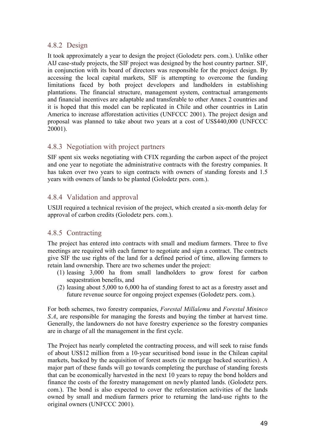## 4.8.2 Design

It took approximately a year to design the project (Golodetz pers. com.). Unlike other AIJ case-study projects, the SIF project was designed by the host country partner. SIF, in conjunction with its board of directors was responsible for the project design. By accessing the local capital markets, SIF is attempting to overcome the funding limitations faced by both project developers and landholders in establishing plantations. The financial structure, management system, contractual arrangements and financial incentives are adaptable and transferable to other Annex 2 countries and it is hoped that this model can be replicated in Chile and other countries in Latin America to increase afforestation activities (UNFCCC 2001). The project design and proposal was planned to take about two years at a cost of US\$440,000 (UNFCCC 20001).

## 4.8.3 Negotiation with project partners

SIF spent six weeks negotiating with CFIX regarding the carbon aspect of the project and one year to negotiate the administrative contracts with the forestry companies. It has taken over two years to sign contracts with owners of standing forests and 1.5 years with owners of lands to be planted (Golodetz pers. com.).

## 4.8.4 Validation and approval

USIJI required a technical revision of the project, which created a six-month delay for approval of carbon credits (Golodetz pers. com.).

## 4.8.5 Contracting

The project has entered into contracts with small and medium farmers. Three to five meetings are required with each farmer to negotiate and sign a contract. The contracts give SIF the use rights of the land for a defined period of time, allowing farmers to retain land ownership. There are two schemes under the project:

- (1) leasing 3,000 ha from small landholders to grow forest for carbon sequestration benefits, and
- (2) leasing about 5,000 to 6,000 ha of standing forest to act as a forestry asset and future revenue source for ongoing project expenses (Golodetz pers. com.).

For both schemes, two forestry companies, *Forestal Millalemu* and *Forestal Mininco S.A*, are responsible for managing the forests and buying the timber at harvest time. Generally, the landowners do not have forestry experience so the forestry companies are in charge of all the management in the first cycle.

The Project has nearly completed the contracting process, and will seek to raise funds of about US\$12 million from a 10-year securitised bond issue in the Chilean capital markets, backed by the acquisition of forest assets (ie mortgage backed securities). A major part of these funds will go towards completing the purchase of standing forests that can be economically harvested in the next 10 years to repay the bond holders and finance the costs of the forestry management on newly planted lands. (Golodetz pers. com.). The bond is also expected to cover the reforestation activities of the lands owned by small and medium farmers prior to returning the land-use rights to the original owners (UNFCCC 2001).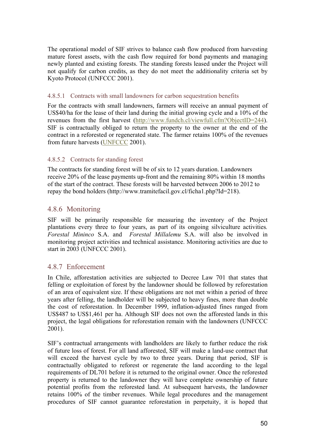The operational model of SIF strives to balance cash flow produced from harvesting mature forest assets, with the cash flow required for bond payments and managing newly planted and existing forests. The standing forests leased under the Project will not qualify for carbon credits, as they do not meet the additionality criteria set by Kyoto Protocol (UNFCCC 2001).

#### 4.8.5.1 Contracts with small landowners for carbon sequestration benefits

For the contracts with small landowners, farmers will receive an annual payment of US\$40/ha for the lease of their land during the initial growing cycle and a 10% of the revenues from the first harvest (http://www.fundch.cl/viewfull.cfm?ObjectID=244). SIF is contractually obliged to return the property to the owner at the end of the contract in a reforested or regenerated state. The farmer retains 100% of the revenues from future harvests (UNFCCC 2001).

#### 4.8.5.2 Contracts for standing forest

The contracts for standing forest will be of six to 12 years duration. Landowners receive 20% of the lease payments up-front and the remaining 80% within 18 months of the start of the contract. These forests will be harvested between 2006 to 2012 to repay the bond holders (http://www.tramitefacil.gov.cl/ficha1.php?Id=218).

### 4.8.6 Monitoring

SIF will be primarily responsible for measuring the inventory of the Project plantations every three to four years, as part of its ongoing silviculture activities*. Forestal Mininco* S.A. and *Forestal Millalemu* S.A. will also be involved in monitoring project activities and technical assistance. Monitoring activities are due to start in 2003 (UNFCCC 2001).

### 4.8.7 Enforcement

In Chile, afforestation activities are subjected to Decree Law 701 that states that felling or exploitation of forest by the landowner should be followed by reforestation of an area of equivalent size. If these obligations are not met within a period of three years after felling, the landholder will be subjected to heavy fines, more than double the cost of reforestation. In December 1999, inflation-adjusted fines ranged from US\$487 to US\$1,461 per ha. Although SIF does not own the afforested lands in this project, the legal obligations for reforestation remain with the landowners (UNFCCC 2001).

SIF's contractual arrangements with landholders are likely to further reduce the risk of future loss of forest. For all land afforested, SIF will make a land-use contract that will exceed the harvest cycle by two to three years. During that period, SIF is contractually obligated to reforest or regenerate the land according to the legal requirements of DL701 before it is returned to the original owner. Once the reforested property is returned to the landowner they will have complete ownership of future potential profits from the reforested land. At subsequent harvests, the landowner retains 100% of the timber revenues. While legal procedures and the management procedures of SIF cannot guarantee reforestation in perpetuity, it is hoped that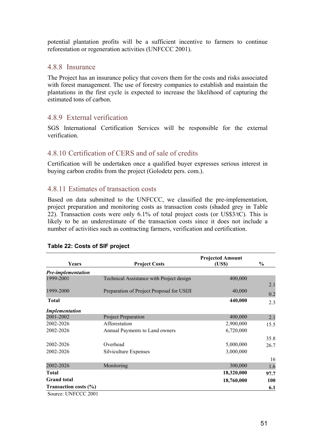potential plantation profits will be a sufficient incentive to farmers to continue reforestation or regeneration activities (UNFCCC 2001).

### 4.8.8 Insurance

The Project has an insurance policy that covers them for the costs and risks associated with forest management. The use of forestry companies to establish and maintain the plantations in the first cycle is expected to increase the likelihood of capturing the estimated tons of carbon.

### 4.8.9 External verification

SGS International Certification Services will be responsible for the external verification.

## 4.8.10 Certification of CERS and of sale of credits

Certification will be undertaken once a qualified buyer expresses serious interest in buying carbon credits from the project (Golodetz pers. com.).

### 4.8.11 Estimates of transaction costs

Based on data submitted to the UNFCCC, we classified the pre-implementation, project preparation and monitoring costs as transaction costs (shaded grey in Table 22). Transaction costs were only 6.1% of total project costs (or US\$3/tC). This is likely to be an underestimate of the transaction costs since it does not include a number of activities such as contracting farmers, verification and certification.

| Years                     | <b>Project Costs</b>                      | <b>Projected Amount</b><br>(US\$) | $\frac{0}{0}$ |
|---------------------------|-------------------------------------------|-----------------------------------|---------------|
| <b>Pre-implementation</b> |                                           |                                   |               |
| 1999-2001                 | Technical Assistance with Project design  | 400,000                           |               |
|                           |                                           |                                   | 2.1           |
| 1999-2000                 | Preparation of Project Proposal for USIJI | 40,000                            | 0.2           |
| Total                     |                                           | 440,000                           | 2.3           |
| <i>Implementation</i>     |                                           |                                   |               |
| 2001-2002                 | <b>Project Preparation</b>                | 400,000                           | 2.1           |
| 2002-2026                 | Afforestation                             | 2,900,000                         | 15.5          |
| 2002-2026                 | Annual Payments to Land owners            | 6,720,000                         |               |
|                           |                                           |                                   | 35.8          |
| 2002-2026                 | Overhead                                  | 5,000,000                         | 26.7          |
| 2002-2026                 | Silviculture Expenses                     | 3,000,000                         |               |
|                           |                                           |                                   | 16            |
| 2002-2026                 | Monitoring                                | 300,000                           | 1.6           |
| Total                     |                                           | 18,320,000                        | 97.7          |
| <b>Grand</b> total        |                                           | 18,760,000                        | 100           |
| Transaction costs $(\% )$ |                                           |                                   | 6.1           |
| Source: UNFCCC 2001       |                                           |                                   |               |

#### **Table 22: Costs of SIF project**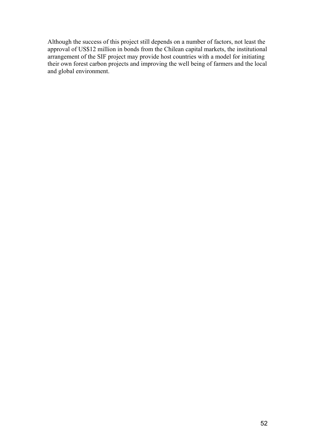Although the success of this project still depends on a number of factors, not least the approval of US\$12 million in bonds from the Chilean capital markets, the institutional arrangement of the SIF project may provide host countries with a model for initiating their own forest carbon projects and improving the well being of farmers and the local and global environment.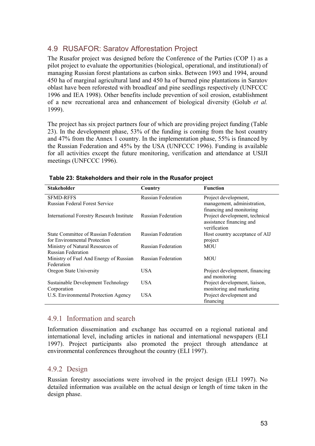## 4.9 RUSAFOR: Saratov Afforestation Project

The Rusafor project was designed before the Conference of the Parties (COP 1) as a pilot project to evaluate the opportunities (biological, operational, and institutional) of managing Russian forest plantations as carbon sinks. Between 1993 and 1994, around 450 ha of marginal agricultural land and 450 ha of burned pine plantations in Saratov oblast have been reforested with broadleaf and pine seedlings respectively (UNFCCC 1996 and IEA 1998). Other benefits include prevention of soil erosion, establishment of a new recreational area and enhancement of biological diversity (Golub *et al.* 1999).

The project has six project partners four of which are providing project funding (Table 23). In the development phase, 53% of the funding is coming from the host country and 47% from the Annex 1 country. In the implementation phase, 55% is financed by the Russian Federation and 45% by the USA (UNFCCC 1996). Funding is available for all activities except the future monitoring, verification and attendance at USIJI meetings (UNFCCC 1996).

| <b>Stakeholder</b>                        | Country                   | <b>Function</b>                          |
|-------------------------------------------|---------------------------|------------------------------------------|
| <b>SFMD-RFFS</b>                          | <b>Russian Federation</b> | Project development,                     |
| <b>Russian Federal Forest Service</b>     |                           | management, administration,              |
|                                           |                           | financing and monitoring                 |
| International Forestry Research Institute | Russian Federation        | Project development, technical           |
|                                           |                           | assistance financing and<br>verification |
| State Committee of Russian Federation     | <b>Russian Federation</b> | Host country acceptance of AIJ           |
| for Environmental Protection              |                           | project                                  |
| Ministry of Natural Resources of          | <b>Russian Federation</b> | MOU                                      |
| <b>Russian Federation</b>                 |                           |                                          |
| Ministry of Fuel And Energy of Russian    | <b>Russian Federation</b> | <b>MOU</b>                               |
| Federation                                |                           |                                          |
| Oregon State University                   | USA                       | Project development, financing           |
|                                           |                           | and monitoring                           |
| Sustainable Development Technology        | USA.                      | Project development, liaison,            |
| Corporation                               |                           | monitoring and marketing                 |
| U.S. Environmental Protection Agency      | USA                       | Project development and                  |
|                                           |                           | financing                                |

#### **Table 23: Stakeholders and their role in the Rusafor project**

### 4.9.1 Information and search

Information dissemination and exchange has occurred on a regional national and international level, including articles in national and international newspapers (ELI 1997). Project participants also promoted the project through attendance at environmental conferences throughout the country (ELI 1997).

### 4.9.2 Design

Russian forestry associations were involved in the project design (ELI 1997). No detailed information was available on the actual design or length of time taken in the design phase.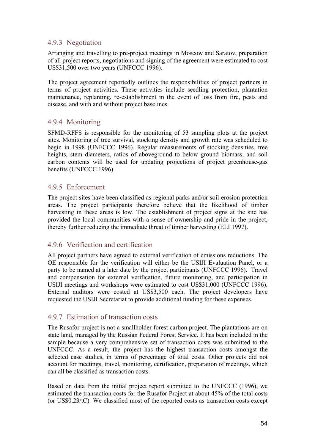## 4.9.3 Negotiation

Arranging and travelling to pre-project meetings in Moscow and Saratov, preparation of all project reports, negotiations and signing of the agreement were estimated to cost US\$31,500 over two years (UNFCCC 1996).

The project agreement reportedly outlines the responsibilities of project partners in terms of project activities. These activities include seedling protection, plantation maintenance, replanting, re-establishment in the event of loss from fire, pests and disease, and with and without project baselines.

## 4.9.4 Monitoring

SFMD-RFFS is responsible for the monitoring of 53 sampling plots at the project sites. Monitoring of tree survival, stocking density and growth rate was scheduled to begin in 1998 (UNFCCC 1996). Regular measurements of stocking densities, tree heights, stem diameters, ratios of aboveground to below ground biomass, and soil carbon contents will be used for updating projections of project greenhouse-gas benefits (UNFCCC 1996).

### 4.9.5 Enforcement

The project sites have been classified as regional parks and/or soil-erosion protection areas. The project participants therefore believe that the likelihood of timber harvesting in these areas is low. The establishment of project signs at the site has provided the local communities with a sense of ownership and pride in the project, thereby further reducing the immediate threat of timber harvesting (ELI 1997).

## 4.9.6 Verification and certification

All project partners have agreed to external verification of emissions reductions. The OE responsible for the verification will either be the USIJI Evaluation Panel, or a party to be named at a later date by the project participants (UNFCCC 1996). Travel and compensation for external verification, future monitoring, and participation in USIJI meetings and workshops were estimated to cost US\$31,000 (UNFCCC 1996). External auditors were costed at US\$3,500 each. The project developers have requested the USIJI Secretariat to provide additional funding for these expenses.

### 4.9.7 Estimation of transaction costs

The Rusafor project is not a smallholder forest carbon project. The plantations are on state land, managed by the Russian Federal Forest Service. It has been included in the sample because a very comprehensive set of transaction costs was submitted to the UNFCCC. As a result, the project has the highest transaction costs amongst the selected case studies, in terms of percentage of total costs. Other projects did not account for meetings, travel, monitoring, certification, preparation of meetings, which can all be classified as transaction costs.

Based on data from the initial project report submitted to the UNFCCC (1996), we estimated the transaction costs for the Rusafor Project at about 45% of the total costs (or US\$0.23/tC). We classified most of the reported costs as transaction costs except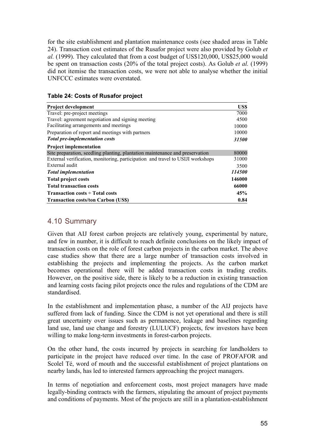for the site establishment and plantation maintenance costs (see shaded areas in Table 24). Transaction cost estimates of the Rusafor project were also provided by Golub *et al.* (1999). They calculated that from a cost budget of US\$120,000, US\$25,000 would be spent on transaction costs (20% of the total project costs). As Golub *et al.* (1999) did not itemise the transaction costs, we were not able to analyse whether the initial UNFCCC estimates were overstated.

| <b>Table 24: Costs of Rusafor project</b> |  |  |
|-------------------------------------------|--|--|
|-------------------------------------------|--|--|

| <b>Project development</b>                                                     | US\$   |
|--------------------------------------------------------------------------------|--------|
| Travel: pre-project meetings                                                   | 7000   |
| Travel: agreement negotiation and signing meeting                              | 4500   |
| Facilitating arrangements and meetings                                         | 10000  |
| Preparation of report and meetings with partners                               | 10000  |
| <b>Total pre-implementation costs</b>                                          | 31500  |
| <b>Project implementation</b>                                                  |        |
| Site preparation, seedling planting, plantation maintenance and preservation   | 80000  |
| External verification, monitoring, participation and travel to USIJI workshops | 31000  |
| External audit                                                                 | 3500   |
| <b>Total implementation</b>                                                    | 114500 |
| <b>Total project costs</b>                                                     | 146000 |
| <b>Total transaction costs</b>                                                 | 66000  |
| <b>Transaction costs <math>\div</math> Total costs</b>                         | 45%    |
| <b>Transaction costs/ton Carbon (US\$)</b>                                     | 0.84   |

## 4.10 Summary

Given that AIJ forest carbon projects are relatively young, experimental by nature, and few in number, it is difficult to reach definite conclusions on the likely impact of transaction costs on the role of forest carbon projects in the carbon market. The above case studies show that there are a large number of transaction costs involved in establishing the projects and implementing the projects. As the carbon market becomes operational there will be added transaction costs in trading credits. However, on the positive side, there is likely to be a reduction in existing transaction and learning costs facing pilot projects once the rules and regulations of the CDM are standardised.

In the establishment and implementation phase, a number of the AIJ projects have suffered from lack of funding. Since the CDM is not yet operational and there is still great uncertainty over issues such as permanence, leakage and baselines regarding land use, land use change and forestry (LULUCF) projects, few investors have been willing to make long-term investments in forest-carbon projects.

On the other hand, the costs incurred by projects in searching for landholders to participate in the project have reduced over time. In the case of PROFAFOR and Scolel Té, word of mouth and the successful establishment of project plantations on nearby lands, has led to interested farmers approaching the project managers.

In terms of negotiation and enforcement costs, most project managers have made legally-binding contracts with the farmers, stipulating the amount of project payments and conditions of payments. Most of the projects are still in a plantation-establishment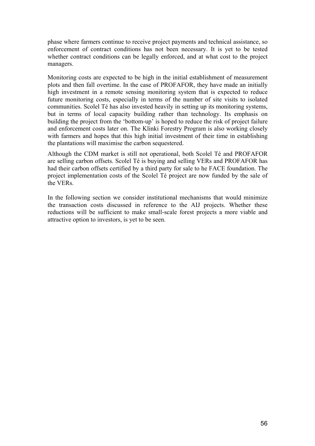phase where farmers continue to receive project payments and technical assistance, so enforcement of contract conditions has not been necessary. It is yet to be tested whether contract conditions can be legally enforced, and at what cost to the project managers.

Monitoring costs are expected to be high in the initial establishment of measurement plots and then fall overtime. In the case of PROFAFOR, they have made an initially high investment in a remote sensing monitoring system that is expected to reduce future monitoring costs, especially in terms of the number of site visits to isolated communities. Scolel Té has also invested heavily in setting up its monitoring systems, but in terms of local capacity building rather than technology. Its emphasis on building the project from the 'bottom-up' is hoped to reduce the risk of project failure and enforcement costs later on. The Klinki Forestry Program is also working closely with farmers and hopes that this high initial investment of their time in establishing the plantations will maximise the carbon sequestered.

Although the CDM market is still not operational, both Scolel Té and PROFAFOR are selling carbon offsets. Scolel Té is buying and selling VERs and PROFAFOR has had their carbon offsets certified by a third party for sale to he FACE foundation. The project implementation costs of the Scolel Té project are now funded by the sale of the VERs.

In the following section we consider institutional mechanisms that would minimize the transaction costs discussed in reference to the AIJ projects. Whether these reductions will be sufficient to make small-scale forest projects a more viable and attractive option to investors, is yet to be seen.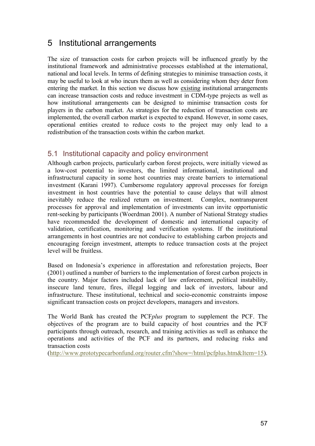# 5 Institutional arrangements

The size of transaction costs for carbon projects will be influenced greatly by the institutional framework and administrative processes established at the international, national and local levels. In terms of defining strategies to minimise transaction costs, it may be useful to look at who incurs them as well as considering whom they deter from entering the market. In this section we discuss how existing institutional arrangements can increase transaction costs and reduce investment in CDM-type projects as well as how institutional arrangements can be designed to minimise transaction costs for players in the carbon market. As strategies for the reduction of transaction costs are implemented, the overall carbon market is expected to expand. However, in some cases, operational entities created to reduce costs to the project may only lead to a redistribution of the transaction costs within the carbon market.

## 5.1 Institutional capacity and policy environment

Although carbon projects, particularly carbon forest projects, were initially viewed as a low-cost potential to investors, the limited informational, institutional and infrastructural capacity in some host countries may create barriers to international investment (Karani 1997). Cumbersome regulatory approval processes for foreign investment in host countries have the potential to cause delays that will almost inevitably reduce the realized return on investment. Complex, nontransparent processes for approval and implementation of investments can invite opportunistic rent-seeking by participants (Woerdman 2001). A number of National Strategy studies have recommended the development of domestic and international capacity of validation, certification, monitoring and verification systems. If the institutional arrangements in host countries are not conducive to establishing carbon projects and encouraging foreign investment, attempts to reduce transaction costs at the project level will be fruitless.

Based on Indonesia's experience in afforestation and reforestation projects, Boer (2001) outlined a number of barriers to the implementation of forest carbon projects in the country. Major factors included lack of law enforcement, political instability, insecure land tenure, fires, illegal logging and lack of investors, labour and infrastructure. These institutional, technical and socio-economic constraints impose significant transaction costs on project developers, managers and investors.

The World Bank has created the PCF*plus* program to supplement the PCF. The objectives of the program are to build capacity of host countries and the PCF participants through outreach, research, and training activities as well as enhance the operations and activities of the PCF and its partners, and reducing risks and transaction costs

(http://www.prototypecarbonfund.org/router.cfm?show=/html/pcfplus.htm&Item=15).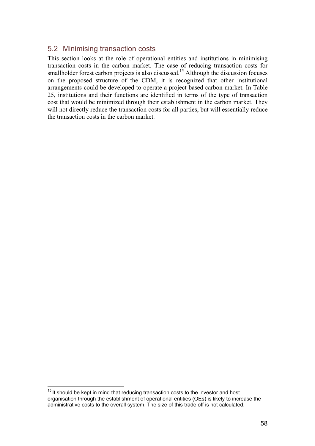## 5.2 Minimising transaction costs

This section looks at the role of operational entities and institutions in minimising transaction costs in the carbon market. The case of reducing transaction costs for smallholder forest carbon projects is also discussed.<sup>15</sup> Although the discussion focuses on the proposed structure of the CDM, it is recognized that other institutional arrangements could be developed to operate a project-based carbon market. In Table 25, institutions and their functions are identified in terms of the type of transaction cost that would be minimized through their establishment in the carbon market. They will not directly reduce the transaction costs for all parties, but will essentially reduce the transaction costs in the carbon market.

 $\overline{a}$  $15$  It should be kept in mind that reducing transaction costs to the investor and host organisation through the establishment of operational entities (OEs) is likely to increase the administrative costs to the overall system. The size of this trade off is not calculated.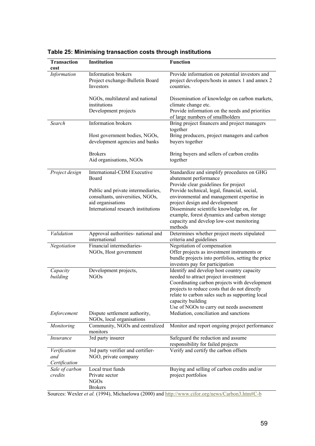| Transaction<br>cost  | <b>Institution</b>                                                                          | <b>Function</b>                                                                                                                                                                      |
|----------------------|---------------------------------------------------------------------------------------------|--------------------------------------------------------------------------------------------------------------------------------------------------------------------------------------|
| Information          | Information brokers<br>Project exchange-Bulletin Board<br><b>Investors</b>                  | Provide information on potential investors and<br>project developers/hosts in annex 1 and annex 2<br>countries.                                                                      |
|                      | NGOs, multilateral and national<br>institutions                                             | Dissemination of knowledge on carbon markets,<br>climate change etc.                                                                                                                 |
|                      | Development projects                                                                        | Provide information on the needs and priorities<br>of large numbers of smallholders                                                                                                  |
| Search               | Information brokers                                                                         | Bring project financers and project managers<br>together                                                                                                                             |
|                      | Host government bodies, NGOs,<br>development agencies and banks                             | Bring producers, project managers and carbon<br>buyers together                                                                                                                      |
|                      | <b>Brokers</b><br>Aid organisations, NGOs                                                   | Bring buyers and sellers of carbon credits<br>together                                                                                                                               |
| Project design       | International-CDM Executive<br>Board                                                        | Standardize and simplify procedures on GHG<br>abatement performance<br>Provide clear guidelines for project                                                                          |
|                      | Public and private intermediaries,<br>consultants, universities, NGOs,<br>aid organisations | Provide technical, legal, financial, social,<br>environmental and management expertise in<br>project design and development                                                          |
|                      | International research institutions                                                         | Disseminate scientific knowledge on, for<br>example, forest dynamics and carbon storage<br>capacity and develop low-cost monitoring<br>methods                                       |
| Validation           | Approval authorities- national and<br>international                                         | Determines whether project meets stipulated<br>criteria and guidelines                                                                                                               |
| Negotiation          | Financial intermediaries-<br>NGOs, Host government                                          | Negotiation of compensation<br>Offer projects as investment instruments or<br>bundle projects into portfolios, setting the price<br>investors pay for participation                  |
| Capacity<br>building | Development projects,<br><b>NGOs</b>                                                        | Identify and develop host country capacity<br>needed to attract project investment<br>Coordinating carbon projects with development<br>projects to reduce costs that do not directly |
| Enforcement          | Dispute settlement authority,                                                               | relate to carbon sales such as supporting local<br>capacity building<br>Use of NGOs to carry out needs assessment<br>Mediation, conciliation and sanctions                           |
|                      | NGOs, local organisations                                                                   |                                                                                                                                                                                      |
| Monitoring           | Community, NGOs and centralized<br>monitors                                                 | Monitor and report ongoing project performance                                                                                                                                       |
| <i>Insurance</i>     | 3rd party insurer                                                                           | Safeguard the reduction and assume<br>responsibility for failed projects                                                                                                             |
| Verification<br>and  | 3rd party verifier and certifier-<br>NGO, private company                                   | Verify and certify the carbon offsets                                                                                                                                                |
| Certification        |                                                                                             |                                                                                                                                                                                      |
| Sale of carbon       | Local trust funds                                                                           | Buying and selling of carbon credits and/or                                                                                                                                          |
| credits              | Private sector<br><b>NGOs</b><br><b>Brokers</b>                                             | project portfolios                                                                                                                                                                   |
|                      |                                                                                             | v. World et al. (1004) Michaelown (2000) and http://www.aifar.org/powe/Carbon2.htmlfC.h                                                                                              |

## **Table 25: Minimising transaction costs through institutions**

Sources: Wexler *et al.* (1994), Michaelowa (2000) and http://www.cifor.org/news/Carbon3.htm#C-b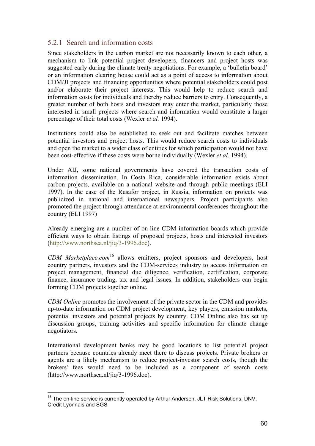## 5.2.1 Search and information costs

Since stakeholders in the carbon market are not necessarily known to each other, a mechanism to link potential project developers, financers and project hosts was suggested early during the climate treaty negotiations. For example, a 'bulletin board' or an information clearing house could act as a point of access to information about CDM/JI projects and financing opportunities where potential stakeholders could post and/or elaborate their project interests. This would help to reduce search and information costs for individuals and thereby reduce barriers to entry. Consequently, a greater number of both hosts and investors may enter the market, particularly those interested in small projects where search and information would constitute a larger percentage of their total costs (Wexler *et al.* 1994).

Institutions could also be established to seek out and facilitate matches between potential investors and project hosts. This would reduce search costs to individuals and open the market to a wider class of entities for which participation would not have been cost-effective if these costs were borne individually (Wexler *et al.* 1994).

Under AIJ, some national governments have covered the transaction costs of information dissemination. In Costa Rica, considerable information exists about carbon projects, available on a national website and through public meetings (ELI 1997). In the case of the Rusafor project, in Russia, information on projects was publicized in national and international newspapers. Project participants also promoted the project through attendance at environmental conferences throughout the country (ELI 1997)

Already emerging are a number of on-line CDM information boards which provide efficient ways to obtain listings of proposed projects, hosts and interested investors (http://www.northsea.nl/jiq/3-1996.doc).

*CDM Marketplace.com*16 allows emitters, project sponsors and developers, host country partners, investors and the CDM-services industry to access information on project management, financial due diligence, verification, certification, corporate finance, insurance trading, tax and legal issues. In addition, stakeholders can begin forming CDM projects together online.

*CDM Online* promotes the involvement of the private sector in the CDM and provides up-to-date information on CDM project development, key players, emission markets, potential investors and potential projects by country. CDM Online also has set up discussion groups, training activities and specific information for climate change negotiators.

International development banks may be good locations to list potential project partners because countries already meet there to discuss projects. Private brokers or agents are a likely mechanism to reduce project-investor search costs, though the brokers' fees would need to be included as a component of search costs (http://www.northsea.nl/jiq/3-1996.doc).

 $\overline{a}$ 

 $16$  The on-line service is currently operated by Arthur Andersen, JLT Risk Solutions, DNV, Credit Lyonnais and SGS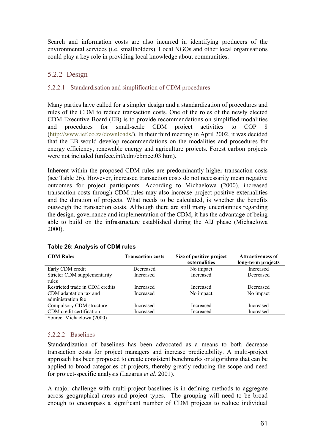Search and information costs are also incurred in identifying producers of the environmental services (i.e. smallholders). Local NGOs and other local organisations could play a key role in providing local knowledge about communities.

## 5.2.2 Design

### 5.2.2.1 Standardisation and simplification of CDM procedures

Many parties have called for a simpler design and a standardization of procedures and rules of the CDM to reduce transaction costs. One of the roles of the newly elected CDM Executive Board (EB) is to provide recommendations on simplified modalities and procedures for small-scale CDM project activities to COP 8 (http://www.ief.co.za/downloads/). In their third meeting in April 2002, it was decided that the EB would develop recommendations on the modalities and procedures for energy efficiency, renewable energy and agriculture projects. Forest carbon projects were not included (unfccc.int/cdm/ebmeet03.htm).

Inherent within the proposed CDM rules are predominantly higher transaction costs (see Table 26). However, increased transaction costs do not necessarily mean negative outcomes for project participants. According to Michaelowa (2000), increased transaction costs through CDM rules may also increase project positive externalities and the duration of projects. What needs to be calculated, is whether the benefits outweigh the transaction costs. Although there are still many uncertainties regarding the design, governance and implementation of the CDM, it has the advantage of being able to build on the infrastructure established during the AIJ phase (Michaelowa 2000).

| <b>CDM Rules</b>                             | <b>Transaction costs</b> | Size of positive project<br>externalities | <b>Attractiveness of</b><br>long-term projects |
|----------------------------------------------|--------------------------|-------------------------------------------|------------------------------------------------|
| Early CDM credit                             | Decreased                | No impact                                 | Increased                                      |
| Stricter CDM supplementarity<br>rules        | Increased                | Increased                                 | Decreased                                      |
| Restricted trade in CDM credits              | Increased                | Increased                                 | Decreased                                      |
| CDM adaptation tax and<br>administration fee | Increased                | No impact                                 | No impact                                      |
| Compulsory CDM structure                     | Increased                | Increased                                 | Increased                                      |
| CDM credit certification                     | Increased                | Increased                                 | Increased                                      |
| $\gamma_{\text{ouroa}}$ Michaelows (2000)    |                          |                                           |                                                |

#### **Table 26: Analysis of CDM rules**

Source: Michaelowa (2000)

#### 5.2.2.2 Baselines

Standardization of baselines has been advocated as a means to both decrease transaction costs for project managers and increase predictability. A multi-project approach has been proposed to create consistent benchmarks or algorithms that can be applied to broad categories of projects, thereby greatly reducing the scope and need for project-specific analysis (Lazarus *et al.* 2001).

A major challenge with multi-project baselines is in defining methods to aggregate across geographical areas and project types. The grouping will need to be broad enough to encompass a significant number of CDM projects to reduce individual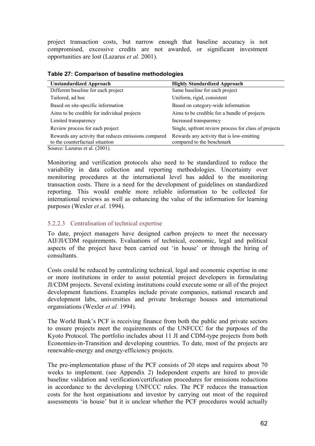project transaction costs, but narrow enough that baseline accuracy is not compromised, excessive credits are not awarded, or significant investment opportunities are lost (Lazarus *et al.* 2001).

| <b>Unstandardized Approach</b>                       | <b>Highly Standardized Approach</b>                  |
|------------------------------------------------------|------------------------------------------------------|
| Different baseline for each project                  | Same baseline for each project                       |
| Tailored, ad hoc                                     | Uniform, rigid, consistent                           |
| Based on site-specific information                   | Based on category-wide information                   |
| Aims to be credible for individual projects          | Aims to be credible for a bundle of projects         |
| Limited transparency                                 | Increased transparency                               |
| Review process for each project                      | Single, upfront review process for class of projects |
| Rewards any activity that reduces emissions compared | Rewards any activity that is low-emitting            |
| to the counterfactual situation                      | compared to the benchmark                            |

**Table 27: Comparison of baseline methodologies** 

Source: Lazurus et al. (2001).

Monitoring and verification protocols also need to be standardized to reduce the variability in data collection and reporting methodologies. Uncertainty over monitoring procedures at the international level has added to the monitoring transaction costs. There is a need for the development of guidelines on standardized reporting. This would enable more reliable information to be collected for international reviews as well as enhancing the value of the information for learning purposes (Wexler *et al.* 1994).

#### 5.2.2.3 Centralisation of technical expertise

To date, project managers have designed carbon projects to meet the necessary AIJ/JI/CDM requirements. Evaluations of technical, economic, legal and political aspects of the project have been carried out 'in house' or through the hiring of consultants.

Costs could be reduced by centralizing technical, legal and economic expertise in one or more institutions in order to assist potential project developers in formulating JI/CDM projects. Several existing institutions could execute some or all of the project development functions. Examples include private companies, national research and development labs, universities and private brokerage houses and international organsiations (Wexler *et al.* 1994).

The World Bank's PCF is receiving finance from both the public and private sectors to ensure projects meet the requirements of the UNFCCC for the purposes of the Kyoto Protocol. The portfolio includes about 11 JI and CDM-type projects from both Economies-in-Transition and developing countries. To date, most of the projects are renewable-energy and energy-efficiency projects.

The pre-implementation phase of the PCF consists of 20 steps and requires about 70 weeks to implement. (see Appendix 2) Independent experts are hired to provide baseline validation and verification/certification procedures for emissions reductions in accordance to the developing UNFCCC rules. The PCF reduces the transaction costs for the host organisations and investor by carrying out most of the required assessments 'in house' but it is unclear whether the PCF procedures would actually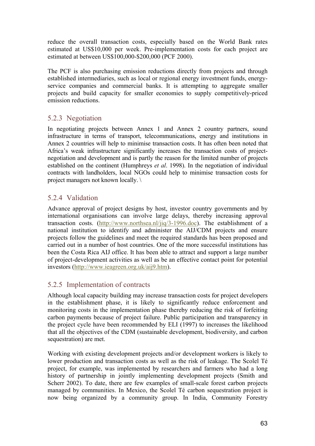reduce the overall transaction costs, especially based on the World Bank rates estimated at US\$10,000 per week. Pre-implementation costs for each project are estimated at between US\$100,000-\$200,000 (PCF 2000).

The PCF is also purchasing emission reductions directly from projects and through established intermediaries, such as local or regional energy investment funds, energyservice companies and commercial banks. It is attempting to aggregate smaller projects and build capacity for smaller economies to supply competitively-priced emission reductions.

## 5.2.3 Negotiation

In negotiating projects between Annex 1 and Annex 2 country partners, sound infrastructure in terms of transport, telecommunications, energy and institutions in Annex 2 countries will help to minimise transaction costs. It has often been noted that Africa's weak infrastructure significantly increases the transaction costs of projectnegotiation and development and is partly the reason for the limited number of projects established on the continent (Humphreys *et al*. 1998). In the negotiation of individual contracts with landholders, local NGOs could help to minimise transaction costs for project managers not known locally. \

## 5.2.4 Validation

Advance approval of project designs by host, investor country governments and by international organisations can involve large delays, thereby increasing approval transaction costs. (http://www.northsea.nl/jiq/3-1996.doc). The establishment of a national institution to identify and administer the AIJ/CDM projects and ensure projects follow the guidelines and meet the required standards has been proposed and carried out in a number of host countries. One of the more successful institutions has been the Costa Rica AIJ office. It has been able to attract and support a large number of project-development activities as well as be an effective contact point for potential investors (http://www.ieagreen.org.uk/aij9.htm).

## 5.2.5 Implementation of contracts

Although local capacity building may increase transaction costs for project developers in the establishment phase, it is likely to significantly reduce enforcement and monitoring costs in the implementation phase thereby reducing the risk of forfeiting carbon payments because of project failure. Public participation and transparency in the project cycle have been recommended by ELI (1997) to increases the likelihood that all the objectives of the CDM (sustainable development, biodiversity, and carbon sequestration) are met.

Working with existing development projects and/or development workers is likely to lower production and transaction costs as well as the risk of leakage. The Scolel Té project, for example, was implemented by researchers and farmers who had a long history of partnership in jointly implementing development projects (Smith and Scherr 2002). To date, there are few examples of small-scale forest carbon projects managed by communities. In Mexico, the Scolel Té carbon sequestration project is now being organized by a community group. In India, Community Forestry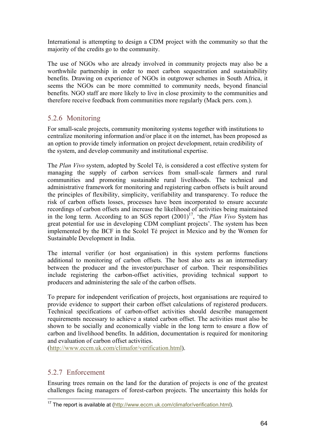International is attempting to design a CDM project with the community so that the majority of the credits go to the community.

The use of NGOs who are already involved in community projects may also be a worthwhile partnership in order to meet carbon sequestration and sustainability benefits. Drawing on experience of NGOs in outgrower schemes in South Africa, it seems the NGOs can be more committed to community needs, beyond financial benefits. NGO staff are more likely to live in close proximity to the communities and therefore receive feedback from communities more regularly (Mack pers. com.).

## 5.2.6 Monitoring

For small-scale projects, community monitoring systems together with institutions to centralize monitoring information and/or place it on the internet, has been proposed as an option to provide timely information on project development, retain credibility of the system, and develop community and institutional expertise.

The *Plan Vivo* system, adopted by Scolel Té, is considered a cost effective system for managing the supply of carbon services from small-scale farmers and rural communities and promoting sustainable rural livelihoods. The technical and administrative framework for monitoring and registering carbon offsets is built around the principles of flexibility, simplicity, verifiability and transparency. To reduce the risk of carbon offsets losses, processes have been incorporated to ensure accurate recordings of carbon offsets and increase the likelihood of activities being maintained in the long term. According to an SGS report  $(2001)^{17}$ , 'the *Plan Vivo* System has great potential for use in developing CDM compliant projects'. The system has been implemented by the BCF in the Scolel Té project in Mexico and by the Women for Sustainable Development in India.

The internal verifier (or host organisation) in this system performs functions additional to monitoring of carbon offsets. The host also acts as an intermediary between the producer and the investor/purchaser of carbon. Their responsibilities include registering the carbon-offset activities, providing technical support to producers and administering the sale of the carbon offsets.

To prepare for independent verification of projects, host organisations are required to provide evidence to support their carbon offset calculations of registered producers. Technical specifications of carbon-offset activities should describe management requirements necessary to achieve a stated carbon offset. The activities must also be shown to be socially and economically viable in the long term to ensure a flow of carbon and livelihood benefits. In addition, documentation is required for monitoring and evaluation of carbon offset activities.

(http://www.eccm.uk.com/climafor/verification.html).

## 5.2.7 Enforcement

Ensuring trees remain on the land for the duration of projects is one of the greatest challenges facing managers of forest-carbon projects. The uncertainty this holds for

 $\overline{a}$ <sup>17</sup> The report is available at (http://www.eccm.uk.com/climafor/verification.html).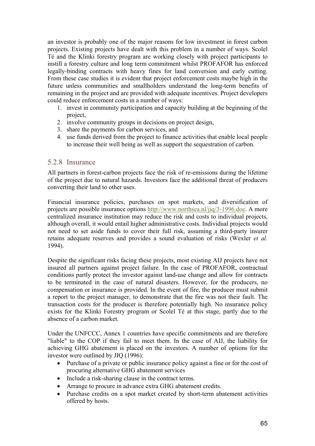an investor is probably one of the major reasons for low investment in forest carbon projects. Existing projects have dealt with this problem in a number of ways. Scolel Té and the Klinki forestry program are working closely with project participants to instill a forestry culture and long term commitment whilst PROFAFOR has enforced legally-binding contracts with heavy fines for land conversion and early cutting. From these case studies it is evident that project enforcement costs maybe high in the future unless communities and smallholders understand the long-term benefits of remaining in the project and are provided with adequate incentives. Project developers could reduce enforcement costs in a number of ways:

- 1. invest in community participation and capacity building at the beginning of the project,
- 2. involve community groups in decisions on project design,
- 3. share the payments for carbon services, and
- 4. use funds derived from the project to finance activities that enable local people to increase their well being as well as support the sequestration of carbon.

### 5.2.8 Insurance

All partners in forest-carbon projects face the risk of re-emissions during the lifetime of the project due to natural hazards. Investors face the additional threat of producers converting their land to other uses.

Financial insurance policies, purchases on spot markets, and diversification of projects are possible insurance options http://www.northsea.nl/jiq/3-1996.doc. A more centralized insurance institution may reduce the risk and costs to individual projects, although overall, it would entail higher administrative costs. Individual projects would not need to set aside funds to cover their full risk, assuming a third-party insurer retains adequate reserves and provides a sound evaluation of risks (Wexler *et al.* 1994).

Despite the significant risks facing these projects, most existing AIJ projects have not insured all partners against project failure. In the case of PROFAFOR, contractual conditions partly protect the investor against land-use change and allow for contracts to be terminated in the case of natural disasters. However, for the producers, no compensation or insurance is provided. In the event of fire, the producer must submit a report to the project manager, to demonstrate that the fire was not their fault. The transaction costs for the producer is therefore potentially high. No insurance policy exists for the Klinki Forestry program or Scolel Té at this stage, partly due to the absence of a carbon market.

Under the UNFCCC, Annex 1 countries have specific commitments and are therefore "liable" to the COP if they fail to meet them. In the case of AIJ, the liability for achieving GHG abatement is placed on the investors. A number of options for the investor were outlined by JIQ (1996):

- Purchase of a private or public insurance policy against a fine or for the cost of procuring alternative GHG abatement services
- Include a risk-sharing clause in the contract terms.
- Arrange to procure in advance extra GHG abatement credits.
- Purchase credits on a spot market created by short-term abatement activities offered by hosts.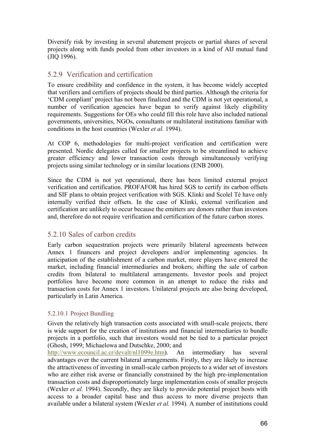Diversify risk by investing in several abatement projects or partial shares of several projects along with funds pooled from other investors in a kind of AIJ mutual fund (JIQ 1996).

## 5.2.9 Verification and certification

To ensure credibility and confidence in the system, it has become widely accepted that verifiers and certifiers of projects should be third parties. Although the criteria for 'CDM compliant' project has not been finalized and the CDM is not yet operational, a number of verification agencies have begun to verify against likely eligibility requirements. Suggestions for OEs who could fill this role have also included national governments, universities, NGOs, consultants or multilateral institutions familiar with conditions in the host countries (Wexler *et al.* 1994).

At COP 6, methodologies for multi-project verification and certification were presented. Nordic delegates called for smaller projects to be streamlined to achieve greater efficiency and lower transaction costs through simultaneously verifying projects using similar technology or in similar locations (ENB 2000).

Since the CDM is not yet operational, there has been limited external project verification and certification. PROFAFOR has hired SGS to certify its carbon offsets and SIF plans to obtain project verification with SGS. Klinki and Scolel Té have only internally verified their offsets. In the case of Klinki, external verification and certification are unlikely to occur because the emitters are donors rather than investors and, therefore do not require verification and certification of the future carbon stores.

### 5.2.10 Sales of carbon credits

Early carbon sequestration projects were primarily bilateral agreements between Annex 1 financers and project developers and/or implementing agencies. In anticipation of the establishment of a carbon market, more players have entered the market, including financial intermediaries and brokers; shifting the sale of carbon credits from bilateral to multilateral arrangements. Investor pools and project portfolios have become more common in an attempt to reduce the risks and transaction costs for Annex 1 investors. Unilateral projects are also being developed, particularly in Latin America.

### 5.2.10.1 Project Bundling

Given the relatively high transaction costs associated with small-scale projects, there is wide support for the creation of institutions and financial intermediaries to bundle projects in a portfolio, such that investors would not be tied to a particular project (Ghosh, 1999; Michaelowa and Dutschke, 2000; and

http://www.ecouncil.ac.cr/devalt/nl1099e.htm). An intermediary has several advantages over the current bilateral arrangements. Firstly, they are likely to increase the attractiveness of investing in small-scale carbon projects to a wider set of investors who are either risk averse or financially constrained by the high pre-implementation transaction costs and disproportionately large implementation costs of smaller projects (Wexler *et al.* 1994). Secondly, they are likely to provide potential project hosts with access to a broader capital base and thus access to more diverse projects than available under a bilateral system (Wexler *et al.* 1994). A number of institutions could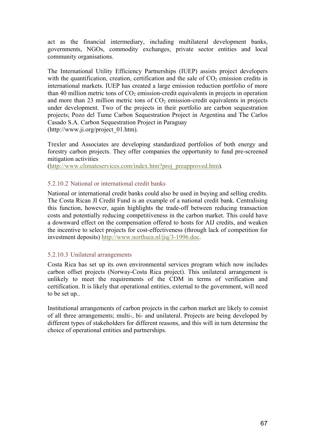act as the financial intermediary, including multilateral development banks, governments, NGOs, commodity exchanges, private sector entities and local community organisations.

The International Utility Efficiency Partnerships (IUEP) assists project developers with the quantification, creation, certification and the sale of  $CO<sub>2</sub>$  emission credits in international markets. IUEP has created a large emission reduction portfolio of more than 40 million metric tons of  $CO<sub>2</sub>$  emission-credit equivalents in projects in operation and more than 23 million metric tons of  $CO<sub>2</sub>$  emission-credit equivalents in projects under development. Two of the projects in their portfolio are carbon sequestration projects; Pozo del Tume Carbon Sequestration Project in Argentina and The Carlos Casado S.A. Carbon Sequestration Project in Paraguay (http://www.ji.org/project\_01.htm).

Trexler and Associates are developing standardized portfolios of both energy and forestry carbon projects. They offer companies the opportunity to fund pre-screened mitigation activities

(http://www.climateservices.com/index.htm?proj\_preapproved.htm).

#### 5.2.10.2 National or international credit banks

National or international credit banks could also be used in buying and selling credits. The Costa Rican JI Credit Fund is an example of a national credit bank. Centralising this function, however, again highlights the trade-off between reducing transaction costs and potentially reducing competitiveness in the carbon market. This could have a downward effect on the compensation offered to hosts for AIJ credits, and weaken the incentive to select projects for cost-effectiveness (through lack of competition for investment deposits) http://www.northsea.nl/jiq/3-1996.doc.

#### 5.2.10.3 Unilateral arrangements

Costa Rica has set up its own environmental services program which now includes carbon offset projects (Norway-Costa Rica project). This unilateral arrangement is unlikely to meet the requirements of the CDM in terms of verification and certification. It is likely that operational entities, external to the government, will need to be set up..

Institutional arrangements of carbon projects in the carbon market are likely to consist of all three arrangements; multi-, bi- and unilateral. Projects are being developed by different types of stakeholders for different reasons, and this will in turn determine the choice of operational entities and partnerships.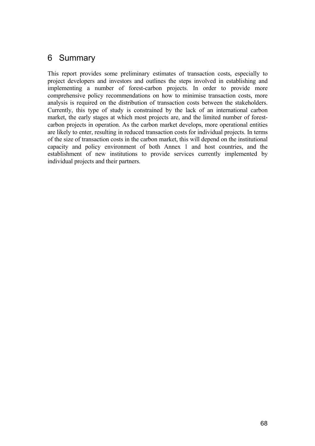# 6 Summary

This report provides some preliminary estimates of transaction costs, especially to project developers and investors and outlines the steps involved in establishing and implementing a number of forest-carbon projects. In order to provide more comprehensive policy recommendations on how to minimise transaction costs, more analysis is required on the distribution of transaction costs between the stakeholders. Currently, this type of study is constrained by the lack of an international carbon market, the early stages at which most projects are, and the limited number of forestcarbon projects in operation. As the carbon market develops, more operational entities are likely to enter, resulting in reduced transaction costs for individual projects. In terms of the size of transaction costs in the carbon market, this will depend on the institutional capacity and policy environment of both Annex 1 and host countries, and the establishment of new institutions to provide services currently implemented by individual projects and their partners.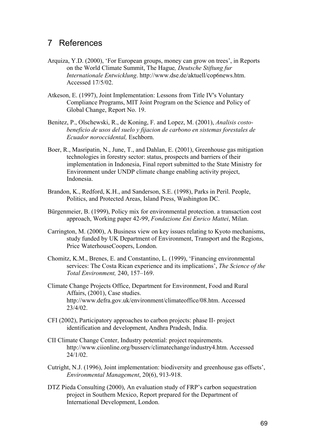# 7 References

- Arquiza, Y.D. (2000), 'For European groups, money can grow on trees', in Reports on the World Climate Summit, The Hague*, Deutsche Stiftung fur Internationale Entwicklung*. http://www.dse.de/aktuell/cop6news.htm. Accessed 17/5/02.
- Atkeson, E. (1997), Joint Implementation: Lessons from Title IV's Voluntary Compliance Programs, MIT Joint Program on the Science and Policy of Global Change, Report No. 19.
- Benitez, P., Olschewski, R., de Koning, F. and Lopez, M. (2001), *Analisis costobeneficio de usos del suelo y fijacion de carbono en sistemas forestales de Ecuador noroccidental,* Eschborn.
- Boer, R., Masripatin, N., June, T., and Dahlan, E. (2001), Greenhouse gas mitigation technologies in forestry sector: status, prospects and barriers of their implementation in Indonesia, Final report submitted to the State Ministry for Environment under UNDP climate change enabling activity project, Indonesia.
- Brandon, K., Redford, K.H., and Sanderson, S.E. (1998), Parks in Peril. People, Politics, and Protected Areas, Island Press, Washington DC.
- Bürgenmeier, B. (1999), Policy mix for environmental protection. a transaction cost approach, Working paper 42-99, *Fondazione Eni Enrico Mattei*, Milan.
- Carrington, M. (2000), A Business view on key issues relating to Kyoto mechanisms, study funded by UK Department of Environment, Transport and the Regions, Price WaterhouseCoopers, London.
- Chomitz, K.M., Brenes, E. and Constantino, L. (1999), 'Financing environmental services: The Costa Rican experience and its implications', *The Science of the Total Environment,* 240, 157–169.
- Climate Change Projects Office, Department for Environment, Food and Rural Affairs, (2001), Case studies. http://www.defra.gov.uk/environment/climateoffice/08.htm. Accessed 23/4/02.
- CFI (2002), Participatory approaches to carbon projects: phase II- project identification and development, Andhra Pradesh, India.
- CII Climate Change Center, Industry potential: project requirements. http://www.ciionline.org/busserv/climatechange/industry4.htm. Accessed 24/1/02.
- Cutright, N.J. (1996), Joint implementation: biodiversity and greenhouse gas offsets', *Environmental Management*, 20(6), 913-918.
- DTZ Pieda Consulting (2000), An evaluation study of FRP's carbon sequestration project in Southern Mexico, Report prepared for the Department of International Development, London.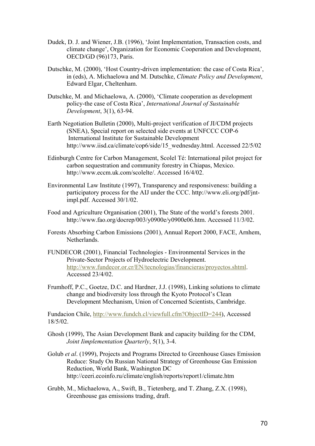- Dudek, D. J. and Wiener, J.B. (1996), 'Joint Implementation, Transaction costs, and climate change', Organization for Economic Cooperation and Development, OECD/GD (96)173, Paris.
- Dutschke, M. (2000), 'Host Country-driven implementation: the case of Costa Rica', in (eds), A. Michaelowa and M. Dutschke, *Climate Policy and Development*, Edward Elgar, Cheltenham.
- Dutschke, M. and Michaelowa, A. (2000), 'Climate cooperation as development policy-the case of Costa Rica', *International Journal of Sustainable Development*, 3(1), 63-94.
- Earth Negotiation Bulletin (2000), Multi-project verification of JI/CDM projects (SNEA), Special report on selected side events at UNFCCC COP-6 International Institute for Sustainable Development http://www.iisd.ca/climate/cop6/side/15\_wednesday.html. Accessed 22/5/02
- Edinburgh Centre for Carbon Management, Scolel Té: International pilot project for carbon sequestration and community forestry in Chiapas, Mexico. http://www.eccm.uk.com/scolelte/. Accessed 16/4/02.
- Environmental Law Institute (1997), Transparency and responsiveness: building a participatory process for the AIJ under the CCC. http://www.eli.org/pdf/jntimpl.pdf. Accessed 30/1/02.
- Food and Agriculture Organisation (2001), The State of the world's forests 2001. http://www.fao.org/docrep/003/y0900e/y0900e06.htm. Accessed 11/3/02.
- Forests Absorbing Carbon Emissions (2001), Annual Report 2000, FACE, Arnhem, Netherlands.
- FUNDECOR (2001), Financial Technologies Environmental Services in the Private-Sector Projects of Hydroelectric Development. http://www.fundecor.or.cr/EN/tecnologias/financieras/proyectos.shtml. Accessed 23/4/02.
- Frumhoff, P.C., Goetze, D.C. and Hardner, J.J. (1998), Linking solutions to climate change and biodiversity loss through the Kyoto Protocol's Clean Development Mechanism, Union of Concerned Scientists, Cambridge.

Fundacion Chile, http://www.fundch.cl/viewfull.cfm?ObjectID=244), Accessed 18/5/02.

- Ghosh (1999), The Asian Development Bank and capacity building for the CDM, *Joint Iimplementation Quarterly*, 5(1), 3-4.
- Golub *et al*. (1999), Projects and Programs Directed to Greenhouse Gases Emission Reduce: Study On Russian National Strategy of Greenhouse Gas Emission Reduction, World Bank, Washington DC http://ceeri.ecoinfo.ru/climate/english/reports/report1/climate.htm
- Grubb, M., Michaelowa, A., Swift, B., Tietenberg, and T. Zhang, Z.X. (1998), Greenhouse gas emissions trading, draft.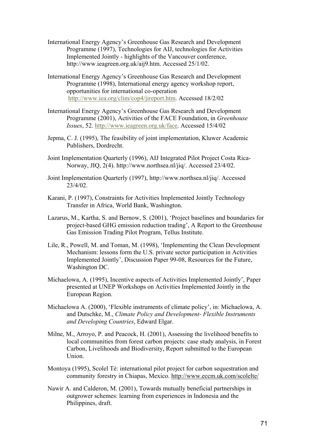- International Energy Agency's Greenhouse Gas Research and Development Programme (1997), Technologies for AIJ, technologies for Activities Implemented Jointly - highlights of the Vancouver conference, http://www.ieagreen.org.uk/aij9.htm. Accessed 25/1/02.
- International Energy Agency's Greenhouse Gas Research and Development Programme (1998), International energy agency workshop report, opportunities for international co-operation http://www.iea.org/clim/cop4/jireport.htm. Accessed 18/2/02
- International Energy Agency's Greenhouse Gas Research and Development Programme (2001), Activities of the FACE Foundation, in *Greenhouse Issues*, 52. http://www.ieagreen.org.uk/face. Accessed 15/4/02
- Jepma, C. J. (1995), The feasibility of joint implementation, Kluwer Academic Publishers, Dordrecht.
- Joint Implementation Quarterly (1996), AIJ Integrated Pilot Project Costa Rica-Norway, JIQ, 2(4). http://www.northsea.nl/jiq/. Accessed 23/4/02.
- Joint Implementation Quarterly (1997), http://www.northsea.nl/jiq/. Accessed 23/4/02.
- Karani, P. (1997), Constraints for Activities Implemented Jointly Technology Transfer in Africa, World Bank, Washington.
- Lazarus, M., Kartha, S. and Bernow, S. (2001), 'Project baselines and boundaries for project-based GHG emission reduction trading', A Report to the Greenhouse Gas Emission Trading Pilot Program, Tellus Institute.
- Lile, R., Powell, M. and Toman, M. (1998), 'Implementing the Clean Development Mechanism: lessons form the U.S. private sector participation in Activities Implemented Jointly', Discussion Paper 99-08, Resources for the Future, Washington DC.
- Michaelowa, A. (1995), Incentive aspects of Activities Implemented Jointly', Paper presented at UNEP Workshops on Activities Implemented Jointly in the European Region.
- Michaelowa A. (2000), 'Flexible instruments of climate policy', in: Michaelowa, A. and Dutschke, M., *Climate Policy and Development- Flexible Instruments and Developing Countries*, Edward Elgar.
- Milne, M., Arroyo, P. and Peacock, H. (2001), Assessing the livelihood benefits to local communities from forest carbon projects: case study analysis, in Forest Carbon, Livelihoods and Biodiversity, Report submitted to the European Union.
- Montoya (1995), Scolel Té: international pilot project for carbon sequestration and community forestry in Chiapas, Mexico. http://www.eccm.uk.com/scolelte/
- Nawir A. and Calderon, M. (2001), Towards mutually beneficial partnerships in outgrower schemes: learning from experiences in Indonesia and the Philippines, draft.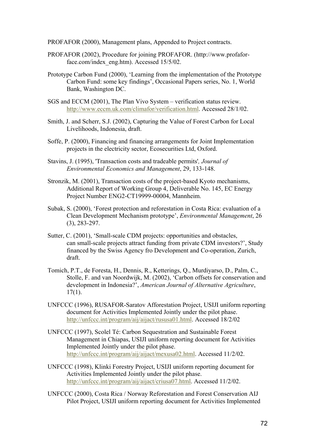PROFAFOR (2000), Management plans, Appended to Project contracts.

- PROFAFOR (2002), Procedure for joining PROFAFOR. (http://www.profaforface.com/index\_eng.htm). Accessed 15/5/02.
- Prototype Carbon Fund (2000), 'Learning from the implementation of the Prototype Carbon Fund: some key findings', Occasional Papers series, No. 1, World Bank, Washington DC.
- SGS and ECCM (2001), The Plan Vivo System verification status review. http://www.eccm.uk.com/climafor/verification.html. Accessed 28/1/02.
- Smith, J. and Scherr, S.J. (2002), Capturing the Value of Forest Carbon for Local Livelihoods, Indonesia, draft.
- Soffe, P. (2000), Financing and financing arrangements for Joint Implementation projects in the electricity sector, Ecosecurities Ltd, Oxford.
- Stavins, J. (1995), 'Transaction costs and tradeable permits'*, Journal of Environmental Economics and Management*, 29, 133-148.
- Stronzik, M. (2001), Transaction costs of the project-based Kyoto mechanisms, Additional Report of Working Group 4, Deliverable No. 145, EC Energy Project Number ENG2-CT19999-00004, Mannheim.
- Subak, S. (2000), 'Forest protection and reforestation in Costa Rica: evaluation of a Clean Development Mechanism prototype', *Environmental Management*, 26 (3), 283-297.
- Sutter, C. (2001), 'Small-scale CDM projects: opportunities and obstacles, can small-scale projects attract funding from private CDM investors?', Study financed by the Swiss Agency fro Development and Co-operation, Zurich, draft.
- Tomich, P.T., de Foresta, H., Dennis, R., Ketterings, Q., Murdiyarso, D., Palm, C., Stolle, F. and van Noordwijk, M. (2002), 'Carbon offsets for conservation and development in Indonesia?', *American Journal of Alternative Agriculture*, 17(1).
- UNFCCC (1996), RUSAFOR-Saratov Afforestation Project, USIJI uniform reporting document for Activities Implemented Jointly under the pilot phase. http://unfccc.int/program/aij/aijact/rususa01.html. Accessed 18/2/02
- UNFCCC (1997), Scolel Té: Carbon Sequestration and Sustainable Forest Management in Chiapas, USIJI uniform reporting document for Activities Implemented Jointly under the pilot phase. http://unfccc.int/program/aij/aijact/mexusa02.html. Accessed 11/2/02.
- UNFCCC (1998), Klinki Forestry Project, USIJI uniform reporting document for Activities Implemented Jointly under the pilot phase. http://unfccc.int/program/aij/aijact/criusa07.html. Accessed 11/2/02.
- UNFCCC (2000), Costa Rica / Norway Reforestation and Forest Conservation AIJ Pilot Project, USIJI uniform reporting document for Activities Implemented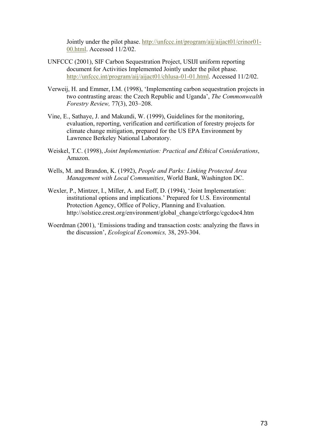Jointly under the pilot phase. http://unfccc.int/program/aij/aijact01/crinor01- 00.html. Accessed 11/2/02.

- UNFCCC (2001), SIF Carbon Sequestration Project, USIJI uniform reporting document for Activities Implemented Jointly under the pilot phase. http://unfccc.int/program/aij/aijact01/chlusa-01-01.html. Accessed 11/2/02.
- Verweij, H. and Emmer, I.M. (1998), 'Implementing carbon sequestration projects in two contrasting areas: the Czech Republic and Uganda', *The Commonwealth Forestry Review,* 77(3), 203–208.
- Vine, E., Sathaye, J. and Makundi, W. (1999), Guidelines for the monitoring, evaluation, reporting, verification and certification of forestry projects for climate change mitigation, prepared for the US EPA Environment by Lawrence Berkeley National Laboratory.
- Weiskel, T.C. (1998), *Joint Implementation: Practical and Ethical Considerations*, Amazon.
- Wells, M. and Brandon, K. (1992), *People and Parks: Linking Protected Area Management with Local Communities*, World Bank, Washington DC.
- Wexler, P., Mintzer, I., Miller, A. and Eoff, D. (1994), 'Joint Implementation: institutional options and implications.' Prepared for U.S. Environmental Protection Agency, Office of Policy, Planning and Evaluation. http://solstice.crest.org/environment/global\_change/ctrforgc/cgcdoc4.htm
- Woerdman (2001), 'Emissions trading and transaction costs: analyzing the flaws in the discussion', *Ecological Economics,* 38, 293-304.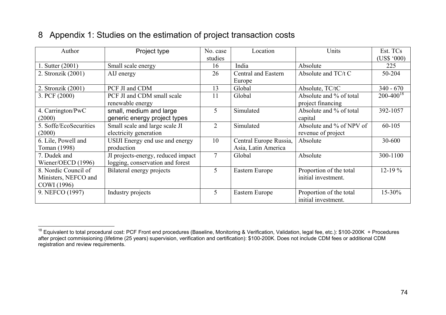## 8 Appendix 1: Studies on the estimation of project transaction costs

| Author                     | Project type                       | No. case       | Location               | Units                    | Est. TCs           |
|----------------------------|------------------------------------|----------------|------------------------|--------------------------|--------------------|
|                            |                                    | studies        |                        |                          | $(US$^{\circ}000)$ |
| $\therefore$ Sutter (2001) | Small scale energy                 | 16             | India                  | Absolute                 | 225                |
| 2. Stronzik (2001)         | AIJ energy                         | 26             | Central and Eastern    | Absolute and TC/t C      | 50-204             |
|                            |                                    |                | Europe                 |                          |                    |
| 2. Stronzik (2001)         | PCF JI and CDM                     | 13             | Global                 | Absolute, TC/tC          | $340 - 670$        |
| 3. PCF (2000)              | PCF JI and CDM small scale         | 11             | Global                 | Absolute and % of total  | $200 - 400^{18}$   |
|                            | renewable energy                   |                |                        | project financing        |                    |
| 4. Carrington/PwC          | small, medium and large            | 5              | Simulated              | Absolute and % of total  | 392-1057           |
| (2000)                     | generic energy project types       |                |                        | capital                  |                    |
| 5. Soffe/EcoSecurities     | Small scale and large scale JI     | $\overline{2}$ | Simulated              | Absolute and % of NPV of | $60 - 105$         |
| (2000)                     | electricity generation             |                |                        | revenue of project       |                    |
| 6. Lile, Powell and        | USIJI Energy end use and energy    | 10             | Central Europe Russia, | Absolute                 | 30-600             |
| Toman (1998)               | production                         |                | Asia, Latin America    |                          |                    |
| 7. Dudek and               | JI projects-energy, reduced impact | 7              | Global                 | Absolute                 | 300-1100           |
| Wiener/OECD (1996)         | logging, conservation and forest   |                |                        |                          |                    |
| 8. Nordic Council of       | Bilateral energy projects          | 5              | Eastern Europe         | Proportion of the total  | $12 - 19%$         |
| Ministers, NEFCO and       |                                    |                |                        | initial investment.      |                    |
| COWI (1996)                |                                    |                |                        |                          |                    |
| 9. NEFCO (1997)            | Industry projects                  | 5              | Eastern Europe         | Proportion of the total  | 15-30%             |
|                            |                                    |                |                        | initial investment.      |                    |

<sup>&</sup>lt;sup>18</sup> Equivalent to total procedural cost: PCF Front end procedures (Baseline, Monitoring & Verification, Validation, legal fee, etc.): \$100-200K + Procedures after project commissioning (lifetime (25 years) supervision, verification and certification): \$100-200K. Does not include CDM fees or additional CDM registration and review requirements.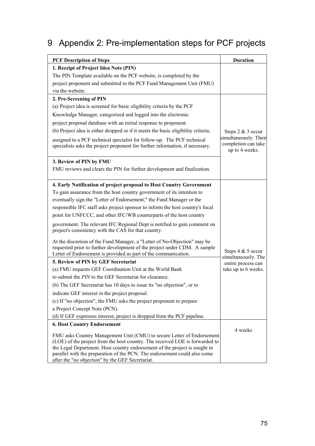## 9 Appendix 2: Pre-implementation steps for PCF projects

| <b>PCF Description of Steps</b>                                                                                                                                                                                                                                                                                                                                       | <b>Duration</b>                                                |
|-----------------------------------------------------------------------------------------------------------------------------------------------------------------------------------------------------------------------------------------------------------------------------------------------------------------------------------------------------------------------|----------------------------------------------------------------|
| 1. Receipt of Project Idea Note (PIN)                                                                                                                                                                                                                                                                                                                                 |                                                                |
| The PIN Template available on the PCF website, is completed by the                                                                                                                                                                                                                                                                                                    |                                                                |
| project proponent and submitted to the PCF Fund Management Unit (FMU)                                                                                                                                                                                                                                                                                                 |                                                                |
| via the website.                                                                                                                                                                                                                                                                                                                                                      |                                                                |
| 2. Pre-Screening of PIN                                                                                                                                                                                                                                                                                                                                               |                                                                |
| (a) Project idea is screened for basic eligibility criteria by the PCF                                                                                                                                                                                                                                                                                                |                                                                |
| Knowledge Manager, categorized and logged into the electronic                                                                                                                                                                                                                                                                                                         |                                                                |
| project proposal database with an initial response to proponent.                                                                                                                                                                                                                                                                                                      |                                                                |
| (b) Project idea is either dropped or if it meets the basic eligibility criteria,                                                                                                                                                                                                                                                                                     | Steps 2 & 3 occur                                              |
| assigned to a PCF technical specialist for follow-up. The PCF technical<br>specialists asks the project proponent for further information, if necessary.                                                                                                                                                                                                              | simultaneously. Their<br>completion can take<br>up to 4 weeks. |
| 3. Review of PIN by FMU                                                                                                                                                                                                                                                                                                                                               |                                                                |
| FMU reviews and clears the PIN for further development and finalization.                                                                                                                                                                                                                                                                                              |                                                                |
| 4. Early Notification of project proposal to Host Country Government                                                                                                                                                                                                                                                                                                  |                                                                |
| To gain assurance from the host country government of its intention to                                                                                                                                                                                                                                                                                                |                                                                |
| eventually sign the "Letter of Endorsement," the Fund Manager or the                                                                                                                                                                                                                                                                                                  |                                                                |
| responsible IFC staff asks project sponsor to inform the host country's focal                                                                                                                                                                                                                                                                                         |                                                                |
| point for UNFCCC, and other IFC/WB counterparts of the host country                                                                                                                                                                                                                                                                                                   |                                                                |
| government. The relevant IFC Regional Dept is notified to gain comment on<br>project's consistency with the CAS for that country.                                                                                                                                                                                                                                     |                                                                |
| At the discretion of the Fund Manager, a "Letter of No-Objection" may be<br>requested prior to further development of the project under CDM. A sample<br>Letter of Endorsement is provided as part of the communication.                                                                                                                                              | Steps 4 & 5 occur<br>simultaneously. The                       |
| 5. Review of PIN by GEF Secretariat                                                                                                                                                                                                                                                                                                                                   | entire process can                                             |
| (a) FMU requests GEF Coordination Unit at the World Bank                                                                                                                                                                                                                                                                                                              | take up to 6 weeks.                                            |
| to submit the PIN to the GEF Secretariat for clearance.                                                                                                                                                                                                                                                                                                               |                                                                |
| (b) The GEF Secretariat has 10 days to issue its "no objection", or to                                                                                                                                                                                                                                                                                                |                                                                |
| indicate GEF interest in the project proposal.                                                                                                                                                                                                                                                                                                                        |                                                                |
| (c) If "no objection", the FMU asks the project proponent to prepare                                                                                                                                                                                                                                                                                                  |                                                                |
| a Project Concept Note (PCN).                                                                                                                                                                                                                                                                                                                                         |                                                                |
| (d) If GEF expresses interest, project is dropped from the PCF pipeline.                                                                                                                                                                                                                                                                                              |                                                                |
| <b>6. Host Country Endorsement</b>                                                                                                                                                                                                                                                                                                                                    |                                                                |
| FMU asks Country Management Unit (CMU) to secure Letter of Endorsement<br>(LOE) of the project from the host country. The received LOE is forwarded to<br>the Legal Department. Host country endorsement of the project is sought in<br>parallel with the preparation of the PCN. The endorsement could also come<br>after the "no objection" by the GEF Secretariat. | 4 weeks                                                        |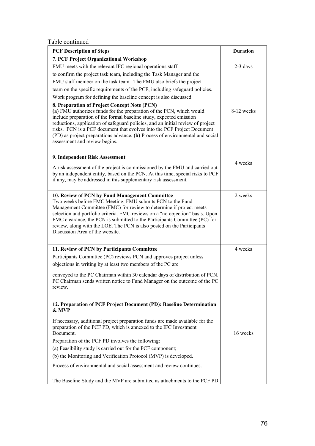Table continued

| <b>PCF Description of Steps</b>                                                                                                                                                                                                                                                                                                                                                                                                                                             | <b>Duration</b> |  |
|-----------------------------------------------------------------------------------------------------------------------------------------------------------------------------------------------------------------------------------------------------------------------------------------------------------------------------------------------------------------------------------------------------------------------------------------------------------------------------|-----------------|--|
| 7. PCF Project Organizational Workshop                                                                                                                                                                                                                                                                                                                                                                                                                                      |                 |  |
| FMU meets with the relevant IFC regional operations staff                                                                                                                                                                                                                                                                                                                                                                                                                   | $2-3$ days      |  |
| to confirm the project task team, including the Task Manager and the                                                                                                                                                                                                                                                                                                                                                                                                        |                 |  |
| FMU staff member on the task team. The FMU also briefs the project                                                                                                                                                                                                                                                                                                                                                                                                          |                 |  |
| team on the specific requirements of the PCF, including safeguard policies.                                                                                                                                                                                                                                                                                                                                                                                                 |                 |  |
| Work program for defining the baseline concept is also discussed.                                                                                                                                                                                                                                                                                                                                                                                                           |                 |  |
| 8. Preparation of Project Concept Note (PCN)<br>(a) FMU authorizes funds for the preparation of the PCN, which would<br>include preparation of the formal baseline study, expected emission<br>reductions, application of safeguard policies, and an initial review of project<br>risks. PCN is a PCF document that evolves into the PCF Project Document<br>(PD) as project preparations advance. (b) Process of environmental and social<br>assessment and review begins. | 8-12 weeks      |  |
| 9. Independent Risk Assessment                                                                                                                                                                                                                                                                                                                                                                                                                                              |                 |  |
| A risk assessment of the project is commissioned by the FMU and carried out<br>by an independent entity, based on the PCN. At this time, special risks to PCF<br>if any, may be addressed in this supplementary risk assessment.                                                                                                                                                                                                                                            | 4 weeks         |  |
| 10. Review of PCN by Fund Management Committee<br>Two weeks before FMC Meeting, FMU submits PCN to the Fund<br>Management Committee (FMC) for review to determine if project meets<br>selection and portfolio criteria. FMC reviews on a "no objection" basis. Upon<br>FMC clearance, the PCN is submitted to the Participants Committee (PC) for<br>review, along with the LOE. The PCN is also posted on the Participants<br>Discussion Area of the website.              | 2 weeks         |  |
| 11. Review of PCN by Participants Committee                                                                                                                                                                                                                                                                                                                                                                                                                                 | 4 weeks         |  |
| Participants Committee (PC) reviews PCN and approves project unless                                                                                                                                                                                                                                                                                                                                                                                                         |                 |  |
| objections in writing by at least two members of the PC are                                                                                                                                                                                                                                                                                                                                                                                                                 |                 |  |
| conveyed to the PC Chairman within 30 calendar days of distribution of PCN.<br>PC Chairman sends written notice to Fund Manager on the outcome of the PC<br>review.                                                                                                                                                                                                                                                                                                         |                 |  |
| 12. Preparation of PCF Project Document (PD): Baseline Determination<br>& MVP                                                                                                                                                                                                                                                                                                                                                                                               |                 |  |
| If necessary, additional project preparation funds are made available for the<br>preparation of the PCF PD, which is annexed to the IFC Investment<br>Document.                                                                                                                                                                                                                                                                                                             | 16 weeks        |  |
| Preparation of the PCF PD involves the following:                                                                                                                                                                                                                                                                                                                                                                                                                           |                 |  |
| (a) Feasibility study is carried out for the PCF component;                                                                                                                                                                                                                                                                                                                                                                                                                 |                 |  |
| (b) the Monitoring and Verification Protocol (MVP) is developed.                                                                                                                                                                                                                                                                                                                                                                                                            |                 |  |
| Process of environmental and social assessment and review continues.                                                                                                                                                                                                                                                                                                                                                                                                        |                 |  |
| The Baseline Study and the MVP are submitted as attachments to the PCF PD.                                                                                                                                                                                                                                                                                                                                                                                                  |                 |  |